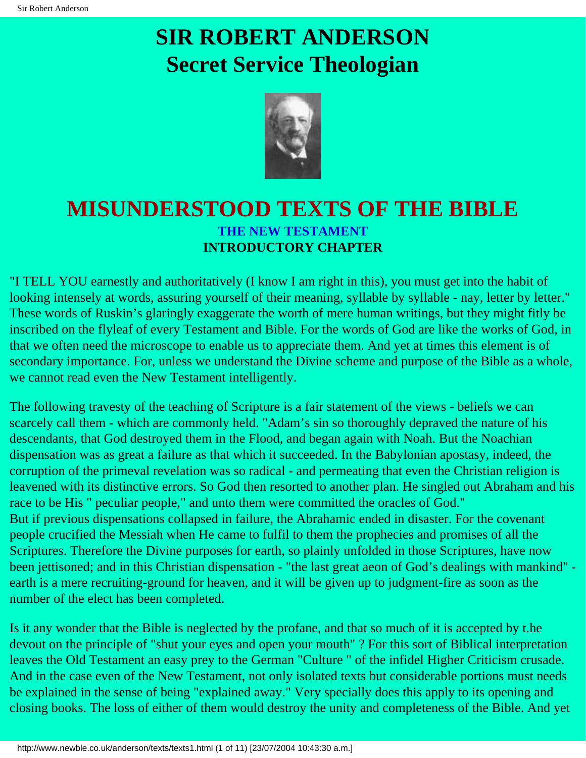# **SIR ROBERT ANDERSON Secret Service Theologian**



### **MISUNDERSTOOD TEXTS OF THE BIBLE THE NEW TESTAMENT INTRODUCTORY CHAPTER**

"I TELL YOU earnestly and authoritatively (I know I am right in this), you must get into the habit of looking intensely at words, assuring yourself of their meaning, syllable by syllable - nay, letter by letter." These words of Ruskin's glaringly exaggerate the worth of mere human writings, but they might fitly be inscribed on the flyleaf of every Testament and Bible. For the words of God are like the works of God, in that we often need the microscope to enable us to appreciate them. And yet at times this element is of secondary importance. For, unless we understand the Divine scheme and purpose of the Bible as a whole, we cannot read even the New Testament intelligently.

The following travesty of the teaching of Scripture is a fair statement of the views - beliefs we can scarcely call them - which are commonly held. "Adam's sin so thoroughly depraved the nature of his descendants, that God destroyed them in the Flood, and began again with Noah. But the Noachian dispensation was as great a failure as that which it succeeded. In the Babylonian apostasy, indeed, the corruption of the primeval revelation was so radical - and permeating that even the Christian religion is leavened with its distinctive errors. So God then resorted to another plan. He singled out Abraham and his race to be His " peculiar people," and unto them were committed the oracles of God." But if previous dispensations collapsed in failure, the Abrahamic ended in disaster. For the covenant people crucified the Messiah when He came to fulfil to them the prophecies and promises of all the Scriptures. Therefore the Divine purposes for earth, so plainly unfolded in those Scriptures, have now been jettisoned; and in this Christian dispensation - "the last great aeon of God's dealings with mankind" earth is a mere recruiting-ground for heaven, and it will be given up to judgment-fire as soon as the number of the elect has been completed.

Is it any wonder that the Bible is neglected by the profane, and that so much of it is accepted by t.he devout on the principle of "shut your eyes and open your mouth"? For this sort of Biblical interpretation leaves the Old Testament an easy prey to the German "Culture " of the infidel Higher Criticism crusade. And in the case even of the New Testament, not only isolated texts but considerable portions must needs be explained in the sense of being "explained away." Very specially does this apply to its opening and closing books. The loss of either of them would destroy the unity and completeness of the Bible. And yet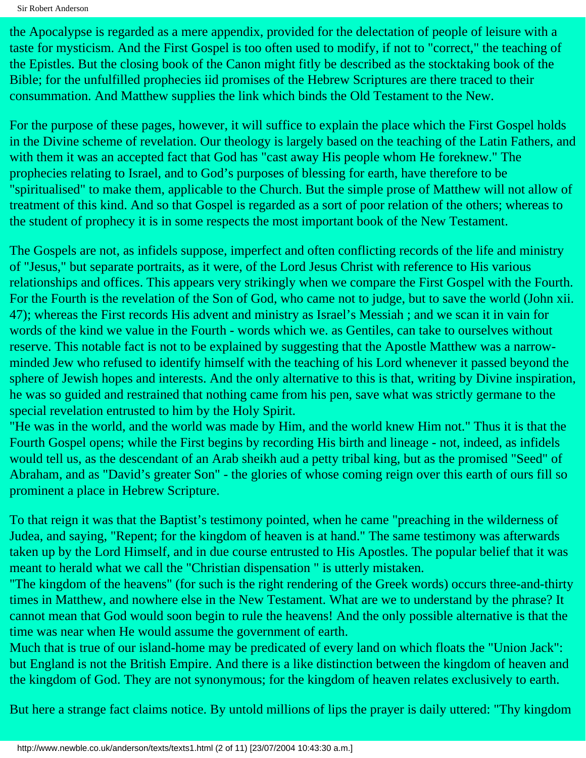Sir Robert Anderson

the Apocalypse is regarded as a mere appendix, provided for the delectation of people of leisure with a taste for mysticism. And the First Gospel is too often used to modify, if not to "correct," the teaching of the Epistles. But the closing book of the Canon might fitly be described as the stocktaking book of the Bible; for the unfulfilled prophecies iid promises of the Hebrew Scriptures are there traced to their consummation. And Matthew supplies the link which binds the Old Testament to the New.

For the purpose of these pages, however, it will suffice to explain the place which the First Gospel holds in the Divine scheme of revelation. Our theology is largely based on the teaching of the Latin Fathers, and with them it was an accepted fact that God has "cast away His people whom He foreknew." The prophecies relating to Israel, and to God's purposes of blessing for earth, have therefore to be "spiritualised" to make them, applicable to the Church. But the simple prose of Matthew will not allow of treatment of this kind. And so that Gospel is regarded as a sort of poor relation of the others; whereas to the student of prophecy it is in some respects the most important book of the New Testament.

The Gospels are not, as infidels suppose, imperfect and often conflicting records of the life and ministry of "Jesus," but separate portraits, as it were, of the Lord Jesus Christ with reference to His various relationships and offices. This appears very strikingly when we compare the First Gospel with the Fourth. For the Fourth is the revelation of the Son of God, who came not to judge, but to save the world (John xii. 47); whereas the First records His advent and ministry as Israel's Messiah ; and we scan it in vain for words of the kind we value in the Fourth - words which we. as Gentiles, can take to ourselves without reserve. This notable fact is not to be explained by suggesting that the Apostle Matthew was a narrowminded Jew who refused to identify himself with the teaching of his Lord whenever it passed beyond the sphere of Jewish hopes and interests. And the only alternative to this is that, writing by Divine inspiration, he was so guided and restrained that nothing came from his pen, save what was strictly germane to the special revelation entrusted to him by the Holy Spirit.

"He was in the world, and the world was made by Him, and the world knew Him not." Thus it is that the Fourth Gospel opens; while the First begins by recording His birth and lineage - not, indeed, as infidels would tell us, as the descendant of an Arab sheikh aud a petty tribal king, but as the promised "Seed" of Abraham, and as "David's greater Son" - the glories of whose coming reign over this earth of ours fill so prominent a place in Hebrew Scripture.

To that reign it was that the Baptist's testimony pointed, when he came "preaching in the wilderness of Judea, and saying, "Repent; for the kingdom of heaven is at hand." The same testimony was afterwards taken up by the Lord Himself, and in due course entrusted to His Apostles. The popular belief that it was meant to herald what we call the "Christian dispensation " is utterly mistaken.

"The kingdom of the heavens" (for such is the right rendering of the Greek words) occurs three-and-thirty times in Matthew, and nowhere else in the New Testament. What are we to understand by the phrase? It cannot mean that God would soon begin to rule the heavens! And the only possible alternative is that the time was near when He would assume the government of earth.

Much that is true of our island-home may be predicated of every land on which floats the "Union Jack": but England is not the British Empire. And there is a like distinction between the kingdom of heaven and the kingdom of God. They are not synonymous; for the kingdom of heaven relates exclusively to earth.

But here a strange fact claims notice. By untold millions of lips the prayer is daily uttered: "Thy kingdom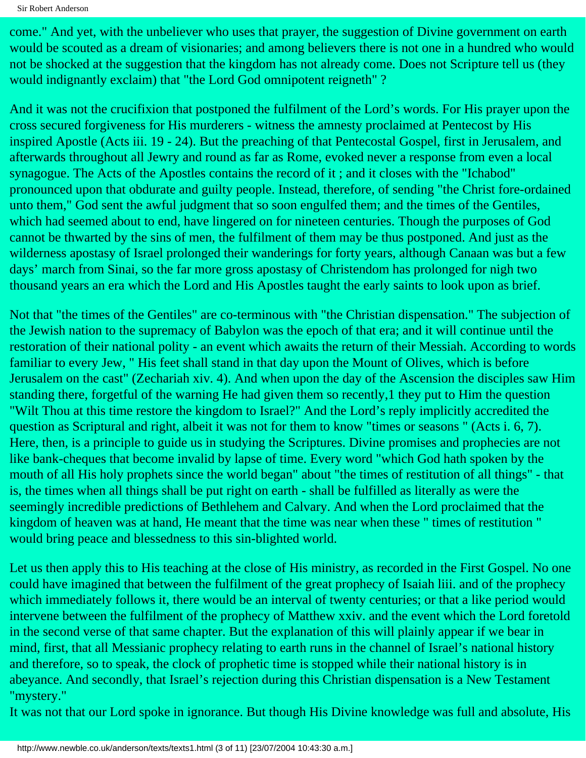Sir Robert Anderson

come." And yet, with the unbeliever who uses that prayer, the suggestion of Divine government on earth would be scouted as a dream of visionaries; and among believers there is not one in a hundred who would not be shocked at the suggestion that the kingdom has not already come. Does not Scripture tell us (they would indignantly exclaim) that "the Lord God omnipotent reigneth" ?

And it was not the crucifixion that postponed the fulfilment of the Lord's words. For His prayer upon the cross secured forgiveness for His murderers - witness the amnesty proclaimed at Pentecost by His inspired Apostle (Acts iii. 19 - 24). But the preaching of that Pentecostal Gospel, first in Jerusalem, and afterwards throughout all Jewry and round as far as Rome, evoked never a response from even a local synagogue. The Acts of the Apostles contains the record of it ; and it closes with the "Ichabod" pronounced upon that obdurate and guilty people. Instead, therefore, of sending "the Christ fore-ordained unto them," God sent the awful judgment that so soon engulfed them; and the times of the Gentiles, which had seemed about to end, have lingered on for nineteen centuries. Though the purposes of God cannot be thwarted by the sins of men, the fulfilment of them may be thus postponed. And just as the wilderness apostasy of Israel prolonged their wanderings for forty years, although Canaan was but a few days' march from Sinai, so the far more gross apostasy of Christendom has prolonged for nigh two thousand years an era which the Lord and His Apostles taught the early saints to look upon as brief.

Not that "the times of the Gentiles" are co-terminous with "the Christian dispensation." The subjection of the Jewish nation to the supremacy of Babylon was the epoch of that era; and it will continue until the restoration of their national polity - an event which awaits the return of their Messiah. According to words familiar to every Jew, " His feet shall stand in that day upon the Mount of Olives, which is before Jerusalem on the cast" (Zechariah xiv. 4). And when upon the day of the Ascension the disciples saw Him standing there, forgetful of the warning He had given them so recently,1 they put to Him the question "Wilt Thou at this time restore the kingdom to Israel?" And the Lord's reply implicitly accredited the question as Scriptural and right, albeit it was not for them to know "times or seasons " (Acts i. 6, 7). Here, then, is a principle to guide us in studying the Scriptures. Divine promises and prophecies are not like bank-cheques that become invalid by lapse of time. Every word "which God hath spoken by the mouth of all His holy prophets since the world began" about "the times of restitution of all things" - that is, the times when all things shall be put right on earth - shall be fulfilled as literally as were the seemingly incredible predictions of Bethlehem and Calvary. And when the Lord proclaimed that the kingdom of heaven was at hand, He meant that the time was near when these " times of restitution " would bring peace and blessedness to this sin-blighted world.

Let us then apply this to His teaching at the close of His ministry, as recorded in the First Gospel. No one could have imagined that between the fulfilment of the great prophecy of Isaiah liii. and of the prophecy which immediately follows it, there would be an interval of twenty centuries; or that a like period would intervene between the fulfilment of the prophecy of Matthew xxiv. and the event which the Lord foretold in the second verse of that same chapter. But the explanation of this will plainly appear if we bear in mind, first, that all Messianic prophecy relating to earth runs in the channel of Israel's national history and therefore, so to speak, the clock of prophetic time is stopped while their national history is in abeyance. And secondly, that Israel's rejection during this Christian dispensation is a New Testament "mystery."

It was not that our Lord spoke in ignorance. But though His Divine knowledge was full and absolute, His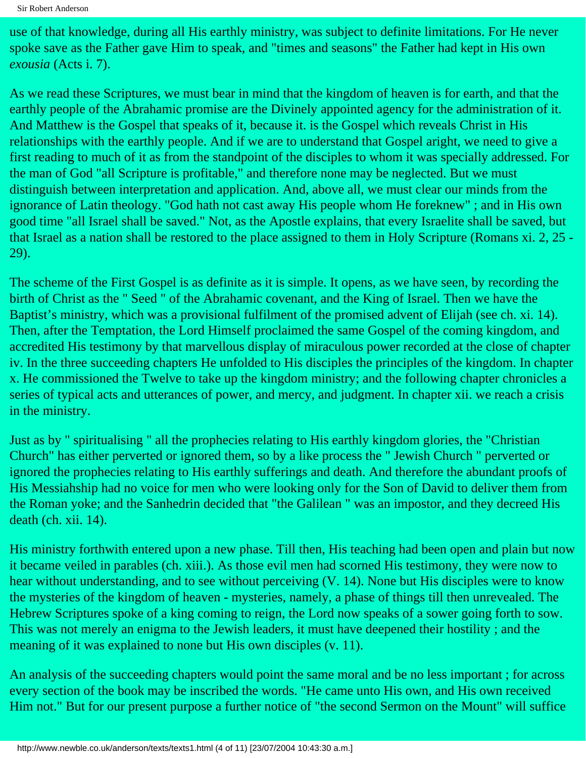Sir Robert Anderson

use of that knowledge, during all His earthly ministry, was subject to definite limitations. For He never spoke save as the Father gave Him to speak, and "times and seasons" the Father had kept in His own *exousia* (Acts i. 7).

As we read these Scriptures, we must bear in mind that the kingdom of heaven is for earth, and that the earthly people of the Abrahamic promise are the Divinely appointed agency for the administration of it. And Matthew is the Gospel that speaks of it, because it. is the Gospel which reveals Christ in His relationships with the earthly people. And if we are to understand that Gospel aright, we need to give a first reading to much of it as from the standpoint of the disciples to whom it was specially addressed. For the man of God "all Scripture is profitable," and therefore none may be neglected. But we must distinguish between interpretation and application. And, above all, we must clear our minds from the ignorance of Latin theology. "God hath not cast away His people whom He foreknew" ; and in His own good time "all Israel shall be saved." Not, as the Apostle explains, that every Israelite shall be saved, but that Israel as a nation shall be restored to the place assigned to them in Holy Scripture (Romans xi. 2, 25 - 29).

The scheme of the First Gospel is as definite as it is simple. It opens, as we have seen, by recording the birth of Christ as the " Seed " of the Abrahamic covenant, and the King of Israel. Then we have the Baptist's ministry, which was a provisional fulfilment of the promised advent of Elijah (see ch. xi. 14). Then, after the Temptation, the Lord Himself proclaimed the same Gospel of the coming kingdom, and accredited His testimony by that marvellous display of miraculous power recorded at the close of chapter iv. In the three succeeding chapters He unfolded to His disciples the principles of the kingdom. In chapter x. He commissioned the Twelve to take up the kingdom ministry; and the following chapter chronicles a series of typical acts and utterances of power, and mercy, and judgment. In chapter xii. we reach a crisis in the ministry.

Just as by " spiritualising " all the prophecies relating to His earthly kingdom glories, the "Christian Church" has either perverted or ignored them, so by a like process the " Jewish Church " perverted or ignored the prophecies relating to His earthly sufferings and death. And therefore the abundant proofs of His Messiahship had no voice for men who were looking only for the Son of David to deliver them from the Roman yoke; and the Sanhedrin decided that "the Galilean " was an impostor, and they decreed His death (ch. xii. 14).

His ministry forthwith entered upon a new phase. Till then, His teaching had been open and plain but now it became veiled in parables (ch. xiii.). As those evil men had scorned His testimony, they were now to hear without understanding, and to see without perceiving (V. 14). None but His disciples were to know the mysteries of the kingdom of heaven - mysteries, namely, a phase of things till then unrevealed. The Hebrew Scriptures spoke of a king coming to reign, the Lord now speaks of a sower going forth to sow. This was not merely an enigma to the Jewish leaders, it must have deepened their hostility ; and the meaning of it was explained to none but His own disciples (v. 11).

An analysis of the succeeding chapters would point the same moral and be no less important ; for across every section of the book may be inscribed the words. "He came unto His own, and His own received Him not." But for our present purpose a further notice of "the second Sermon on the Mount" will suffice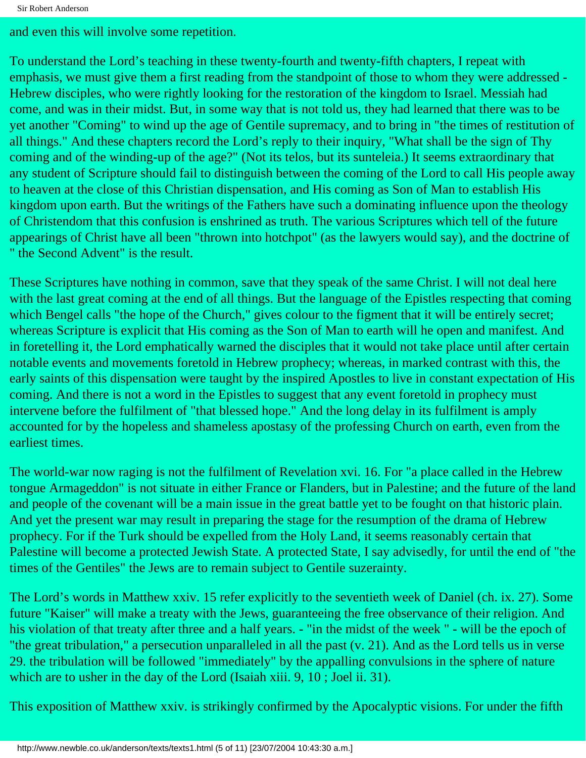```
Sir Robert Anderson
```
and even this will involve some repetition.

To understand the Lord's teaching in these twenty-fourth and twenty-fifth chapters, I repeat with emphasis, we must give them a first reading from the standpoint of those to whom they were addressed - Hebrew disciples, who were rightly looking for the restoration of the kingdom to Israel. Messiah had come, and was in their midst. But, in some way that is not told us, they had learned that there was to be yet another "Coming" to wind up the age of Gentile supremacy, and to bring in "the times of restitution of all things." And these chapters record the Lord's reply to their inquiry, "What shall be the sign of Thy coming and of the winding-up of the age?" (Not its telos, but its sunteleia.) It seems extraordinary that any student of Scripture should fail to distinguish between the coming of the Lord to call His people away to heaven at the close of this Christian dispensation, and His coming as Son of Man to establish His kingdom upon earth. But the writings of the Fathers have such a dominating influence upon the theology of Christendom that this confusion is enshrined as truth. The various Scriptures which tell of the future appearings of Christ have all been "thrown into hotchpot" (as the lawyers would say), and the doctrine of " the Second Advent" is the result.

These Scriptures have nothing in common, save that they speak of the same Christ. I will not deal here with the last great coming at the end of all things. But the language of the Epistles respecting that coming which Bengel calls "the hope of the Church," gives colour to the figment that it will be entirely secret; whereas Scripture is explicit that His coming as the Son of Man to earth will he open and manifest. And in foretelling it, the Lord emphatically warned the disciples that it would not take place until after certain notable events and movements foretold in Hebrew prophecy; whereas, in marked contrast with this, the early saints of this dispensation were taught by the inspired Apostles to live in constant expectation of His coming. And there is not a word in the Epistles to suggest that any event foretold in prophecy must intervene before the fulfilment of "that blessed hope." And the long delay in its fulfilment is amply accounted for by the hopeless and shameless apostasy of the professing Church on earth, even from the earliest times.

The world-war now raging is not the fulfilment of Revelation xvi. 16. For "a place called in the Hebrew tongue Armageddon" is not situate in either France or Flanders, but in Palestine; and the future of the land and people of the covenant will be a main issue in the great battle yet to be fought on that historic plain. And yet the present war may result in preparing the stage for the resumption of the drama of Hebrew prophecy. For if the Turk should be expelled from the Holy Land, it seems reasonably certain that Palestine will become a protected Jewish State. A protected State, I say advisedly, for until the end of "the times of the Gentiles" the Jews are to remain subject to Gentile suzerainty.

The Lord's words in Matthew xxiv. 15 refer explicitly to the seventieth week of Daniel (ch. ix. 27). Some future "Kaiser" will make a treaty with the Jews, guaranteeing the free observance of their religion. And his violation of that treaty after three and a half years. - "in the midst of the week " - will be the epoch of "the great tribulation," a persecution unparalleled in all the past (v. 21). And as the Lord tells us in verse 29. the tribulation will be followed "immediately" by the appalling convulsions in the sphere of nature which are to usher in the day of the Lord (Isaiah xiii. 9, 10; Joel ii. 31).

This exposition of Matthew xxiv. is strikingly confirmed by the Apocalyptic visions. For under the fifth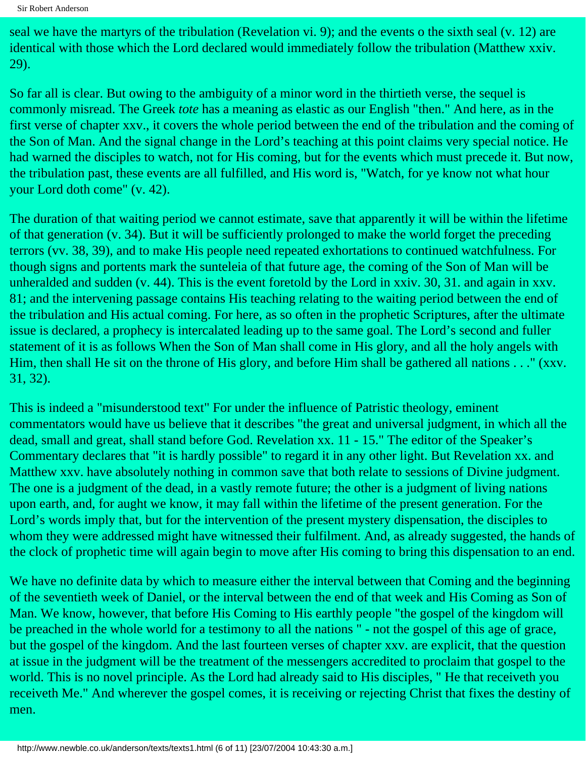seal we have the martyrs of the tribulation (Revelation vi. 9); and the events o the sixth seal (v. 12) are identical with those which the Lord declared would immediately follow the tribulation (Matthew xxiv. 29).

So far all is clear. But owing to the ambiguity of a minor word in the thirtieth verse, the sequel is commonly misread. The Greek *tote* has a meaning as elastic as our English "then." And here, as in the first verse of chapter xxv., it covers the whole period between the end of the tribulation and the coming of the Son of Man. And the signal change in the Lord's teaching at this point claims very special notice. He had warned the disciples to watch, not for His coming, but for the events which must precede it. But now, the tribulation past, these events are all fulfilled, and His word is, "Watch, for ye know not what hour your Lord doth come" (v. 42).

The duration of that waiting period we cannot estimate, save that apparently it will be within the lifetime of that generation (v. 34). But it will be sufficiently prolonged to make the world forget the preceding terrors (vv. 38, 39), and to make His people need repeated exhortations to continued watchfulness. For though signs and portents mark the sunteleia of that future age, the coming of the Son of Man will be unheralded and sudden (v. 44). This is the event foretold by the Lord in xxiv. 30, 31. and again in xxv. 81; and the intervening passage contains His teaching relating to the waiting period between the end of the tribulation and His actual coming. For here, as so often in the prophetic Scriptures, after the ultimate issue is declared, a prophecy is intercalated leading up to the same goal. The Lord's second and fuller statement of it is as follows When the Son of Man shall come in His glory, and all the holy angels with Him, then shall He sit on the throne of His glory, and before Him shall be gathered all nations . . ." (xxv. 31, 32).

This is indeed a "misunderstood text" For under the influence of Patristic theology, eminent commentators would have us believe that it describes "the great and universal judgment, in which all the dead, small and great, shall stand before God. Revelation xx. 11 - 15." The editor of the Speaker's Commentary declares that "it is hardly possible" to regard it in any other light. But Revelation xx. and Matthew xxv. have absolutely nothing in common save that both relate to sessions of Divine judgment. The one is a judgment of the dead, in a vastly remote future; the other is a judgment of living nations upon earth, and, for aught we know, it may fall within the lifetime of the present generation. For the Lord's words imply that, but for the intervention of the present mystery dispensation, the disciples to whom they were addressed might have witnessed their fulfilment. And, as already suggested, the hands of the clock of prophetic time will again begin to move after His coming to bring this dispensation to an end.

We have no definite data by which to measure either the interval between that Coming and the beginning of the seventieth week of Daniel, or the interval between the end of that week and His Coming as Son of Man. We know, however, that before His Coming to His earthly people "the gospel of the kingdom will be preached in the whole world for a testimony to all the nations " - not the gospel of this age of grace, but the gospel of the kingdom. And the last fourteen verses of chapter xxv. are explicit, that the question at issue in the judgment will be the treatment of the messengers accredited to proclaim that gospel to the world. This is no novel principle. As the Lord had already said to His disciples, " He that receiveth you receiveth Me." And wherever the gospel comes, it is receiving or rejecting Christ that fixes the destiny of men.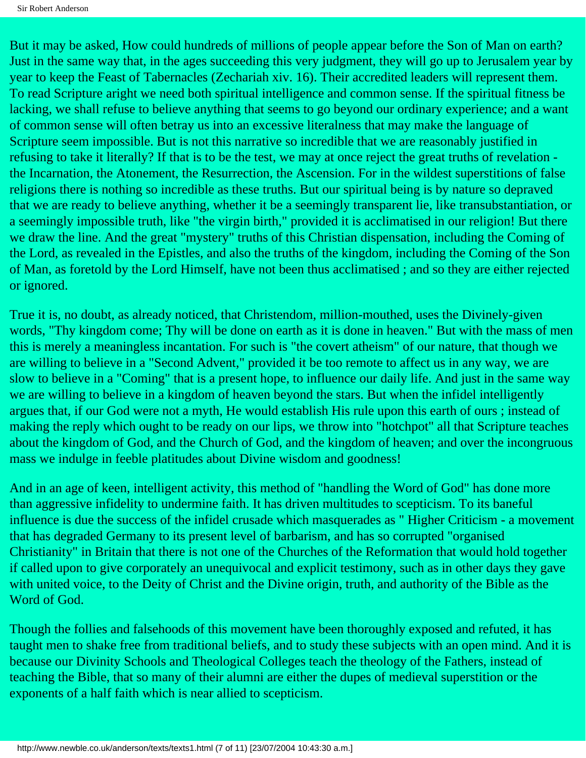Sir Robert Anderson

But it may be asked, How could hundreds of millions of people appear before the Son of Man on earth? Just in the same way that, in the ages succeeding this very judgment, they will go up to Jerusalem year by year to keep the Feast of Tabernacles (Zechariah xiv. 16). Their accredited leaders will represent them. To read Scripture aright we need both spiritual intelligence and common sense. If the spiritual fitness be lacking, we shall refuse to believe anything that seems to go beyond our ordinary experience; and a want of common sense will often betray us into an excessive literalness that may make the language of Scripture seem impossible. But is not this narrative so incredible that we are reasonably justified in refusing to take it literally? If that is to be the test, we may at once reject the great truths of revelation the Incarnation, the Atonement, the Resurrection, the Ascension. For in the wildest superstitions of false religions there is nothing so incredible as these truths. But our spiritual being is by nature so depraved that we are ready to believe anything, whether it be a seemingly transparent lie, like transubstantiation, or a seemingly impossible truth, like "the virgin birth," provided it is acclimatised in our religion! But there we draw the line. And the great "mystery" truths of this Christian dispensation, including the Coming of the Lord, as revealed in the Epistles, and also the truths of the kingdom, including the Coming of the Son of Man, as foretold by the Lord Himself, have not been thus acclimatised ; and so they are either rejected or ignored.

True it is, no doubt, as already noticed, that Christendom, million-mouthed, uses the Divinely-given words, "Thy kingdom come; Thy will be done on earth as it is done in heaven." But with the mass of men this is merely a meaningless incantation. For such is "the covert atheism" of our nature, that though we are willing to believe in a "Second Advent," provided it be too remote to affect us in any way, we are slow to believe in a "Coming" that is a present hope, to influence our daily life. And just in the same way we are willing to believe in a kingdom of heaven beyond the stars. But when the infidel intelligently argues that, if our God were not a myth, He would establish His rule upon this earth of ours ; instead of making the reply which ought to be ready on our lips, we throw into "hotchpot" all that Scripture teaches about the kingdom of God, and the Church of God, and the kingdom of heaven; and over the incongruous mass we indulge in feeble platitudes about Divine wisdom and goodness!

And in an age of keen, intelligent activity, this method of "handling the Word of God" has done more than aggressive infidelity to undermine faith. It has driven multitudes to scepticism. To its baneful influence is due the success of the infidel crusade which masquerades as " Higher Criticism - a movement that has degraded Germany to its present level of barbarism, and has so corrupted "organised Christianity" in Britain that there is not one of the Churches of the Reformation that would hold together if called upon to give corporately an unequivocal and explicit testimony, such as in other days they gave with united voice, to the Deity of Christ and the Divine origin, truth, and authority of the Bible as the Word of God.

Though the follies and falsehoods of this movement have been thoroughly exposed and refuted, it has taught men to shake free from traditional beliefs, and to study these subjects with an open mind. And it is because our Divinity Schools and Theological Colleges teach the theology of the Fathers, instead of teaching the Bible, that so many of their alumni are either the dupes of medieval superstition or the exponents of a half faith which is near allied to scepticism.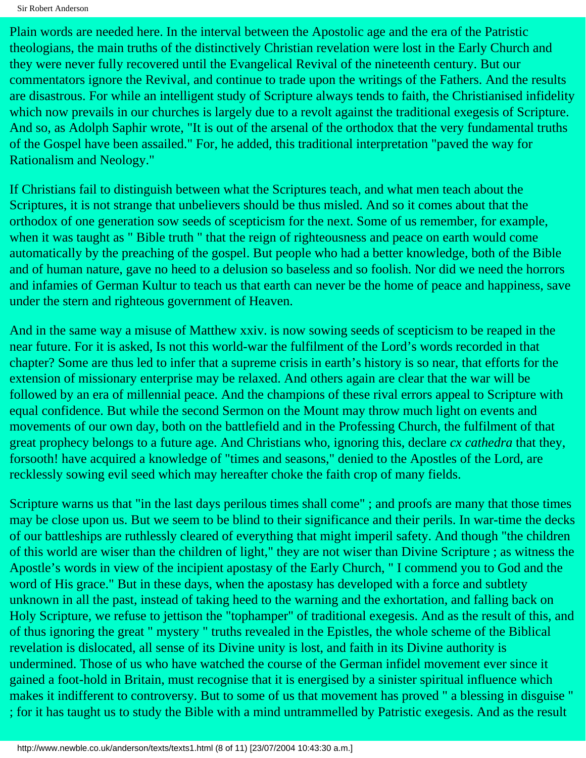Plain words are needed here. In the interval between the Apostolic age and the era of the Patristic theologians, the main truths of the distinctively Christian revelation were lost in the Early Church and they were never fully recovered until the Evangelical Revival of the nineteenth century. But our commentators ignore the Revival, and continue to trade upon the writings of the Fathers. And the results are disastrous. For while an intelligent study of Scripture always tends to faith, the Christianised infidelity which now prevails in our churches is largely due to a revolt against the traditional exegesis of Scripture. And so, as Adolph Saphir wrote, "It is out of the arsenal of the orthodox that the very fundamental truths of the Gospel have been assailed." For, he added, this traditional interpretation "paved the way for Rationalism and Neology."

If Christians fail to distinguish between what the Scriptures teach, and what men teach about the Scriptures, it is not strange that unbelievers should be thus misled. And so it comes about that the orthodox of one generation sow seeds of scepticism for the next. Some of us remember, for example, when it was taught as " Bible truth " that the reign of righteousness and peace on earth would come automatically by the preaching of the gospel. But people who had a better knowledge, both of the Bible and of human nature, gave no heed to a delusion so baseless and so foolish. Nor did we need the horrors and infamies of German Kultur to teach us that earth can never be the home of peace and happiness, save under the stern and righteous government of Heaven.

And in the same way a misuse of Matthew xxiv. is now sowing seeds of scepticism to be reaped in the near future. For it is asked, Is not this world-war the fulfilment of the Lord's words recorded in that chapter? Some are thus led to infer that a supreme crisis in earth's history is so near, that efforts for the extension of missionary enterprise may be relaxed. And others again are clear that the war will be followed by an era of millennial peace. And the champions of these rival errors appeal to Scripture with equal confidence. But while the second Sermon on the Mount may throw much light on events and movements of our own day, both on the battlefield and in the Professing Church, the fulfilment of that great prophecy belongs to a future age. And Christians who, ignoring this, declare *cx cathedra* that they, forsooth! have acquired a knowledge of "times and seasons," denied to the Apostles of the Lord, are recklessly sowing evil seed which may hereafter choke the faith crop of many fields.

Scripture warns us that "in the last days perilous times shall come"; and proofs are many that those times may be close upon us. But we seem to be blind to their significance and their perils. In war-time the decks of our battleships are ruthlessly cleared of everything that might imperil safety. And though "the children of this world are wiser than the children of light," they are not wiser than Divine Scripture ; as witness the Apostle's words in view of the incipient apostasy of the Early Church, " I commend you to God and the word of His grace." But in these days, when the apostasy has developed with a force and subtlety unknown in all the past, instead of taking heed to the warning and the exhortation, and falling back on Holy Scripture, we refuse to jettison the "tophamper" of traditional exegesis. And as the result of this, and of thus ignoring the great " mystery " truths revealed in the Epistles, the whole scheme of the Biblical revelation is dislocated, all sense of its Divine unity is lost, and faith in its Divine authority is undermined. Those of us who have watched the course of the German infidel movement ever since it gained a foot-hold in Britain, must recognise that it is energised by a sinister spiritual influence which makes it indifferent to controversy. But to some of us that movement has proved " a blessing in disguise " ; for it has taught us to study the Bible with a mind untrammelled by Patristic exegesis. And as the result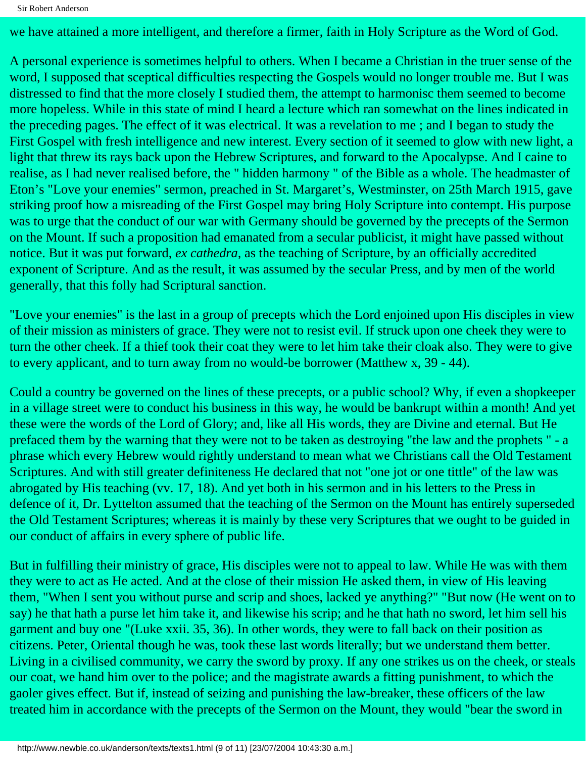Sir Robert Anderson

we have attained a more intelligent, and therefore a firmer, faith in Holy Scripture as the Word of God.

A personal experience is sometimes helpful to others. When I became a Christian in the truer sense of the word, I supposed that sceptical difficulties respecting the Gospels would no longer trouble me. But I was distressed to find that the more closely I studied them, the attempt to harmonisc them seemed to become more hopeless. While in this state of mind I heard a lecture which ran somewhat on the lines indicated in the preceding pages. The effect of it was electrical. It was a revelation to me ; and I began to study the First Gospel with fresh intelligence and new interest. Every section of it seemed to glow with new light, a light that threw its rays back upon the Hebrew Scriptures, and forward to the Apocalypse. And I caine to realise, as I had never realised before, the " hidden harmony " of the Bible as a whole. The headmaster of Eton's "Love your enemies" sermon, preached in St. Margaret's, Westminster, on 25th March 1915, gave striking proof how a misreading of the First Gospel may bring Holy Scripture into contempt. His purpose was to urge that the conduct of our war with Germany should be governed by the precepts of the Sermon on the Mount. If such a proposition had emanated from a secular publicist, it might have passed without notice. But it was put forward, *ex cathedra,* as the teaching of Scripture, by an officially accredited exponent of Scripture. And as the result, it was assumed by the secular Press, and by men of the world generally, that this folly had Scriptural sanction.

"Love your enemies" is the last in a group of precepts which the Lord enjoined upon His disciples in view of their mission as ministers of grace. They were not to resist evil. If struck upon one cheek they were to turn the other cheek. If a thief took their coat they were to let him take their cloak also. They were to give to every applicant, and to turn away from no would-be borrower (Matthew x, 39 - 44).

Could a country be governed on the lines of these precepts, or a public school? Why, if even a shopkeeper in a village street were to conduct his business in this way, he would be bankrupt within a month! And yet these were the words of the Lord of Glory; and, like all His words, they are Divine and eternal. But He prefaced them by the warning that they were not to be taken as destroying "the law and the prophets " - a phrase which every Hebrew would rightly understand to mean what we Christians call the Old Testament Scriptures. And with still greater definiteness He declared that not "one jot or one tittle" of the law was abrogated by His teaching (vv. 17, 18). And yet both in his sermon and in his letters to the Press in defence of it, Dr. Lyttelton assumed that the teaching of the Sermon on the Mount has entirely superseded the Old Testament Scriptures; whereas it is mainly by these very Scriptures that we ought to be guided in our conduct of affairs in every sphere of public life.

But in fulfilling their ministry of grace, His disciples were not to appeal to law. While He was with them they were to act as He acted. And at the close of their mission He asked them, in view of His leaving them, "When I sent you without purse and scrip and shoes, lacked ye anything?" "But now (He went on to say) he that hath a purse let him take it, and likewise his scrip; and he that hath no sword, let him sell his garment and buy one "(Luke xxii. 35, 36). In other words, they were to fall back on their position as citizens. Peter, Oriental though he was, took these last words literally; but we understand them better. Living in a civilised community, we carry the sword by proxy. If any one strikes us on the cheek, or steals our coat, we hand him over to the police; and the magistrate awards a fitting punishment, to which the gaoler gives effect. But if, instead of seizing and punishing the law-breaker, these officers of the law treated him in accordance with the precepts of the Sermon on the Mount, they would "bear the sword in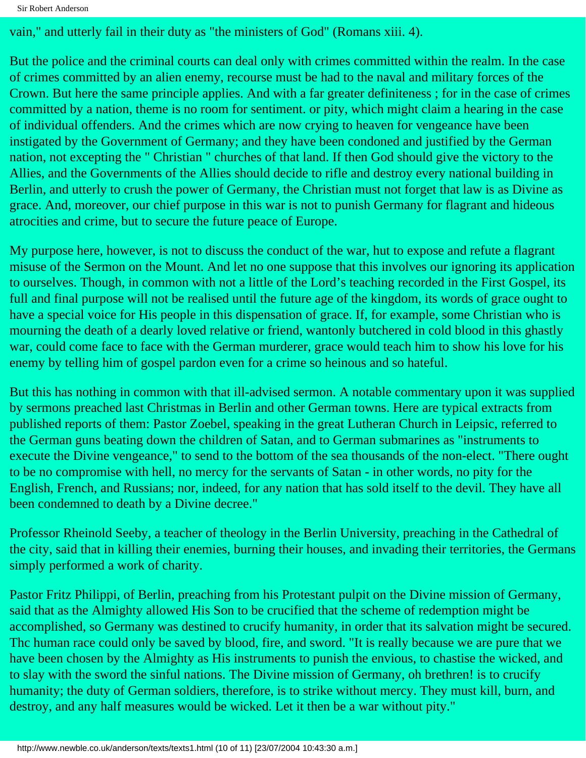Sir Robert Anderson

vain," and utterly fail in their duty as "the ministers of God" (Romans xiii. 4).

But the police and the criminal courts can deal only with crimes committed within the realm. In the case of crimes committed by an alien enemy, recourse must be had to the naval and military forces of the Crown. But here the same principle applies. And with a far greater definiteness ; for in the case of crimes committed by a nation, theme is no room for sentiment. or pity, which might claim a hearing in the case of individual offenders. And the crimes which are now crying to heaven for vengeance have been instigated by the Government of Germany; and they have been condoned and justified by the German nation, not excepting the " Christian " churches of that land. If then God should give the victory to the Allies, and the Governments of the Allies should decide to rifle and destroy every national building in Berlin, and utterly to crush the power of Germany, the Christian must not forget that law is as Divine as grace. And, moreover, our chief purpose in this war is not to punish Germany for flagrant and hideous atrocities and crime, but to secure the future peace of Europe.

My purpose here, however, is not to discuss the conduct of the war, hut to expose and refute a flagrant misuse of the Sermon on the Mount. And let no one suppose that this involves our ignoring its application to ourselves. Though, in common with not a little of the Lord's teaching recorded in the First Gospel, its full and final purpose will not be realised until the future age of the kingdom, its words of grace ought to have a special voice for His people in this dispensation of grace. If, for example, some Christian who is mourning the death of a dearly loved relative or friend, wantonly butchered in cold blood in this ghastly war, could come face to face with the German murderer, grace would teach him to show his love for his enemy by telling him of gospel pardon even for a crime so heinous and so hateful.

But this has nothing in common with that ill-advised sermon. A notable commentary upon it was supplied by sermons preached last Christmas in Berlin and other German towns. Here are typical extracts from published reports of them: Pastor Zoebel, speaking in the great Lutheran Church in Leipsic, referred to the German guns beating down the children of Satan, and to German submarines as "instruments to execute the Divine vengeance," to send to the bottom of the sea thousands of the non-elect. "There ought to be no compromise with hell, no mercy for the servants of Satan - in other words, no pity for the English, French, and Russians; nor, indeed, for any nation that has sold itself to the devil. They have all been condemned to death by a Divine decree."

Professor Rheinold Seeby, a teacher of theology in the Berlin University, preaching in the Cathedral of the city, said that in killing their enemies, burning their houses, and invading their territories, the Germans simply performed a work of charity.

Pastor Fritz Philippi, of Berlin, preaching from his Protestant pulpit on the Divine mission of Germany, said that as the Almighty allowed His Son to be crucified that the scheme of redemption might be accomplished, so Germany was destined to crucify humanity, in order that its salvation might be secured. Thc human race could only be saved by blood, fire, and sword. "It is really because we are pure that we have been chosen by the Almighty as His instruments to punish the envious, to chastise the wicked, and to slay with the sword the sinful nations. The Divine mission of Germany, oh brethren! is to crucify humanity; the duty of German soldiers, therefore, is to strike without mercy. They must kill, burn, and destroy, and any half measures would be wicked. Let it then be a war without pity."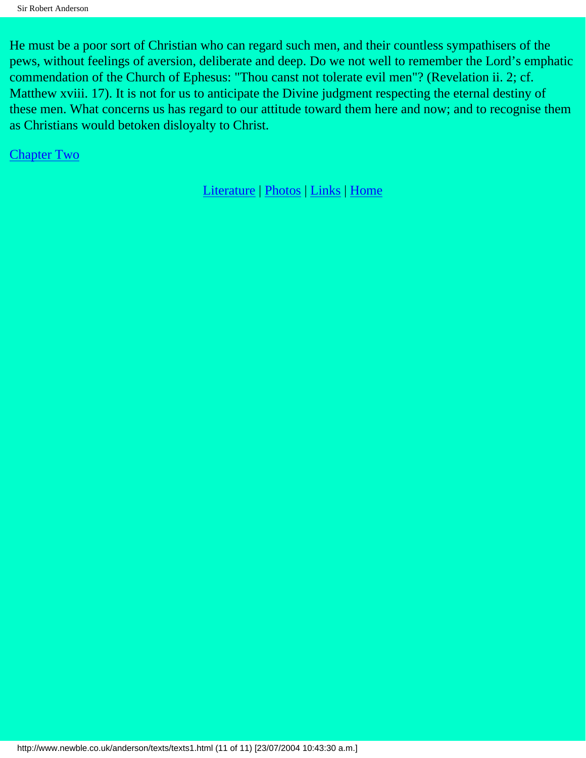He must be a poor sort of Christian who can regard such men, and their countless sympathisers of the pews, without feelings of aversion, deliberate and deep. Do we not well to remember the Lord's emphatic commendation of the Church of Ephesus: "Thou canst not tolerate evil men"? (Revelation ii. 2; cf. Matthew xviii. 17). It is not for us to anticipate the Divine judgment respecting the eternal destiny of these men. What concerns us has regard to our attitude toward them here and now; and to recognise them as Christians would betoken disloyalty to Christ.

[Chapter Two](#page-11-0)

[Literature](http://www.newble.co.uk/literature.html) | [Photos](http://www.newble.co.uk/photos.html) | [Links](http://www.newble.co.uk/links.html) | [Home](http://www.newble.co.uk/index.html)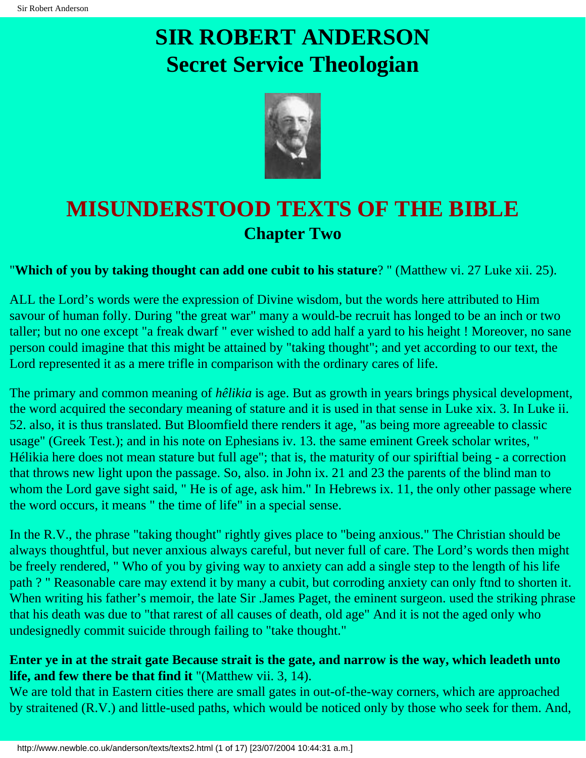# <span id="page-11-0"></span>**SIR ROBERT ANDERSON Secret Service Theologian**



### **MISUNDERSTOOD TEXTS OF THE BIBLE Chapter Two**

#### "**Which of you by taking thought can add one cubit to his stature**? " (Matthew vi. 27 Luke xii. 25).

ALL the Lord's words were the expression of Divine wisdom, but the words here attributed to Him savour of human folly. During "the great war" many a would-be recruit has longed to be an inch or two taller; but no one except "a freak dwarf " ever wished to add half a yard to his height ! Moreover, no sane person could imagine that this might be attained by "taking thought"; and yet according to our text, the Lord represented it as a mere trifle in comparison with the ordinary cares of life.

The primary and common meaning of *hêlikia* is age. But as growth in years brings physical development, the word acquired the secondary meaning of stature and it is used in that sense in Luke xix. 3. In Luke ii. 52. also, it is thus translated. But Bloomfield there renders it age, "as being more agreeable to classic usage" (Greek Test.); and in his note on Ephesians iv. 13. the same eminent Greek scholar writes, " Hélikia here does not mean stature but full age"; that is, the maturity of our spiriftial being - a correction that throws new light upon the passage. So, also. in John ix. 21 and 23 the parents of the blind man to whom the Lord gave sight said, "He is of age, ask him." In Hebrews ix. 11, the only other passage where the word occurs, it means " the time of life" in a special sense.

In the R.V., the phrase "taking thought" rightly gives place to "being anxious." The Christian should be always thoughtful, but never anxious always careful, but never full of care. The Lord's words then might be freely rendered, " Who of you by giving way to anxiety can add a single step to the length of his life path ? " Reasonable care may extend it by many a cubit, but corroding anxiety can only ftnd to shorten it. When writing his father's memoir, the late Sir .James Paget, the eminent surgeon. used the striking phrase that his death was due to "that rarest of all causes of death, old age" And it is not the aged only who undesignedly commit suicide through failing to "take thought."

#### **Enter ye in at the strait gate Because strait is the gate, and narrow is the way, which leadeth unto life, and few there be that find it** "(Matthew vii. 3, 14).

We are told that in Eastern cities there are small gates in out-of-the-way corners, which are approached by straitened (R.V.) and little-used paths, which would be noticed only by those who seek for them. And,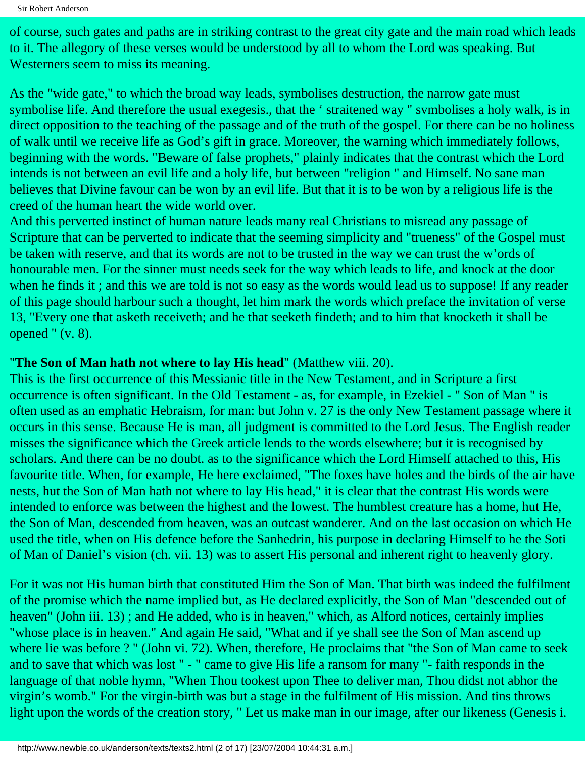of course, such gates and paths are in striking contrast to the great city gate and the main road which leads to it. The allegory of these verses would be understood by all to whom the Lord was speaking. But Westerners seem to miss its meaning.

As the "wide gate," to which the broad way leads, symbolises destruction, the narrow gate must symbolise life. And therefore the usual exegesis., that the ' straitened way " svmbolises a holy walk, is in direct opposition to the teaching of the passage and of the truth of the gospel. For there can be no holiness of walk until we receive life as God's gift in grace. Moreover, the warning which immediately follows, beginning with the words. "Beware of false prophets," plainly indicates that the contrast which the Lord intends is not between an evil life and a holy life, but between "religion " and Himself. No sane man believes that Divine favour can be won by an evil life. But that it is to be won by a religious life is the creed of the human heart the wide world over.

And this perverted instinct of human nature leads many real Christians to misread any passage of Scripture that can be perverted to indicate that the seeming simplicity and "trueness" of the Gospel must be taken with reserve, and that its words are not to be trusted in the way we can trust the w'ords of honourable men. For the sinner must needs seek for the way which leads to life, and knock at the door when he finds it; and this we are told is not so easy as the words would lead us to suppose! If any reader of this page should harbour such a thought, let him mark the words which preface the invitation of verse 13, "Every one that asketh receiveth; and he that seeketh findeth; and to him that knocketh it shall be opened " (v. 8).

#### "**The Son of Man hath not where to lay His head**" (Matthew viii. 20).

This is the first occurrence of this Messianic title in the New Testament, and in Scripture a first occurrence is often significant. In the Old Testament - as, for example, in Ezekiel - " Son of Man " is often used as an emphatic Hebraism, for man: but John v. 27 is the only New Testament passage where it occurs in this sense. Because He is man, all judgment is committed to the Lord Jesus. The English reader misses the significance which the Greek article lends to the words elsewhere; but it is recognised by scholars. And there can be no doubt. as to the significance which the Lord Himself attached to this, His favourite title. When, for example, He here exclaimed, "The foxes have holes and the birds of the air have nests, hut the Son of Man hath not where to lay His head," it is clear that the contrast His words were intended to enforce was between the highest and the lowest. The humblest creature has a home, hut He, the Son of Man, descended from heaven, was an outcast wanderer. And on the last occasion on which He used the title, when on His defence before the Sanhedrin, his purpose in declaring Himself to he the Soti of Man of Daniel's vision (ch. vii. 13) was to assert His personal and inherent right to heavenly glory.

For it was not His human birth that constituted Him the Son of Man. That birth was indeed the fulfilment of the promise which the name implied but, as He declared explicitly, the Son of Man "descended out of heaven" (John iii. 13); and He added, who is in heaven," which, as Alford notices, certainly implies "whose place is in heaven." And again He said, "What and if ye shall see the Son of Man ascend up where lie was before ? " (John vi. 72). When, therefore, He proclaims that "the Son of Man came to seek and to save that which was lost " - " came to give His life a ransom for many "- faith responds in the language of that noble hymn, "When Thou tookest upon Thee to deliver man, Thou didst not abhor the virgin's womb." For the virgin-birth was but a stage in the fulfilment of His mission. And tins throws light upon the words of the creation story, " Let us make man in our image, after our likeness (Genesis i.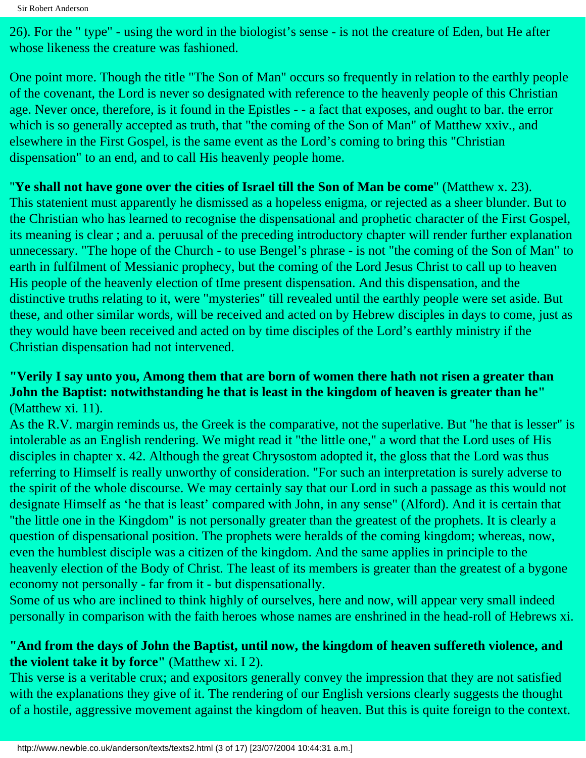26). For the " type" - using the word in the biologist's sense - is not the creature of Eden, but He after whose likeness the creature was fashioned.

One point more. Though the title "The Son of Man" occurs so frequently in relation to the earthly people of the covenant, the Lord is never so designated with reference to the heavenly people of this Christian age. Never once, therefore, is it found in the Epistles - - a fact that exposes, and ought to bar. the error which is so generally accepted as truth, that "the coming of the Son of Man" of Matthew xxiv., and elsewhere in the First Gospel, is the same event as the Lord's coming to bring this "Christian dispensation" to an end, and to call His heavenly people home.

"**Ye shall not have gone over the cities of Israel till the Son of Man be come**" (Matthew x. 23). This statenient must apparently he dismissed as a hopeless enigma, or rejected as a sheer blunder. But to the Christian who has learned to recognise the dispensational and prophetic character of the First Gospel, its meaning is clear ; and a. peruusal of the preceding introductory chapter will render further explanation unnecessary. "The hope of the Church - to use Bengel's phrase - is not "the coming of the Son of Man" to earth in fulfilment of Messianic prophecy, but the coming of the Lord Jesus Christ to call up to heaven His people of the heavenly election of tIme present dispensation. And this dispensation, and the distinctive truths relating to it, were "mysteries" till revealed until the earthly people were set aside. But these, and other similar words, will be received and acted on by Hebrew disciples in days to come, just as they would have been received and acted on by time disciples of the Lord's earthly ministry if the Christian dispensation had not intervened.

#### **"Verily I say unto you, Among them that are born of women there hath not risen a greater than John the Baptist: notwithstanding he that is least in the kingdom of heaven is greater than he"** (Matthew xi. 11).

As the R.V. margin reminds us, the Greek is the comparative, not the superlative. But "he that is lesser" is intolerable as an English rendering. We might read it "the little one," a word that the Lord uses of His disciples in chapter x. 42. Although the great Chrysostom adopted it, the gloss that the Lord was thus referring to Himself is really unworthy of consideration. "For such an interpretation is surely adverse to the spirit of the whole discourse. We may certainly say that our Lord in such a passage as this would not designate Himself as 'he that is least' compared with John, in any sense" (Alford). And it is certain that "the little one in the Kingdom" is not personally greater than the greatest of the prophets. It is clearly a question of dispensational position. The prophets were heralds of the coming kingdom; whereas, now, even the humblest disciple was a citizen of the kingdom. And the same applies in principle to the heavenly election of the Body of Christ. The least of its members is greater than the greatest of a bygone economy not personally - far from it - but dispensationally.

Some of us who are inclined to think highly of ourselves, here and now, will appear very small indeed personally in comparison with the faith heroes whose names are enshrined in the head-roll of Hebrews xi.

#### **"And from the days of John the Baptist, until now, the kingdom of heaven suffereth violence, and the violent take it by force"** (Matthew xi. I 2).

This verse is a veritable crux; and expositors generally convey the impression that they are not satisfied with the explanations they give of it. The rendering of our English versions clearly suggests the thought of a hostile, aggressive movement against the kingdom of heaven. But this is quite foreign to the context.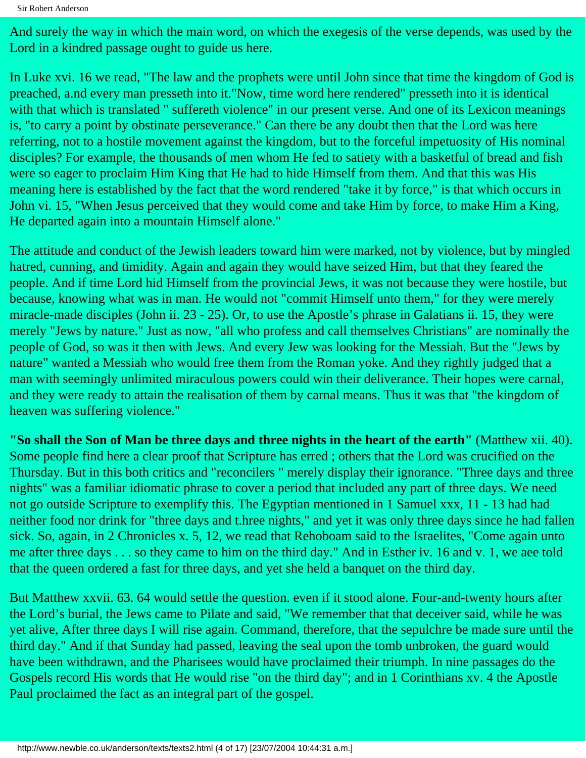Sir Robert Anderson

And surely the way in which the main word, on which the exegesis of the verse depends, was used by the Lord in a kindred passage ought to guide us here.

In Luke xvi. 16 we read, "The law and the prophets were until John since that time the kingdom of God is preached, a.nd every man presseth into it."Now, time word here rendered" presseth into it is identical with that which is translated " suffereth violence" in our present verse. And one of its Lexicon meanings is, "to carry a point by obstinate perseverance." Can there be any doubt then that the Lord was here referring, not to a hostile movement against the kingdom, but to the forceful impetuosity of His nominal disciples? For example, the thousands of men whom He fed to satiety with a basketful of bread and fish were so eager to proclaim Him King that He had to hide Himself from them. And that this was His meaning here is established by the fact that the word rendered "take it by force," is that which occurs in John vi. 15, "When Jesus perceived that they would come and take Him by force, to make Him a King, He departed again into a mountain Himself alone."

The attitude and conduct of the Jewish leaders toward him were marked, not by violence, but by mingled hatred, cunning, and timidity. Again and again they would have seized Him, but that they feared the people. And if time Lord hid Himself from the provincial Jews, it was not because they were hostile, but because, knowing what was in man. He would not "commit Himself unto them," for they were merely miracle-made disciples (John ii. 23 - 25). Or, to use the Apostle's phrase in Galatians ii. 15, they were merely "Jews by nature." Just as now, "all who profess and call themselves Christians" are nominally the people of God, so was it then with Jews. And every Jew was looking for the Messiah. But the "Jews by nature" wanted a Messiah who would free them from the Roman yoke. And they rightly judged that a man with seemingly unlimited miraculous powers could win their deliverance. Their hopes were carnal, and they were ready to attain the realisation of them by carnal means. Thus it was that "the kingdom of heaven was suffering violence."

**"So shall the Son of Man be three days and three nights in the heart of the earth"** (Matthew xii. 40). Some people find here a clear proof that Scripture has erred ; others that the Lord was crucified on the Thursday. But in this both critics and "reconcilers " merely display their ignorance. "Three days and three nights" was a familiar idiomatic phrase to cover a period that included any part of three days. We need not go outside Scripture to exemplify this. The Egyptian mentioned in 1 Samuel xxx, 11 - 13 had had neither food nor drink for "three days and t.hree nights," and yet it was only three days since he had fallen sick. So, again, in 2 Chronicles x. 5, 12, we read that Rehoboam said to the Israelites, "Come again unto me after three days . . . so they came to him on the third day." And in Esther iv. 16 and v. 1, we aee told that the queen ordered a fast for three days, and yet she held a banquet on the third day.

But Matthew xxvii. 63. 64 would settle the question. even if it stood alone. Four-and-twenty hours after the Lord's burial, the Jews came to Pilate and said, "We remember that that deceiver said, while he was yet alive, After three days I will rise again. Command, therefore, that the sepulchre be made sure until the third day." And if that Sunday had passed, leaving the seal upon the tomb unbroken, the guard would have been withdrawn, and the Pharisees would have proclaimed their triumph. In nine passages do the Gospels record His words that He would rise "on the third day"; and in 1 Corinthians xv. 4 the Apostle Paul proclaimed the fact as an integral part of the gospel.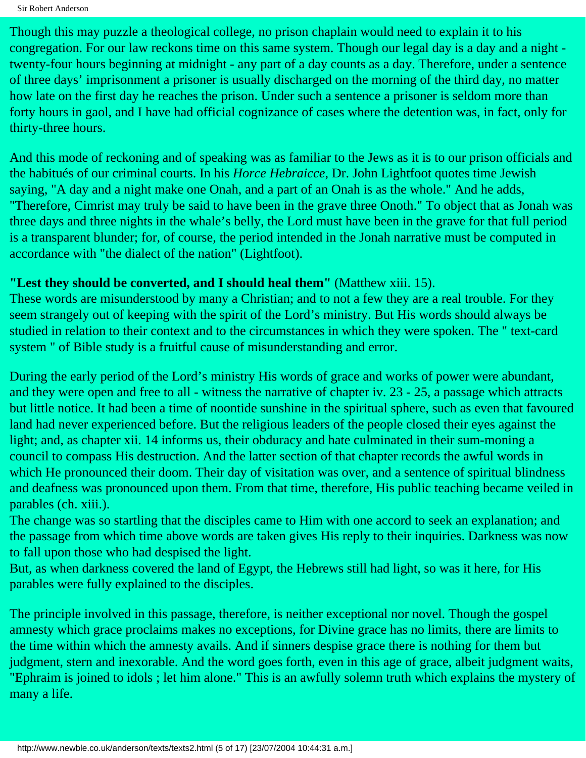Though this may puzzle a theological college, no prison chaplain would need to explain it to his congregation. For our law reckons time on this same system. Though our legal day is a day and a night twenty-four hours beginning at midnight - any part of a day counts as a day. Therefore, under a sentence of three days' imprisonment a prisoner is usually discharged on the morning of the third day, no matter how late on the first day he reaches the prison. Under such a sentence a prisoner is seldom more than forty hours in gaol, and I have had official cognizance of cases where the detention was, in fact, only for thirty-three hours.

And this mode of reckoning and of speaking was as familiar to the Jews as it is to our prison officials and the habitués of our criminal courts. In his *Horce Hebraicce*, Dr. John Lightfoot quotes time Jewish saying, "A day and a night make one Onah, and a part of an Onah is as the whole." And he adds, "Therefore, Cimrist may truly be said to have been in the grave three Onoth." To object that as Jonah was three days and three nights in the whale's belly, the Lord must have been in the grave for that full period is a transparent blunder; for, of course, the period intended in the Jonah narrative must be computed in accordance with "the dialect of the nation" (Lightfoot).

#### **"Lest they should be converted, and I should heal them"** (Matthew xiii. 15).

These words are misunderstood by many a Christian; and to not a few they are a real trouble. For they seem strangely out of keeping with the spirit of the Lord's ministry. But His words should always be studied in relation to their context and to the circumstances in which they were spoken. The " text-card system " of Bible study is a fruitful cause of misunderstanding and error.

During the early period of the Lord's ministry His words of grace and works of power were abundant, and they were open and free to all - witness the narrative of chapter iv. 23 - 25, a passage which attracts but little notice. It had been a time of noontide sunshine in the spiritual sphere, such as even that favoured land had never experienced before. But the religious leaders of the people closed their eyes against the light; and, as chapter xii. 14 informs us, their obduracy and hate culminated in their sum-moning a council to compass His destruction. And the latter section of that chapter records the awful words in which He pronounced their doom. Their day of visitation was over, and a sentence of spiritual blindness and deafness was pronounced upon them. From that time, therefore, His public teaching became veiled in parables (ch. xiii.).

The change was so startling that the disciples came to Him with one accord to seek an explanation; and the passage from which time above words are taken gives His reply to their inquiries. Darkness was now to fall upon those who had despised the light.

But, as when darkness covered the land of Egypt, the Hebrews still had light, so was it here, for His parables were fully explained to the disciples.

The principle involved in this passage, therefore, is neither exceptional nor novel. Though the gospel amnesty which grace proclaims makes no exceptions, for Divine grace has no limits, there are limits to the time within which the amnesty avails. And if sinners despise grace there is nothing for them but judgment, stern and inexorable. And the word goes forth, even in this age of grace, albeit judgment waits, "Ephraim is joined to idols ; let him alone." This is an awfully solemn truth which explains the mystery of many a life.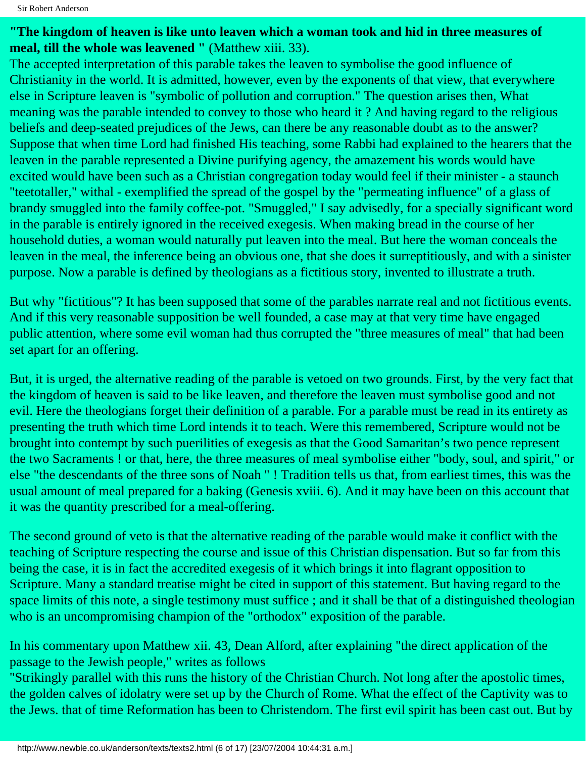#### **"The kingdom of heaven is like unto leaven which a woman took and hid in three measures of meal, till the whole was leavened "** (Matthew xiii. 33).

The accepted interpretation of this parable takes the leaven to symbolise the good influence of Christianity in the world. It is admitted, however, even by the exponents of that view, that everywhere else in Scripture leaven is "symbolic of pollution and corruption." The question arises then, What meaning was the parable intended to convey to those who heard it ? And having regard to the religious beliefs and deep-seated prejudices of the Jews, can there be any reasonable doubt as to the answer? Suppose that when time Lord had finished His teaching, some Rabbi had explained to the hearers that the leaven in the parable represented a Divine purifying agency, the amazement his words would have excited would have been such as a Christian congregation today would feel if their minister - a staunch "teetotaller," withal - exemplified the spread of the gospel by the "permeating influence" of a glass of brandy smuggled into the family coffee-pot. "Smuggled," I say advisedly, for a specially significant word in the parable is entirely ignored in the received exegesis. When making bread in the course of her household duties, a woman would naturally put leaven into the meal. But here the woman conceals the leaven in the meal, the inference being an obvious one, that she does it surreptitiously, and with a sinister purpose. Now a parable is defined by theologians as a fictitious story, invented to illustrate a truth.

But why "fictitious"? It has been supposed that some of the parables narrate real and not fictitious events. And if this very reasonable supposition be well founded, a case may at that very time have engaged public attention, where some evil woman had thus corrupted the "three measures of meal" that had been set apart for an offering.

But, it is urged, the alternative reading of the parable is vetoed on two grounds. First, by the very fact that the kingdom of heaven is said to be like leaven, and therefore the leaven must symbolise good and not evil. Here the theologians forget their definition of a parable. For a parable must be read in its entirety as presenting the truth which time Lord intends it to teach. Were this remembered, Scripture would not be brought into contempt by such puerilities of exegesis as that the Good Samaritan's two pence represent the two Sacraments ! or that, here, the three measures of meal symbolise either "body, soul, and spirit," or else "the descendants of the three sons of Noah " ! Tradition tells us that, from earliest times, this was the usual amount of meal prepared for a baking (Genesis xviii. 6). And it may have been on this account that it was the quantity prescribed for a meal-offering.

The second ground of veto is that the alternative reading of the parable would make it conflict with the teaching of Scripture respecting the course and issue of this Christian dispensation. But so far from this being the case, it is in fact the accredited exegesis of it which brings it into flagrant opposition to Scripture. Many a standard treatise might be cited in support of this statement. But having regard to the space limits of this note, a single testimony must suffice ; and it shall be that of a distinguished theologian who is an uncompromising champion of the "orthodox" exposition of the parable.

In his commentary upon Matthew xii. 43, Dean Alford, after explaining "the direct application of the passage to the Jewish people," writes as follows

"Strikingly parallel with this runs the history of the Christian Church. Not long after the apostolic times, the golden calves of idolatry were set up by the Church of Rome. What the effect of the Captivity was to the Jews. that of time Reformation has been to Christendom. The first evil spirit has been cast out. But by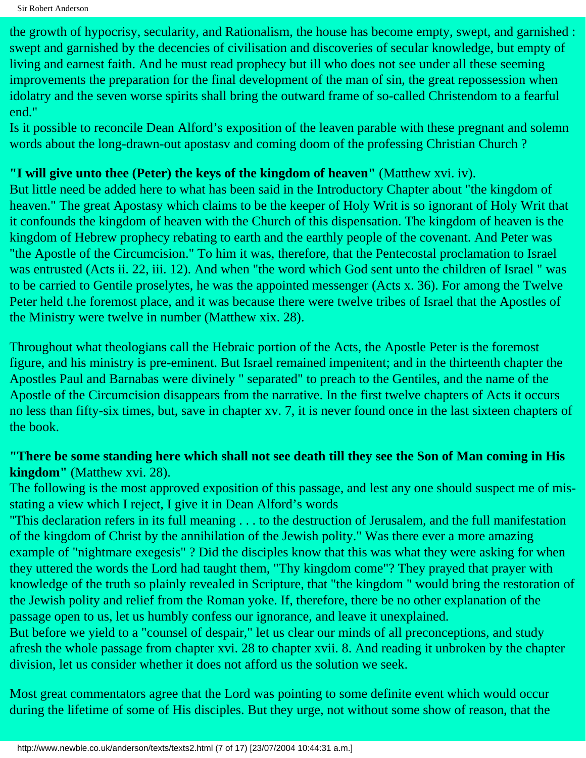the growth of hypocrisy, secularity, and Rationalism, the house has become empty, swept, and garnished : swept and garnished by the decencies of civilisation and discoveries of secular knowledge, but empty of living and earnest faith. And he must read prophecy but ill who does not see under all these seeming improvements the preparation for the final development of the man of sin, the great repossession when idolatry and the seven worse spirits shall bring the outward frame of so-called Christendom to a fearful end."

Is it possible to reconcile Dean Alford's exposition of the leaven parable with these pregnant and solemn words about the long-drawn-out apostasv and coming doom of the professing Christian Church ?

#### **"I will give unto thee (Peter) the keys of the kingdom of heaven"** (Matthew xvi. iv).

But little need be added here to what has been said in the Introductory Chapter about "the kingdom of heaven." The great Apostasy which claims to be the keeper of Holy Writ is so ignorant of Holy Writ that it confounds the kingdom of heaven with the Church of this dispensation. The kingdom of heaven is the kingdom of Hebrew prophecy rebating to earth and the earthly people of the covenant. And Peter was "the Apostle of the Circumcision." To him it was, therefore, that the Pentecostal proclamation to Israel was entrusted (Acts ii. 22, iii. 12). And when "the word which God sent unto the children of Israel " was to be carried to Gentile proselytes, he was the appointed messenger (Acts x. 36). For among the Twelve Peter held t.he foremost place, and it was because there were twelve tribes of Israel that the Apostles of the Ministry were twelve in number (Matthew xix. 28).

Throughout what theologians call the Hebraic portion of the Acts, the Apostle Peter is the foremost figure, and his ministry is pre-eminent. But Israel remained impenitent; and in the thirteenth chapter the Apostles Paul and Barnabas were divinely " separated" to preach to the Gentiles, and the name of the Apostle of the Circumcision disappears from the narrative. In the first twelve chapters of Acts it occurs no less than fifty-six times, but, save in chapter xv. 7, it is never found once in the last sixteen chapters of the book.

#### **"There be some standing here which shall not see death till they see the Son of Man coming in His kingdom"** (Matthew xvi. 28).

The following is the most approved exposition of this passage, and lest any one should suspect me of misstating a view which I reject, I give it in Dean Alford's words

"This declaration refers in its full meaning . . . to the destruction of Jerusalem, and the full manifestation of the kingdom of Christ by the annihilation of the Jewish polity." Was there ever a more amazing example of "nightmare exegesis" ? Did the disciples know that this was what they were asking for when they uttered the words the Lord had taught them, "Thy kingdom come"? They prayed that prayer with knowledge of the truth so plainly revealed in Scripture, that "the kingdom " would bring the restoration of the Jewish polity and relief from the Roman yoke. If, therefore, there be no other explanation of the passage open to us, let us humbly confess our ignorance, and leave it unexplained.

But before we yield to a "counsel of despair," let us clear our minds of all preconceptions, and study afresh the whole passage from chapter xvi. 28 to chapter xvii. 8. And reading it unbroken by the chapter division, let us consider whether it does not afford us the solution we seek.

Most great commentators agree that the Lord was pointing to some definite event which would occur during the lifetime of some of His disciples. But they urge, not without some show of reason, that the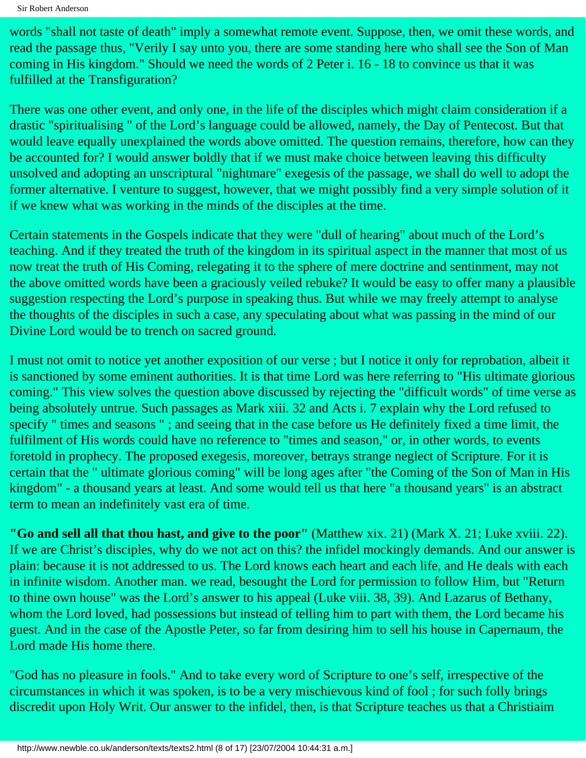words "shall not taste of death" imply a somewhat remote event. Suppose, then, we omit these words, and read the passage thus, "Verily I say unto you, there are some standing here who shall see the Son of Man coming in His kingdom." Should we need the words of 2 Peter i. 16 - 18 to convince us that it was fulfilled at the Transfiguration?

There was one other event, and only one, in the life of the disciples which might claim consideration if a drastic "spiritualising " of the Lord's language could be allowed, namely, the Day of Pentecost. But that would leave equally unexplained the words above omitted. The question remains, therefore, how can they be accounted for? I would answer boldly that if we must make choice between leaving this difficulty unsolved and adopting an unscriptural "nightmare" exegesis of the passage, we shall do well to adopt the former alternative. I venture to suggest, however, that we might possibly find a very simple solution of it if we knew what was working in the minds of the disciples at the time.

Certain statements in the Gospels indicate that they were "dull of hearing" about much of the Lord's teaching. And if they treated the truth of the kingdom in its spiritual aspect in the manner that most of us now treat the truth of His Coming, relegating it to the sphere of mere doctrine and sentinment, may not the above omitted words have been a graciously veiled rebuke? It would be easy to offer many a plausible suggestion respecting the Lord's purpose in speaking thus. But while we may freely attempt to analyse the thoughts of the disciples in such a case, any speculating about what was passing in the mind of our Divine Lord would be to trench on sacred ground.

I must not omit to notice yet another exposition of our verse ; but I notice it only for reprobation, albeit it is sanctioned by some eminent authorities. It is that time Lord was here referring to "His ultimate glorious coming." This view solves the question above discussed by rejecting the "difficult words" of time verse as being absolutely untrue. Such passages as Mark xiii. 32 and Acts i. 7 explain why the Lord refused to specify " times and seasons " ; and seeing that in the case before us He definitely fixed a time limit, the fulfilment of His words could have no reference to "times and season," or, in other words, to events foretold in prophecy. The proposed exegesis, moreover, betrays strange neglect of Scripture. For it is certain that the " ultimate glorious coming" will be long ages after "the Coming of the Son of Man in His kingdom" - a thousand years at least. And some would tell us that here "a thousand years" is an abstract term to mean an indefinitely vast era of time.

**"Go and sell all that thou hast, and give to the poor"** (Matthew xix. 21) (Mark X. 21; Luke xviii. 22). If we are Christ's disciples, why do we not act on this? the infidel mockingly demands. And our answer is plain: because it is not addressed to us. The Lord knows each heart and each life, and He deals with each in infinite wisdom. Another man. we read, besought the Lord for permission to follow Him, but "Return to thine own house" was the Lord's answer to his appeal (Luke viii. 38, 39). And Lazarus of Bethany, whom the Lord loved, had possessions but instead of telling him to part with them, the Lord became his guest. And in the case of the Apostle Peter, so far from desiring him to sell his house in Capernaum, the Lord made His home there.

"God has no pleasure in fools." And to take every word of Scripture to one's self, irrespective of the circumstances in which it was spoken, is to be a very mischievous kind of fool ; for such folly brings discredit upon Holy Writ. Our answer to the infidel, then, is that Scripture teaches us that a Christiaim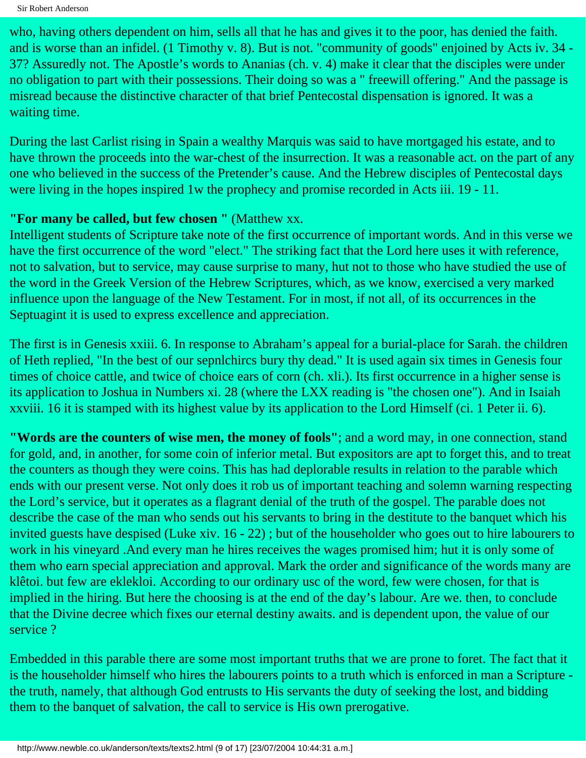who, having others dependent on him, sells all that he has and gives it to the poor, has denied the faith. and is worse than an infidel. (1 Timothy v. 8). But is not. "community of goods" enjoined by Acts iv. 34 - 37? Assuredly not. The Apostle's words to Ananias (ch. v. 4) make it clear that the disciples were under no obligation to part with their possessions. Their doing so was a " freewill offering." And the passage is misread because the distinctive character of that brief Pentecostal dispensation is ignored. It was a waiting time.

During the last Carlist rising in Spain a wealthy Marquis was said to have mortgaged his estate, and to have thrown the proceeds into the war-chest of the insurrection. It was a reasonable act. on the part of any one who believed in the success of the Pretender's cause. And the Hebrew disciples of Pentecostal days were living in the hopes inspired 1w the prophecy and promise recorded in Acts iii. 19 - 11.

#### **"For many be called, but few chosen "** (Matthew xx.)

Intelligent students of Scripture take note of the first occurrence of important words. And in this verse we have the first occurrence of the word "elect." The striking fact that the Lord here uses it with reference, not to salvation, but to service, may cause surprise to many, hut not to those who have studied the use of the word in the Greek Version of the Hebrew Scriptures, which, as we know, exercised a very marked influence upon the language of the New Testament. For in most, if not all, of its occurrences in the Septuagint it is used to express excellence and appreciation.

The first is in Genesis xxiii. 6. In response to Abraham's appeal for a burial-place for Sarah. the children of Heth replied, "In the best of our sepnlchircs bury thy dead." It is used again six times in Genesis four times of choice cattle, and twice of choice ears of corn (ch. xli.). Its first occurrence in a higher sense is its application to Joshua in Numbers xi. 28 (where the LXX reading is "the chosen one"). And in Isaiah xxviii. 16 it is stamped with its highest value by its application to the Lord Himself (ci. 1 Peter ii. 6).

**"Words are the counters of wise men, the money of fools"**; and a word may, in one connection, stand for gold, and, in another, for some coin of inferior metal. But expositors are apt to forget this, and to treat the counters as though they were coins. This has had deplorable results in relation to the parable which ends with our present verse. Not only does it rob us of important teaching and solemn warning respecting the Lord's service, but it operates as a flagrant denial of the truth of the gospel. The parable does not describe the case of the man who sends out his servants to bring in the destitute to the banquet which his invited guests have despised (Luke xiv. 16 - 22) ; but of the householder who goes out to hire labourers to work in his vineyard .And every man he hires receives the wages promised him; hut it is only some of them who earn special appreciation and approval. Mark the order and significance of the words many are klêtoi. but few are eklekloi. According to our ordinary usc of the word, few were chosen, for that is implied in the hiring. But here the choosing is at the end of the day's labour. Are we. then, to conclude that the Divine decree which fixes our eternal destiny awaits. and is dependent upon, the value of our service ?

Embedded in this parable there are some most important truths that we are prone to foret. The fact that it is the householder himself who hires the labourers points to a truth which is enforced in man a Scripture the truth, namely, that although God entrusts to His servants the duty of seeking the lost, and bidding them to the banquet of salvation, the call to service is His own prerogative.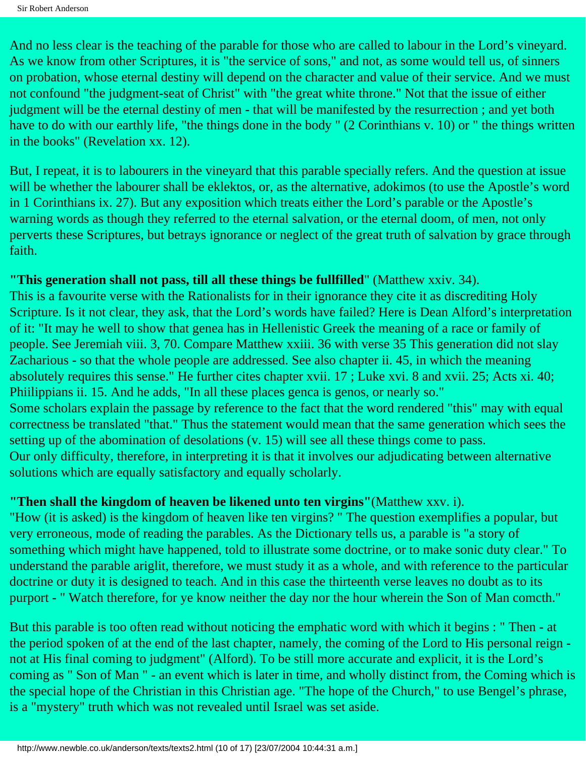And no less clear is the teaching of the parable for those who are called to labour in the Lord's vineyard. As we know from other Scriptures, it is "the service of sons," and not, as some would tell us, of sinners on probation, whose eternal destiny will depend on the character and value of their service. And we must not confound "the judgment-seat of Christ" with "the great white throne." Not that the issue of either judgment will be the eternal destiny of men - that will be manifested by the resurrection ; and yet both have to do with our earthly life, "the things done in the body " (2 Corinthians v. 10) or " the things written in the books" (Revelation xx. 12).

But, I repeat, it is to labourers in the vineyard that this parable specially refers. And the question at issue will be whether the labourer shall be eklektos, or, as the alternative, adokimos (to use the Apostle's word in 1 Corinthians ix. 27). But any exposition which treats either the Lord's parable or the Apostle's warning words as though they referred to the eternal salvation, or the eternal doom, of men, not only perverts these Scriptures, but betrays ignorance or neglect of the great truth of salvation by grace through faith.

#### **"This generation shall not pass, till all these things be fullfilled**" (Matthew xxiv. 34).

This is a favourite verse with the Rationalists for in their ignorance they cite it as discrediting Holy Scripture. Is it not clear, they ask, that the Lord's words have failed? Here is Dean Alford's interpretation of it: "It may he well to show that genea has in Hellenistic Greek the meaning of a race or family of people. See Jeremiah viii. 3, 70. Compare Matthew xxiii. 36 with verse 35 This generation did not slay Zacharious - so that the whole people are addressed. See also chapter ii. 45, in which the meaning absolutely requires this sense." He further cites chapter xvii. 17 ; Luke xvi. 8 and xvii. 25; Acts xi. 40; Phiilippians ii. 15. And he adds, "In all these places genca is genos, or nearly so." Some scholars explain the passage by reference to the fact that the word rendered "this" may with equal correctness be translated "that." Thus the statement would mean that the same generation which sees the setting up of the abomination of desolations (v. 15) will see all these things come to pass. Our only difficulty, therefore, in interpreting it is that it involves our adjudicating between alternative solutions which are equally satisfactory and equally scholarly.

#### **"Then shall the kingdom of heaven be likened unto ten virgins"**(Matthew xxv. i).

"How (it is asked) is the kingdom of heaven like ten virgins? " The question exemplifies a popular, but very erroneous, mode of reading the parables. As the Dictionary tells us, a parable is "a story of something which might have happened, told to illustrate some doctrine, or to make sonic duty clear." To understand the parable ariglit, therefore, we must study it as a whole, and with reference to the particular doctrine or duty it is designed to teach. And in this case the thirteenth verse leaves no doubt as to its purport - " Watch therefore, for ye know neither the day nor the hour wherein the Son of Man comcth."

But this parable is too often read without noticing the emphatic word with which it begins : " Then - at the period spoken of at the end of the last chapter, namely, the coming of the Lord to His personal reign not at His final coming to judgment" (Alford). To be still more accurate and explicit, it is the Lord's coming as " Son of Man " - an event which is later in time, and wholly distinct from, the Coming which is the special hope of the Christian in this Christian age. "The hope of the Church," to use Bengel's phrase, is a "mystery" truth which was not revealed until Israel was set aside.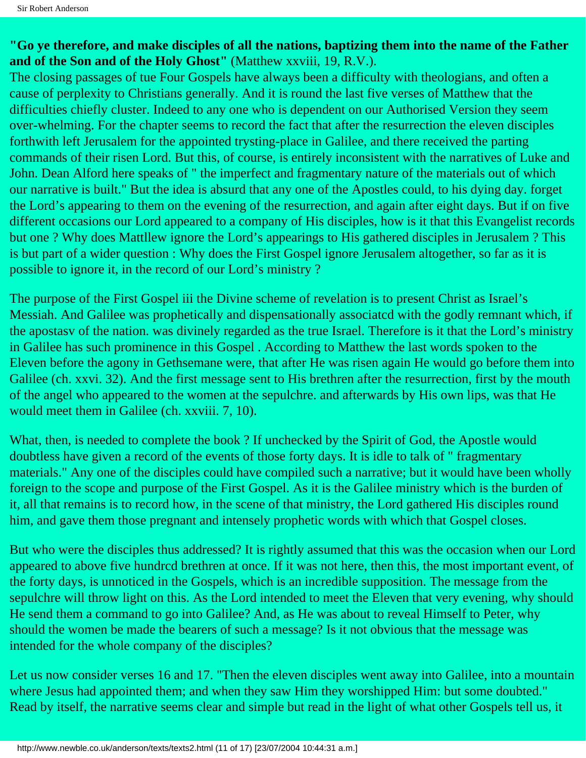**"Go ye therefore, and make disciples of all the nations, baptizing them into the name of the Father and of the Son and of the Holy Ghost"** (Matthew xxviii, 19, R.V.).

The closing passages of tue Four Gospels have always been a difficulty with theologians, and often a cause of perplexity to Christians generally. And it is round the last five verses of Matthew that the difficulties chiefly cluster. Indeed to any one who is dependent on our Authorised Version they seem over-whelming. For the chapter seems to record the fact that after the resurrection the eleven disciples forthwith left Jerusalem for the appointed trysting-place in Galilee, and there received the parting commands of their risen Lord. But this, of course, is entirely inconsistent with the narratives of Luke and John. Dean Alford here speaks of " the imperfect and fragmentary nature of the materials out of which our narrative is built." But the idea is absurd that any one of the Apostles could, to his dying day. forget the Lord's appearing to them on the evening of the resurrection, and again after eight days. But if on five different occasions our Lord appeared to a company of His disciples, how is it that this Evangelist records but one ? Why does Mattllew ignore the Lord's appearings to His gathered disciples in Jerusalem ? This is but part of a wider question : Why does the First Gospel ignore Jerusalem altogether, so far as it is possible to ignore it, in the record of our Lord's ministry ?

The purpose of the First Gospel iii the Divine scheme of revelation is to present Christ as Israel's Messiah. And Galilee was prophetically and dispensationally associatcd with the godly remnant which, if the apostasv of the nation. was divinely regarded as the true Israel. Therefore is it that the Lord's ministry in Galilee has such prominence in this Gospel . According to Matthew the last words spoken to the Eleven before the agony in Gethsemane were, that after He was risen again He would go before them into Galilee (ch. xxvi. 32). And the first message sent to His brethren after the resurrection, first by the mouth of the angel who appeared to the women at the sepulchre. and afterwards by His own lips, was that He would meet them in Galilee (ch. xxviii. 7, 10).

What, then, is needed to complete the book ? If unchecked by the Spirit of God, the Apostle would doubtless have given a record of the events of those forty days. It is idle to talk of " fragmentary materials." Any one of the disciples could have compiled such a narrative; but it would have been wholly foreign to the scope and purpose of the First Gospel. As it is the Galilee ministry which is the burden of it, all that remains is to record how, in the scene of that ministry, the Lord gathered His disciples round him, and gave them those pregnant and intensely prophetic words with which that Gospel closes.

But who were the disciples thus addressed? It is rightly assumed that this was the occasion when our Lord appeared to above five hundrcd brethren at once. If it was not here, then this, the most important event, of the forty days, is unnoticed in the Gospels, which is an incredible supposition. The message from the sepulchre will throw light on this. As the Lord intended to meet the Eleven that very evening, why should He send them a command to go into Galilee? And, as He was about to reveal Himself to Peter, why should the women be made the bearers of such a message? Is it not obvious that the message was intended for the whole company of the disciples?

Let us now consider verses 16 and 17. "Then the eleven disciples went away into Galilee, into a mountain where Jesus had appointed them; and when they saw Him they worshipped Him: but some doubted." Read by itself, the narrative seems clear and simple but read in the light of what other Gospels tell us, it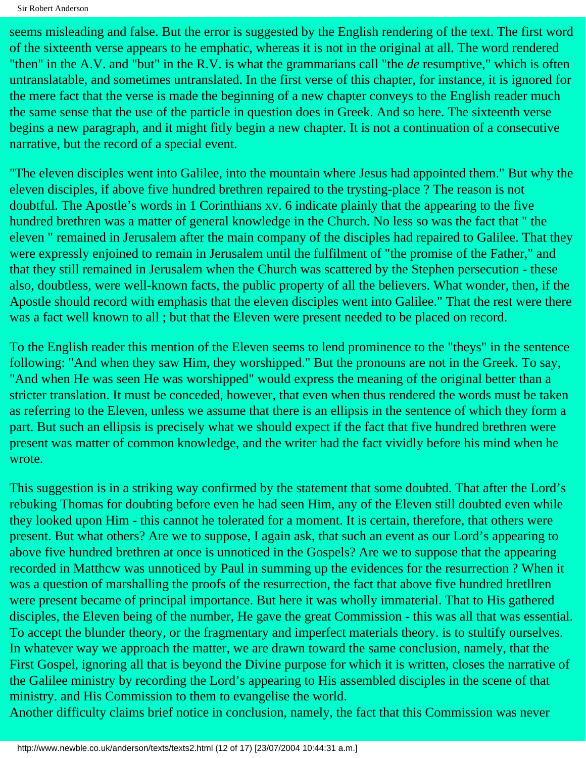seems misleading and false. But the error is suggested by the English rendering of the text. The first word of the sixteenth verse appears to he emphatic, whereas it is not in the original at all. The word rendered "then" in the A.V. and "but" in the R.V. is what the grammarians call "the *de* resumptive," which is often untranslatable, and sometimes untranslated. In the first verse of this chapter, for instance, it is ignored for the mere fact that the verse is made the beginning of a new chapter conveys to the English reader much the same sense that the use of the particle in question does in Greek. And so here. The sixteenth verse begins a new paragraph, and it might fitly begin a new chapter. It is not a continuation of a consecutive narrative, but the record of a special event.

"The eleven disciples went into Galilee, into the mountain where Jesus had appointed them." But why the eleven disciples, if above five hundred brethren repaired to the trysting-place ? The reason is not doubtful. The Apostle's words in 1 Corinthians xv. 6 indicate plainly that the appearing to the five hundred brethren was a matter of general knowledge in the Church. No less so was the fact that " the eleven " remained in Jerusalem after the main company of the disciples had repaired to Galilee. That they were expressly enjoined to remain in Jerusalem until the fulfilment of "the promise of the Father," and that they still remained in Jerusalem when the Church was scattered by the Stephen persecution - these also, doubtless, were well-known facts, the public property of all the believers. What wonder, then, if the Apostle should record with emphasis that the eleven disciples went into Galilee." That the rest were there was a fact well known to all ; but that the Eleven were present needed to be placed on record.

To the English reader this mention of the Eleven seems to lend prominence to the "theys" in the sentence following: "And when they saw Him, they worshipped." But the pronouns are not in the Greek. To say, "And when He was seen He was worshipped" would express the meaning of the original better than a stricter translation. It must be conceded, however, that even when thus rendered the words must be taken as referring to the Eleven, unless we assume that there is an ellipsis in the sentence of which they form a part. But such an ellipsis is precisely what we should expect if the fact that five hundred brethren were present was matter of common knowledge, and the writer had the fact vividly before his mind when he wrote.

This suggestion is in a striking way confirmed by the statement that some doubted. That after the Lord's rebuking Thomas for doubting before even he had seen Him, any of the Eleven still doubted even while they looked upon Him - this cannot he tolerated for a moment. It is certain, therefore, that others were present. But what others? Are we to suppose, I again ask, that such an event as our Lord's appearing to above five hundred brethren at once is unnoticed in the Gospels? Are we to suppose that the appearing recorded in Matthcw was unnoticed by Paul in summing up the evidences for the resurrection ? When it was a question of marshalling the proofs of the resurrection, the fact that above five hundred hretllren were present became of principal importance. But here it was wholly immaterial. That to His gathered disciples, the Eleven being of the number, He gave the great Commission - this was all that was essential. To accept the blunder theory, or the fragmentary and imperfect materials theory. is to stultify ourselves. In whatever way we approach the matter, we are drawn toward the same conclusion, namely, that the First Gospel, ignoring all that is beyond the Divine purpose for which it is written, closes the narrative of the Galilee ministry by recording the Lord's appearing to His assembled disciples in the scene of that ministry. and His Commission to them to evangelise the world.

Another difficulty claims brief notice in conclusion, namely, the fact that this Commission was never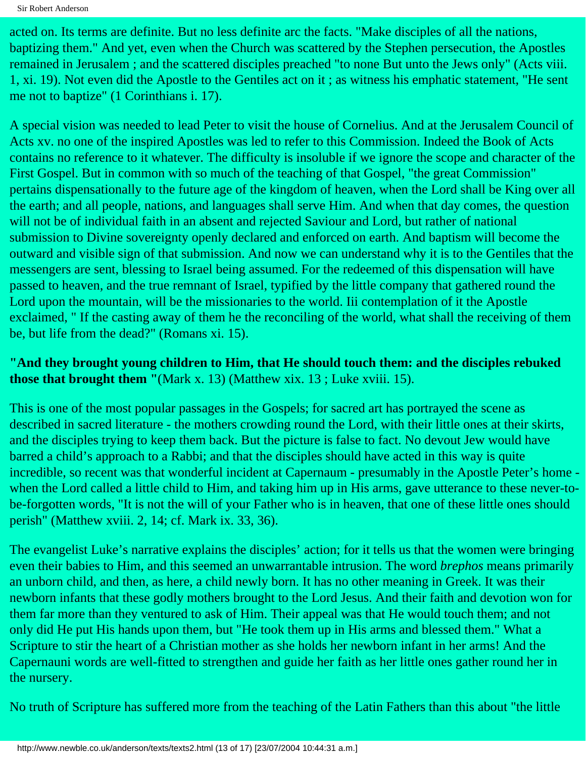acted on. Its terms are definite. But no less definite arc the facts. "Make disciples of all the nations, baptizing them." And yet, even when the Church was scattered by the Stephen persecution, the Apostles remained in Jerusalem ; and the scattered disciples preached "to none But unto the Jews only" (Acts viii. 1, xi. 19). Not even did the Apostle to the Gentiles act on it ; as witness his emphatic statement, "He sent me not to baptize" (1 Corinthians i. 17).

A special vision was needed to lead Peter to visit the house of Cornelius. And at the Jerusalem Council of Acts xv. no one of the inspired Apostles was led to refer to this Commission. Indeed the Book of Acts contains no reference to it whatever. The difficulty is insoluble if we ignore the scope and character of the First Gospel. But in common with so much of the teaching of that Gospel, "the great Commission" pertains dispensationally to the future age of the kingdom of heaven, when the Lord shall be King over all the earth; and all people, nations, and languages shall serve Him. And when that day comes, the question will not be of individual faith in an absent and rejected Saviour and Lord, but rather of national submission to Divine sovereignty openly declared and enforced on earth. And baptism will become the outward and visible sign of that submission. And now we can understand why it is to the Gentiles that the messengers are sent, blessing to Israel being assumed. For the redeemed of this dispensation will have passed to heaven, and the true remnant of Israel, typified by the little company that gathered round the Lord upon the mountain, will be the missionaries to the world. Iii contemplation of it the Apostle exclaimed, " If the casting away of them he the reconciling of the world, what shall the receiving of them be, but life from the dead?" (Romans xi. 15).

#### **"And they brought young children to Him, that He should touch them: and the disciples rebuked those that brought them "**(Mark x. 13) (Matthew xix. 13 ; Luke xviii. 15).

This is one of the most popular passages in the Gospels; for sacred art has portrayed the scene as described in sacred literature - the mothers crowding round the Lord, with their little ones at their skirts, and the disciples trying to keep them back. But the picture is false to fact. No devout Jew would have barred a child's approach to a Rabbi; and that the disciples should have acted in this way is quite incredible, so recent was that wonderful incident at Capernaum - presumably in the Apostle Peter's home when the Lord called a little child to Him, and taking him up in His arms, gave utterance to these never-tobe-forgotten words, "It is not the will of your Father who is in heaven, that one of these little ones should perish" (Matthew xviii. 2, 14; cf. Mark ix. 33, 36).

The evangelist Luke's narrative explains the disciples' action; for it tells us that the women were bringing even their babies to Him, and this seemed an unwarrantable intrusion. The word *brephos* means primarily an unborn child, and then, as here, a child newly born. It has no other meaning in Greek. It was their newborn infants that these godly mothers brought to the Lord Jesus. And their faith and devotion won for them far more than they ventured to ask of Him. Their appeal was that He would touch them; and not only did He put His hands upon them, but "He took them up in His arms and blessed them." What a Scripture to stir the heart of a Christian mother as she holds her newborn infant in her arms! And the Capernauni words are well-fitted to strengthen and guide her faith as her little ones gather round her in the nursery.

No truth of Scripture has suffered more from the teaching of the Latin Fathers than this about "the little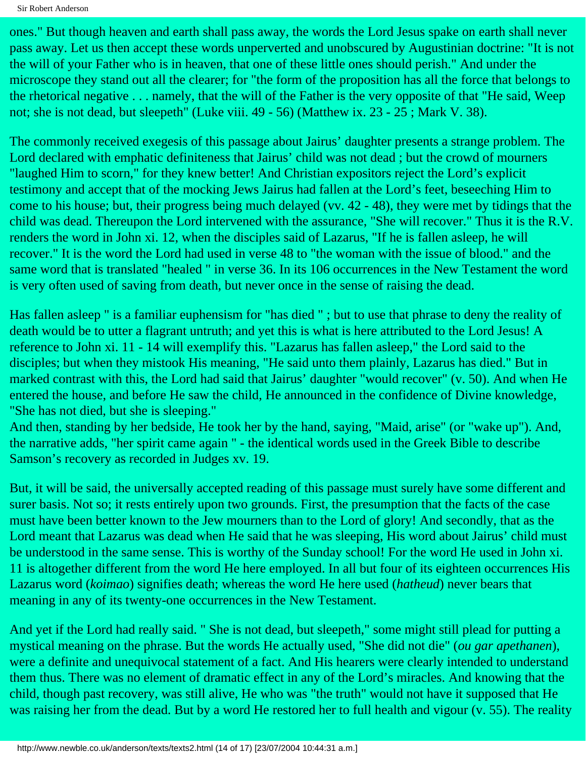ones." But though heaven and earth shall pass away, the words the Lord Jesus spake on earth shall never pass away. Let us then accept these words unperverted and unobscured by Augustinian doctrine: "It is not the will of your Father who is in heaven, that one of these little ones should perish." And under the microscope they stand out all the clearer; for "the form of the proposition has all the force that belongs to the rhetorical negative . . . namely, that the will of the Father is the very opposite of that "He said, Weep not; she is not dead, but sleepeth" (Luke viii. 49 - 56) (Matthew ix. 23 - 25 ; Mark V. 38).

The commonly received exegesis of this passage about Jairus' daughter presents a strange problem. The Lord declared with emphatic definiteness that Jairus' child was not dead ; but the crowd of mourners "laughed Him to scorn," for they knew better! And Christian expositors reject the Lord's explicit testimony and accept that of the mocking Jews Jairus had fallen at the Lord's feet, beseeching Him to come to his house; but, their progress being much delayed (vv. 42 - 48), they were met by tidings that the child was dead. Thereupon the Lord intervened with the assurance, "She will recover." Thus it is the R.V. renders the word in John xi. 12, when the disciples said of Lazarus, "If he is fallen asleep, he will recover." It is the word the Lord had used in verse 48 to "the woman with the issue of blood." and the same word that is translated "healed " in verse 36. In its 106 occurrences in the New Testament the word is very often used of saving from death, but never once in the sense of raising the dead.

Has fallen asleep " is a familiar euphensism for "has died " ; but to use that phrase to deny the reality of death would be to utter a flagrant untruth; and yet this is what is here attributed to the Lord Jesus! A reference to John xi. 11 - 14 will exemplify this. "Lazarus has fallen asleep," the Lord said to the disciples; but when they mistook His meaning, "He said unto them plainly, Lazarus has died." But in marked contrast with this, the Lord had said that Jairus' daughter "would recover" (v. 50). And when He entered the house, and before He saw the child, He announced in the confidence of Divine knowledge, "She has not died, but she is sleeping."

And then, standing by her bedside, He took her by the hand, saying, "Maid, arise" (or "wake up"). And, the narrative adds, "her spirit came again " - the identical words used in the Greek Bible to describe Samson's recovery as recorded in Judges xv. 19.

But, it will be said, the universally accepted reading of this passage must surely have some different and surer basis. Not so; it rests entirely upon two grounds. First, the presumption that the facts of the case must have been better known to the Jew mourners than to the Lord of glory! And secondly, that as the Lord meant that Lazarus was dead when He said that he was sleeping, His word about Jairus' child must be understood in the same sense. This is worthy of the Sunday school! For the word He used in John xi. 11 is altogether different from the word He here employed. In all but four of its eighteen occurrences His Lazarus word (*koimao*) signifies death; whereas the word He here used (*hatheud*) never bears that meaning in any of its twenty-one occurrences in the New Testament.

And yet if the Lord had really said. " She is not dead, but sleepeth," some might still plead for putting a mystical meaning on the phrase. But the words He actually used, "She did not die" (*ou gar apethanen*), were a definite and unequivocal statement of a fact. And His hearers were clearly intended to understand them thus. There was no element of dramatic effect in any of the Lord's miracles. And knowing that the child, though past recovery, was still alive, He who was "the truth" would not have it supposed that He was raising her from the dead. But by a word He restored her to full health and vigour (v. 55). The reality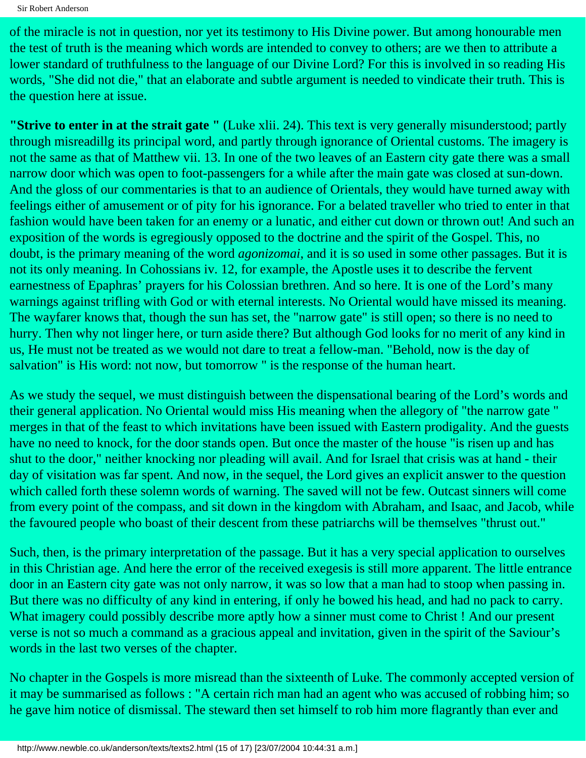of the miracle is not in question, nor yet its testimony to His Divine power. But among honourable men the test of truth is the meaning which words are intended to convey to others; are we then to attribute a lower standard of truthfulness to the language of our Divine Lord? For this is involved in so reading His words, "She did not die," that an elaborate and subtle argument is needed to vindicate their truth. This is the question here at issue.

**"Strive to enter in at the strait gate "** (Luke xlii. 24). This text is very generally misunderstood; partly through misreadillg its principal word, and partly through ignorance of Oriental customs. The imagery is not the same as that of Matthew vii. 13. In one of the two leaves of an Eastern city gate there was a small narrow door which was open to foot-passengers for a while after the main gate was closed at sun-down. And the gloss of our commentaries is that to an audience of Orientals, they would have turned away with feelings either of amusement or of pity for his ignorance. For a belated traveller who tried to enter in that fashion would have been taken for an enemy or a lunatic, and either cut down or thrown out! And such an exposition of the words is egregiously opposed to the doctrine and the spirit of the Gospel. This, no doubt, is the primary meaning of the word *agonizomai*, and it is so used in some other passages. But it is not its only meaning. In Cohossians iv. 12, for example, the Apostle uses it to describe the fervent earnestness of Epaphras' prayers for his Colossian brethren. And so here. It is one of the Lord's many warnings against trifling with God or with eternal interests. No Oriental would have missed its meaning. The wayfarer knows that, though the sun has set, the "narrow gate" is still open; so there is no need to hurry. Then why not linger here, or turn aside there? But although God looks for no merit of any kind in us, He must not be treated as we would not dare to treat a fellow-man. "Behold, now is the day of salvation" is His word: not now, but tomorrow " is the response of the human heart.

As we study the sequel, we must distinguish between the dispensational bearing of the Lord's words and their general application. No Oriental would miss His meaning when the allegory of "the narrow gate " merges in that of the feast to which invitations have been issued with Eastern prodigality. And the guests have no need to knock, for the door stands open. But once the master of the house "is risen up and has shut to the door," neither knocking nor pleading will avail. And for Israel that crisis was at hand - their day of visitation was far spent. And now, in the sequel, the Lord gives an explicit answer to the question which called forth these solemn words of warning. The saved will not be few. Outcast sinners will come from every point of the compass, and sit down in the kingdom with Abraham, and Isaac, and Jacob, while the favoured people who boast of their descent from these patriarchs will be themselves "thrust out."

Such, then, is the primary interpretation of the passage. But it has a very special application to ourselves in this Christian age. And here the error of the received exegesis is still more apparent. The little entrance door in an Eastern city gate was not only narrow, it was so low that a man had to stoop when passing in. But there was no difficulty of any kind in entering, if only he bowed his head, and had no pack to carry. What imagery could possibly describe more aptly how a sinner must come to Christ ! And our present verse is not so much a command as a gracious appeal and invitation, given in the spirit of the Saviour's words in the last two verses of the chapter.

No chapter in the Gospels is more misread than the sixteenth of Luke. The commonly accepted version of it may be summarised as follows : "A certain rich man had an agent who was accused of robbing him; so he gave him notice of dismissal. The steward then set himself to rob him more flagrantly than ever and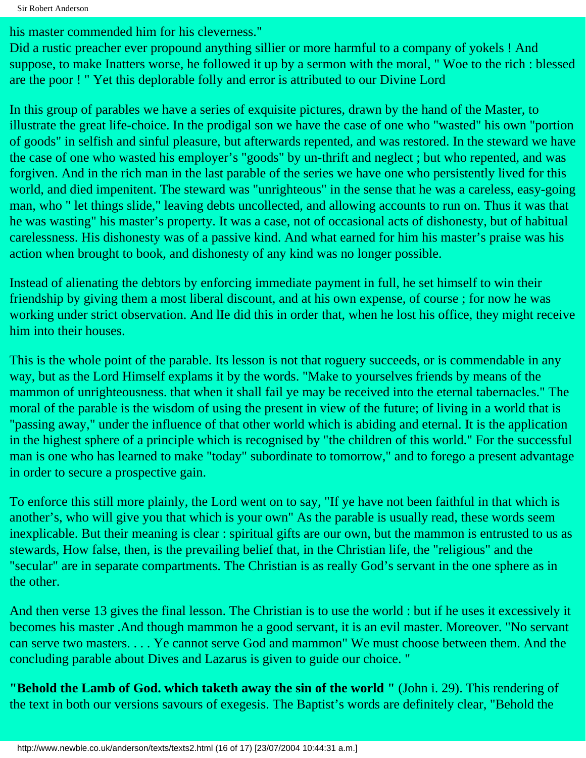```
Sir Robert Anderson
```
his master commended him for his cleverness."

Did a rustic preacher ever propound anything sillier or more harmful to a company of yokels ! And suppose, to make Inatters worse, he followed it up by a sermon with the moral, " Woe to the rich : blessed are the poor ! " Yet this deplorable folly and error is attributed to our Divine Lord

In this group of parables we have a series of exquisite pictures, drawn by the hand of the Master, to illustrate the great life-choice. In the prodigal son we have the case of one who "wasted" his own "portion of goods" in selfish and sinful pleasure, but afterwards repented, and was restored. In the steward we have the case of one who wasted his employer's "goods" by un-thrift and neglect ; but who repented, and was forgiven. And in the rich man in the last parable of the series we have one who persistently lived for this world, and died impenitent. The steward was "unrighteous" in the sense that he was a careless, easy-going man, who " let things slide," leaving debts uncollected, and allowing accounts to run on. Thus it was that he was wasting" his master's property. It was a case, not of occasional acts of dishonesty, but of habitual carelessness. His dishonesty was of a passive kind. And what earned for him his master's praise was his action when brought to book, and dishonesty of any kind was no longer possible.

Instead of alienating the debtors by enforcing immediate payment in full, he set himself to win their friendship by giving them a most liberal discount, and at his own expense, of course ; for now he was working under strict observation. And lIe did this in order that, when he lost his office, they might receive him into their houses.

This is the whole point of the parable. Its lesson is not that roguery succeeds, or is commendable in any way, but as the Lord Himself explams it by the words. "Make to yourselves friends by means of the mammon of unrighteousness. that when it shall fail ye may be received into the eternal tabernacles." The moral of the parable is the wisdom of using the present in view of the future; of living in a world that is "passing away," under the influence of that other world which is abiding and eternal. It is the application in the highest sphere of a principle which is recognised by "the children of this world." For the successful man is one who has learned to make "today" subordinate to tomorrow," and to forego a present advantage in order to secure a prospective gain.

To enforce this still more plainly, the Lord went on to say, "If ye have not been faithful in that which is another's, who will give you that which is your own" As the parable is usually read, these words seem inexplicable. But their meaning is clear : spiritual gifts are our own, but the mammon is entrusted to us as stewards, How false, then, is the prevailing belief that, in the Christian life, the "religious" and the "secular" are in separate compartments. The Christian is as really God's servant in the one sphere as in the other.

And then verse 13 gives the final lesson. The Christian is to use the world : but if he uses it excessively it becomes his master .And though mammon he a good servant, it is an evil master. Moreover. "No servant can serve two masters. . . . Ye cannot serve God and mammon" We must choose between them. And the concluding parable about Dives and Lazarus is given to guide our choice. "

**"Behold the Lamb of God. which taketh away the sin of the world "** (John i. 29). This rendering of the text in both our versions savours of exegesis. The Baptist's words are definitely clear, "Behold the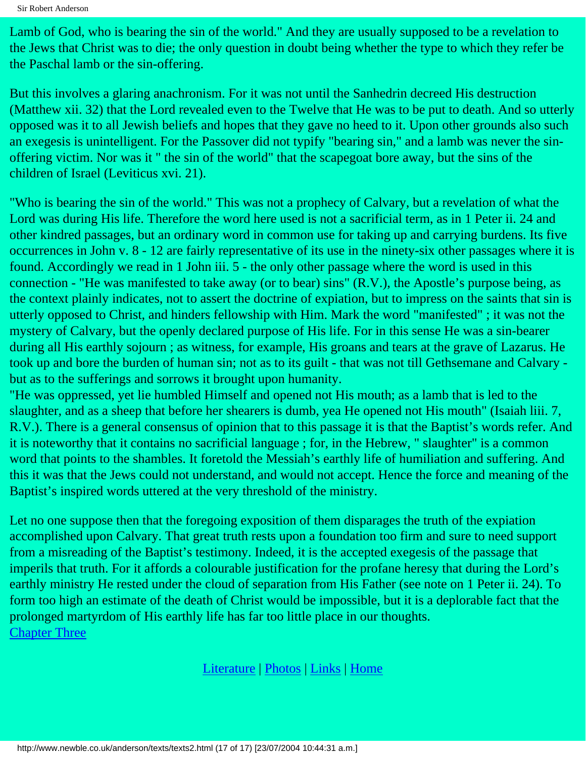Lamb of God, who is bearing the sin of the world." And they are usually supposed to be a revelation to the Jews that Christ was to die; the only question in doubt being whether the type to which they refer be the Paschal lamb or the sin-offering.

But this involves a glaring anachronism. For it was not until the Sanhedrin decreed His destruction (Matthew xii. 32) that the Lord revealed even to the Twelve that He was to be put to death. And so utterly opposed was it to all Jewish beliefs and hopes that they gave no heed to it. Upon other grounds also such an exegesis is unintelligent. For the Passover did not typify "bearing sin," and a lamb was never the sinoffering victim. Nor was it " the sin of the world" that the scapegoat bore away, but the sins of the children of Israel (Leviticus xvi. 21).

"Who is bearing the sin of the world." This was not a prophecy of Calvary, but a revelation of what the Lord was during His life. Therefore the word here used is not a sacrificial term, as in 1 Peter ii. 24 and other kindred passages, but an ordinary word in common use for taking up and carrying burdens. Its five occurrences in John v. 8 - 12 are fairly representative of its use in the ninety-six other passages where it is found. Accordingly we read in 1 John iii. 5 - the only other passage where the word is used in this connection - "He was manifested to take away (or to bear) sins" (R.V.), the Apostle's purpose being, as the context plainly indicates, not to assert the doctrine of expiation, but to impress on the saints that sin is utterly opposed to Christ, and hinders fellowship with Him. Mark the word "manifested" ; it was not the mystery of Calvary, but the openly declared purpose of His life. For in this sense He was a sin-bearer during all His earthly sojourn ; as witness, for example, His groans and tears at the grave of Lazarus. He took up and bore the burden of human sin; not as to its guilt - that was not till Gethsemane and Calvary but as to the sufferings and sorrows it brought upon humanity.

"He was oppressed, yet lie humbled Himself and opened not His mouth; as a lamb that is led to the slaughter, and as a sheep that before her shearers is dumb, yea He opened not His mouth" (Isaiah liii. 7, R.V.). There is a general consensus of opinion that to this passage it is that the Baptist's words refer. And it is noteworthy that it contains no sacrificial language ; for, in the Hebrew, " slaughter" is a common word that points to the shambles. It foretold the Messiah's earthly life of humiliation and suffering. And this it was that the Jews could not understand, and would not accept. Hence the force and meaning of the Baptist's inspired words uttered at the very threshold of the ministry.

Let no one suppose then that the foregoing exposition of them disparages the truth of the expiation accomplished upon Calvary. That great truth rests upon a foundation too firm and sure to need support from a misreading of the Baptist's testimony. Indeed, it is the accepted exegesis of the passage that imperils that truth. For it affords a colourable justification for the profane heresy that during the Lord's earthly ministry He rested under the cloud of separation from His Father (see note on 1 Peter ii. 24). To form too high an estimate of the death of Christ would be impossible, but it is a deplorable fact that the prolonged martyrdom of His earthly life has far too little place in our thoughts. [Chapter Three](#page-28-0)

[Literature](http://www.newble.co.uk/literature.html) | [Photos](http://www.newble.co.uk/photos.html) | [Links](http://www.newble.co.uk/links.html) | [Home](http://www.newble.co.uk/index.html)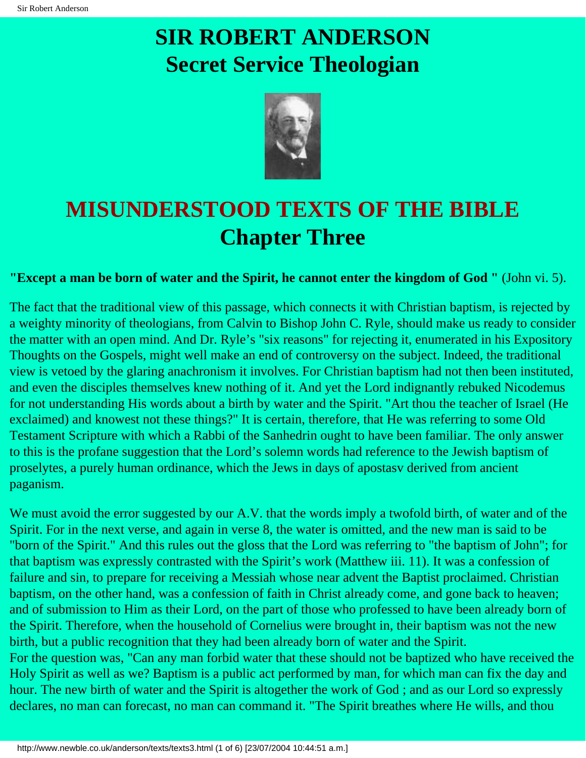# <span id="page-28-0"></span>**SIR ROBERT ANDERSON Secret Service Theologian**



### **MISUNDERSTOOD TEXTS OF THE BIBLE Chapter Three**

#### **"Except a man be born of water and the Spirit, he cannot enter the kingdom of God "** (John vi. 5).

The fact that the traditional view of this passage, which connects it with Christian baptism, is rejected by a weighty minority of theologians, from Calvin to Bishop John C. Ryle, should make us ready to consider the matter with an open mind. And Dr. Ryle's "six reasons" for rejecting it, enumerated in his Expository Thoughts on the Gospels, might well make an end of controversy on the subject. Indeed, the traditional view is vetoed by the glaring anachronism it involves. For Christian baptism had not then been instituted, and even the disciples themselves knew nothing of it. And yet the Lord indignantly rebuked Nicodemus for not understanding His words about a birth by water and the Spirit. "Art thou the teacher of Israel (He exclaimed) and knowest not these things?" It is certain, therefore, that He was referring to some Old Testament Scripture with which a Rabbi of the Sanhedrin ought to have been familiar. The only answer to this is the profane suggestion that the Lord's solemn words had reference to the Jewish baptism of proselytes, a purely human ordinance, which the Jews in days of apostasv derived from ancient paganism.

We must avoid the error suggested by our A.V. that the words imply a twofold birth, of water and of the Spirit. For in the next verse, and again in verse 8, the water is omitted, and the new man is said to be "born of the Spirit." And this rules out the gloss that the Lord was referring to "the baptism of John"; for that baptism was expressly contrasted with the Spirit's work (Matthew iii. 11). It was a confession of failure and sin, to prepare for receiving a Messiah whose near advent the Baptist proclaimed. Christian baptism, on the other hand, was a confession of faith in Christ already come, and gone back to heaven; and of submission to Him as their Lord, on the part of those who professed to have been already born of the Spirit. Therefore, when the household of Cornelius were brought in, their baptism was not the new birth, but a public recognition that they had been already born of water and the Spirit.

For the question was, "Can any man forbid water that these should not be baptized who have received the Holy Spirit as well as we? Baptism is a public act performed by man, for which man can fix the day and hour. The new birth of water and the Spirit is altogether the work of God ; and as our Lord so expressly declares, no man can forecast, no man can command it. "The Spirit breathes where He wills, and thou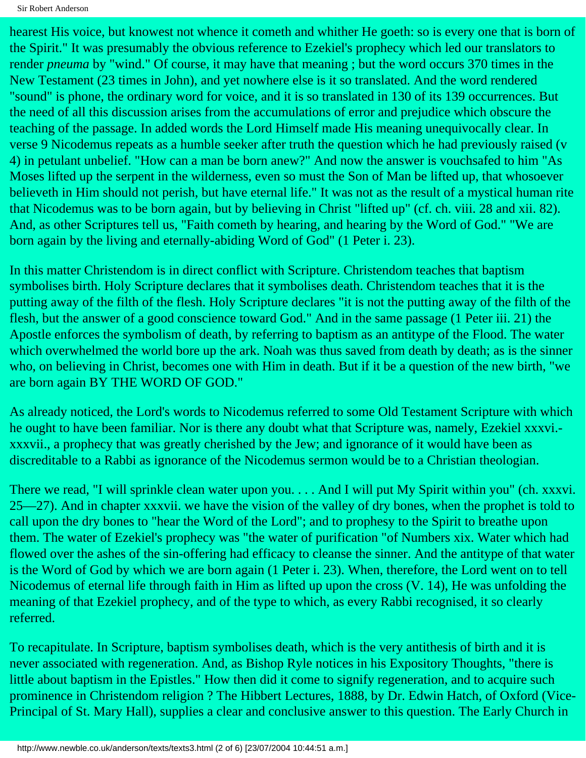hearest His voice, but knowest not whence it cometh and whither He goeth: so is every one that is born of the Spirit." It was presumably the obvious reference to Ezekiel's prophecy which led our translators to render *pneuma* by "wind." Of course, it may have that meaning ; but the word occurs 370 times in the New Testament (23 times in John), and yet nowhere else is it so translated. And the word rendered "sound" is phone, the ordinary word for voice, and it is so translated in 130 of its 139 occurrences. But the need of all this discussion arises from the accumulations of error and prejudice which obscure the teaching of the passage. In added words the Lord Himself made His meaning unequivocally clear. In verse 9 Nicodemus repeats as a humble seeker after truth the question which he had previously raised (v 4) in petulant unbelief. "How can a man be born anew?" And now the answer is vouchsafed to him "As Moses lifted up the serpent in the wilderness, even so must the Son of Man be lifted up, that whosoever believeth in Him should not perish, but have eternal life." It was not as the result of a mystical human rite that Nicodemus was to be born again, but by believing in Christ "lifted up" (cf. ch. viii. 28 and xii. 82). And, as other Scriptures tell us, "Faith cometh by hearing, and hearing by the Word of God." "We are born again by the living and eternally-abiding Word of God" (1 Peter i. 23).

In this matter Christendom is in direct conflict with Scripture. Christendom teaches that baptism symbolises birth. Holy Scripture declares that it symbolises death. Christendom teaches that it is the putting away of the filth of the flesh. Holy Scripture declares "it is not the putting away of the filth of the flesh, but the answer of a good conscience toward God." And in the same passage (1 Peter iii. 21) the Apostle enforces the symbolism of death, by referring to baptism as an antitype of the Flood. The water which overwhelmed the world bore up the ark. Noah was thus saved from death by death; as is the sinner who, on believing in Christ, becomes one with Him in death. But if it be a question of the new birth, "we are born again BY THE WORD OF GOD."

As already noticed, the Lord's words to Nicodemus referred to some Old Testament Scripture with which he ought to have been familiar. Nor is there any doubt what that Scripture was, namely, Ezekiel xxxvi. xxxvii., a prophecy that was greatly cherished by the Jew; and ignorance of it would have been as discreditable to a Rabbi as ignorance of the Nicodemus sermon would be to a Christian theologian.

There we read, "I will sprinkle clean water upon you. . . . And I will put My Spirit within you" (ch. xxxvi. 25—27). And in chapter xxxvii. we have the vision of the valley of dry bones, when the prophet is told to call upon the dry bones to "hear the Word of the Lord"; and to prophesy to the Spirit to breathe upon them. The water of Ezekiel's prophecy was "the water of purification "of Numbers xix. Water which had flowed over the ashes of the sin-offering had efficacy to cleanse the sinner. And the antitype of that water is the Word of God by which we are born again (1 Peter i. 23). When, therefore, the Lord went on to tell Nicodemus of eternal life through faith in Him as lifted up upon the cross (V. 14), He was unfolding the meaning of that Ezekiel prophecy, and of the type to which, as every Rabbi recognised, it so clearly referred.

To recapitulate. In Scripture, baptism symbolises death, which is the very antithesis of birth and it is never associated with regeneration. And, as Bishop Ryle notices in his Expository Thoughts, "there is little about baptism in the Epistles." How then did it come to signify regeneration, and to acquire such prominence in Christendom religion ? The Hibbert Lectures, 1888, by Dr. Edwin Hatch, of Oxford (Vice-Principal of St. Mary Hall), supplies a clear and conclusive answer to this question. The Early Church in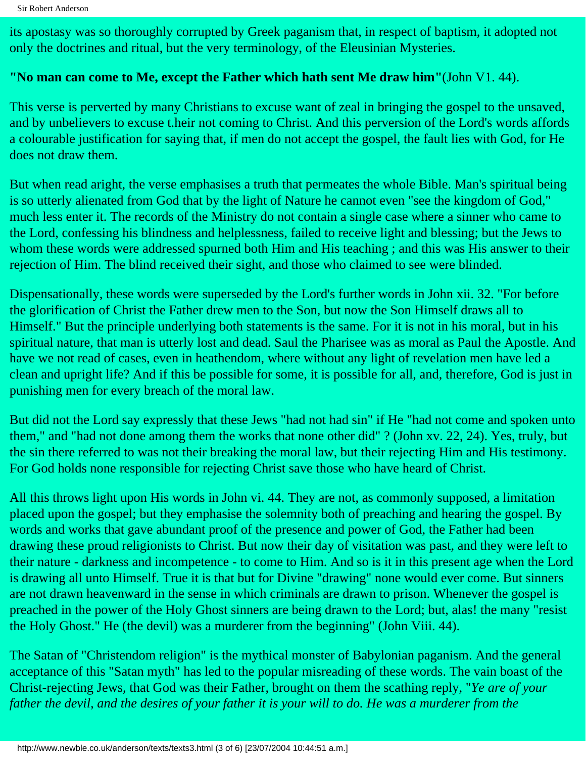its apostasy was so thoroughly corrupted by Greek paganism that, in respect of baptism, it adopted not only the doctrines and ritual, but the very terminology, of the Eleusinian Mysteries.

#### **"No man can come to Me, except the Father which hath sent Me draw him"**(John V1. 44).

This verse is perverted by many Christians to excuse want of zeal in bringing the gospel to the unsaved, and by unbelievers to excuse t.heir not coming to Christ. And this perversion of the Lord's words affords a colourable justification for saying that, if men do not accept the gospel, the fault lies with God, for He does not draw them.

But when read aright, the verse emphasises a truth that permeates the whole Bible. Man's spiritual being is so utterly alienated from God that by the light of Nature he cannot even "see the kingdom of God," much less enter it. The records of the Ministry do not contain a single case where a sinner who came to the Lord, confessing his blindness and helplessness, failed to receive light and blessing; but the Jews to whom these words were addressed spurned both Him and His teaching ; and this was His answer to their rejection of Him. The blind received their sight, and those who claimed to see were blinded.

Dispensationally, these words were superseded by the Lord's further words in John xii. 32. "For before the glorification of Christ the Father drew men to the Son, but now the Son Himself draws all to Himself." But the principle underlying both statements is the same. For it is not in his moral, but in his spiritual nature, that man is utterly lost and dead. Saul the Pharisee was as moral as Paul the Apostle. And have we not read of cases, even in heathendom, where without any light of revelation men have led a clean and upright life? And if this be possible for some, it is possible for all, and, therefore, God is just in punishing men for every breach of the moral law.

But did not the Lord say expressly that these Jews "had not had sin" if He "had not come and spoken unto them," and "had not done among them the works that none other did" ? (John xv. 22, 24). Yes, truly, but the sin there referred to was not their breaking the moral law, but their rejecting Him and His testimony. For God holds none responsible for rejecting Christ save those who have heard of Christ.

All this throws light upon His words in John vi. 44. They are not, as commonly supposed, a limitation placed upon the gospel; but they emphasise the solemnity both of preaching and hearing the gospel. By words and works that gave abundant proof of the presence and power of God, the Father had been drawing these proud religionists to Christ. But now their day of visitation was past, and they were left to their nature - darkness and incompetence - to come to Him. And so is it in this present age when the Lord is drawing all unto Himself. True it is that but for Divine "drawing" none would ever come. But sinners are not drawn heavenward in the sense in which criminals are drawn to prison. Whenever the gospel is preached in the power of the Holy Ghost sinners are being drawn to the Lord; but, alas! the many "resist the Holy Ghost." He (the devil) was a murderer from the beginning" (John Viii. 44).

The Satan of "Christendom religion" is the mythical monster of Babylonian paganism. And the general acceptance of this "Satan myth" has led to the popular misreading of these words. The vain boast of the Christ-rejecting Jews, that God was their Father, brought on them the scathing reply, "*Ye are of your father the devil, and the desires of your father it is your will to do. He was a murderer from the*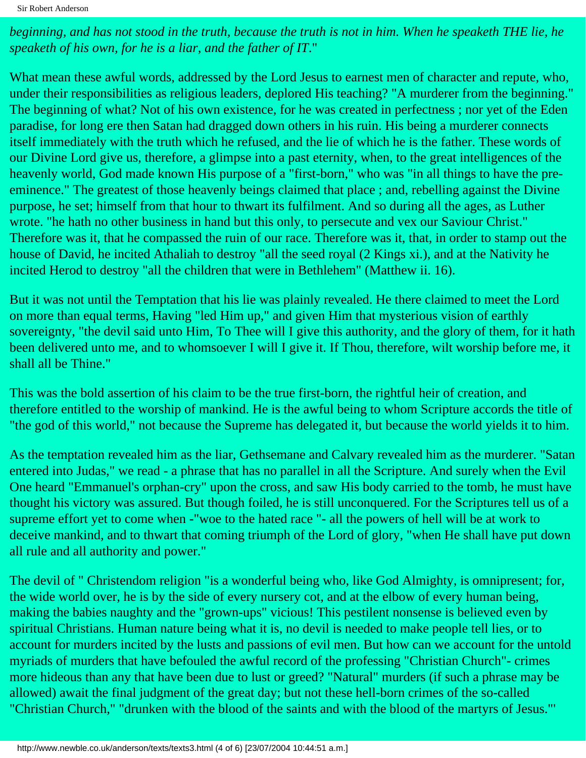*beginning, and has not stood in the truth, because the truth is not in him. When he speaketh THE lie, he speaketh of his own, for he is a liar, and the father of IT*."

What mean these awful words, addressed by the Lord Jesus to earnest men of character and repute, who, under their responsibilities as religious leaders, deplored His teaching? "A murderer from the beginning." The beginning of what? Not of his own existence, for he was created in perfectness ; nor yet of the Eden paradise, for long ere then Satan had dragged down others in his ruin. His being a murderer connects itself immediately with the truth which he refused, and the lie of which he is the father. These words of our Divine Lord give us, therefore, a glimpse into a past eternity, when, to the great intelligences of the heavenly world, God made known His purpose of a "first-born," who was "in all things to have the preeminence." The greatest of those heavenly beings claimed that place ; and, rebelling against the Divine purpose, he set; himself from that hour to thwart its fulfilment. And so during all the ages, as Luther wrote. "he hath no other business in hand but this only, to persecute and vex our Saviour Christ." Therefore was it, that he compassed the ruin of our race. Therefore was it, that, in order to stamp out the house of David, he incited Athaliah to destroy "all the seed royal (2 Kings xi.), and at the Nativity he incited Herod to destroy "all the children that were in Bethlehem" (Matthew ii. 16).

But it was not until the Temptation that his lie was plainly revealed. He there claimed to meet the Lord on more than equal terms, Having "led Him up," and given Him that mysterious vision of earthly sovereignty, "the devil said unto Him, To Thee will I give this authority, and the glory of them, for it hath been delivered unto me, and to whomsoever I will I give it. If Thou, therefore, wilt worship before me, it shall all be Thine."

This was the bold assertion of his claim to be the true first-born, the rightful heir of creation, and therefore entitled to the worship of mankind. He is the awful being to whom Scripture accords the title of "the god of this world," not because the Supreme has delegated it, but because the world yields it to him.

As the temptation revealed him as the liar, Gethsemane and Calvary revealed him as the murderer. "Satan entered into Judas," we read - a phrase that has no parallel in all the Scripture. And surely when the Evil One heard "Emmanuel's orphan-cry" upon the cross, and saw His body carried to the tomb, he must have thought his victory was assured. But though foiled, he is still unconquered. For the Scriptures tell us of a supreme effort yet to come when -"woe to the hated race "- all the powers of hell will be at work to deceive mankind, and to thwart that coming triumph of the Lord of glory, "when He shall have put down all rule and all authority and power."

The devil of " Christendom religion "is a wonderful being who, like God Almighty, is omnipresent; for, the wide world over, he is by the side of every nursery cot, and at the elbow of every human being, making the babies naughty and the "grown-ups" vicious! This pestilent nonsense is believed even by spiritual Christians. Human nature being what it is, no devil is needed to make people tell lies, or to account for murders incited by the lusts and passions of evil men. But how can we account for the untold myriads of murders that have befouled the awful record of the professing "Christian Church"- crimes more hideous than any that have been due to lust or greed? "Natural" murders (if such a phrase may be allowed) await the final judgment of the great day; but not these hell-born crimes of the so-called "Christian Church," "drunken with the blood of the saints and with the blood of the martyrs of Jesus."'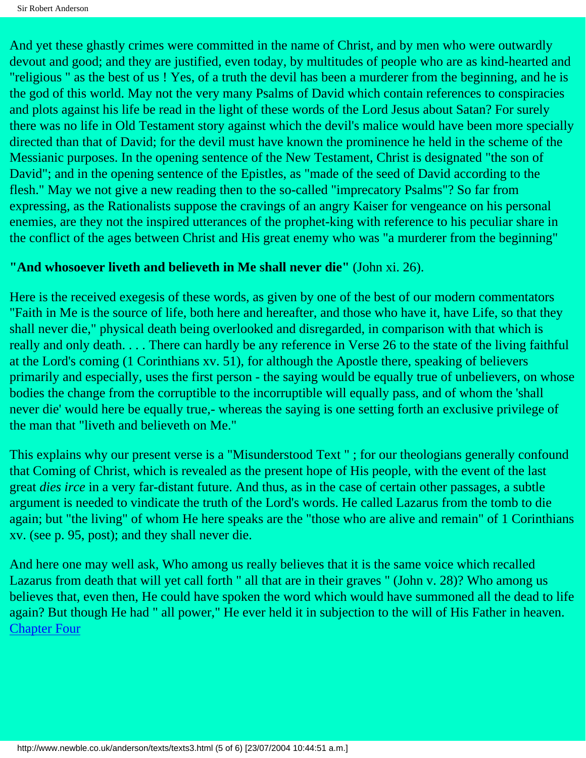And yet these ghastly crimes were committed in the name of Christ, and by men who were outwardly devout and good; and they are justified, even today, by multitudes of people who are as kind-hearted and "religious " as the best of us ! Yes, of a truth the devil has been a murderer from the beginning, and he is the god of this world. May not the very many Psalms of David which contain references to conspiracies and plots against his life be read in the light of these words of the Lord Jesus about Satan? For surely there was no life in Old Testament story against which the devil's malice would have been more specially directed than that of David; for the devil must have known the prominence he held in the scheme of the Messianic purposes. In the opening sentence of the New Testament, Christ is designated "the son of David"; and in the opening sentence of the Epistles, as "made of the seed of David according to the flesh." May we not give a new reading then to the so-called "imprecatory Psalms"? So far from expressing, as the Rationalists suppose the cravings of an angry Kaiser for vengeance on his personal enemies, are they not the inspired utterances of the prophet-king with reference to his peculiar share in the conflict of the ages between Christ and His great enemy who was "a murderer from the beginning"

#### **"And whosoever liveth and believeth in Me shall never die"** (John xi. 26).

Here is the received exegesis of these words, as given by one of the best of our modern commentators "Faith in Me is the source of life, both here and hereafter, and those who have it, have Life, so that they shall never die," physical death being overlooked and disregarded, in comparison with that which is really and only death. . . . There can hardly be any reference in Verse 26 to the state of the living faithful at the Lord's coming (1 Corinthians xv. 51), for although the Apostle there, speaking of believers primarily and especially, uses the first person - the saying would be equally true of unbelievers, on whose bodies the change from the corruptible to the incorruptible will equally pass, and of whom the 'shall never die' would here be equally true,- whereas the saying is one setting forth an exclusive privilege of the man that "liveth and believeth on Me."

This explains why our present verse is a "Misunderstood Text " ; for our theologians generally confound that Coming of Christ, which is revealed as the present hope of His people, with the event of the last great *dies irce* in a very far-distant future. And thus, as in the case of certain other passages, a subtle argument is needed to vindicate the truth of the Lord's words. He called Lazarus from the tomb to die again; but "the living" of whom He here speaks are the "those who are alive and remain" of 1 Corinthians xv. (see p. 95, post); and they shall never die.

And here one may well ask, Who among us really believes that it is the same voice which recalled Lazarus from death that will yet call forth " all that are in their graves " (John v. 28)? Who among us believes that, even then, He could have spoken the word which would have summoned all the dead to life again? But though He had " all power," He ever held it in subjection to the will of His Father in heaven. [Chapter Four](#page-34-0)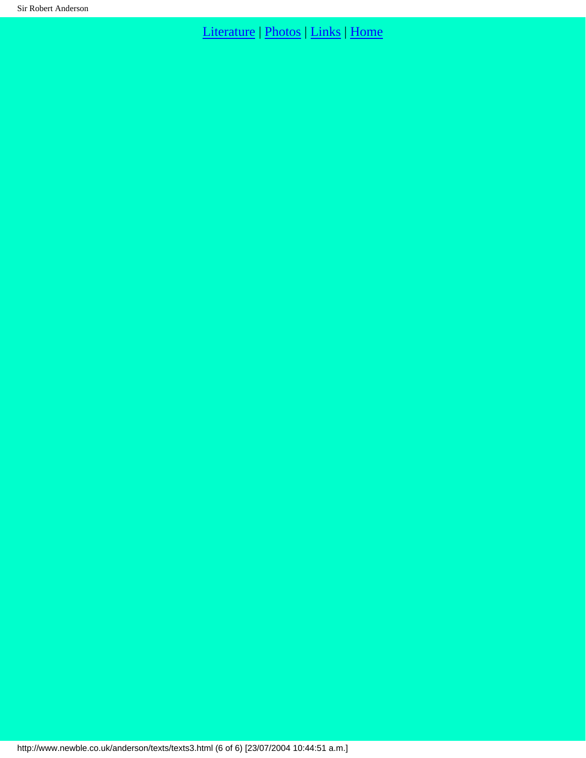### [Literature](http://www.newble.co.uk/literature.html) | [Photos](http://www.newble.co.uk/photos.html) | [Links](http://www.newble.co.uk/links.html) | [Home](http://www.newble.co.uk/index.html)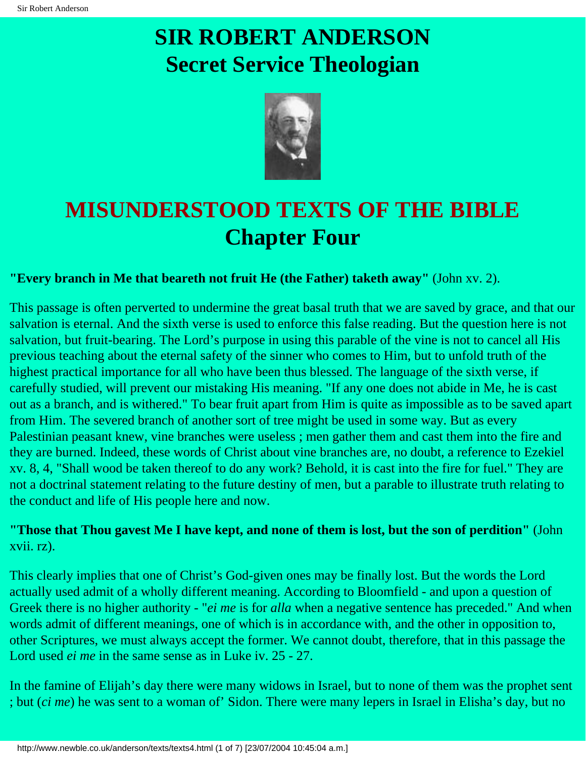# <span id="page-34-0"></span>**SIR ROBERT ANDERSON Secret Service Theologian**



### **MISUNDERSTOOD TEXTS OF THE BIBLE Chapter Four**

#### **"Every branch in Me that beareth not fruit He (the Father) taketh away"** (John xv. 2).

This passage is often perverted to undermine the great basal truth that we are saved by grace, and that our salvation is eternal. And the sixth verse is used to enforce this false reading. But the question here is not salvation, but fruit-bearing. The Lord's purpose in using this parable of the vine is not to cancel all His previous teaching about the eternal safety of the sinner who comes to Him, but to unfold truth of the highest practical importance for all who have been thus blessed. The language of the sixth verse, if carefully studied, will prevent our mistaking His meaning. "If any one does not abide in Me, he is cast out as a branch, and is withered." To bear fruit apart from Him is quite as impossible as to be saved apart from Him. The severed branch of another sort of tree might be used in some way. But as every Palestinian peasant knew, vine branches were useless ; men gather them and cast them into the fire and they are burned. Indeed, these words of Christ about vine branches are, no doubt, a reference to Ezekiel xv. 8, 4, "Shall wood be taken thereof to do any work? Behold, it is cast into the fire for fuel." They are not a doctrinal statement relating to the future destiny of men, but a parable to illustrate truth relating to the conduct and life of His people here and now.

#### **"Those that Thou gavest Me I have kept, and none of them is lost, but the son of perdition"** (John xvii. rz).

This clearly implies that one of Christ's God-given ones may be finally lost. But the words the Lord actually used admit of a wholly different meaning. According to Bloomfield - and upon a question of Greek there is no higher authority - "*ei me* is for *alla* when a negative sentence has preceded." And when words admit of different meanings, one of which is in accordance with, and the other in opposition to, other Scriptures, we must always accept the former. We cannot doubt, therefore, that in this passage the Lord used *ei me* in the same sense as in Luke iv. 25 - 27.

In the famine of Elijah's day there were many widows in Israel, but to none of them was the prophet sent ; but (*ci me*) he was sent to a woman of' Sidon. There were many lepers in Israel in Elisha's day, but no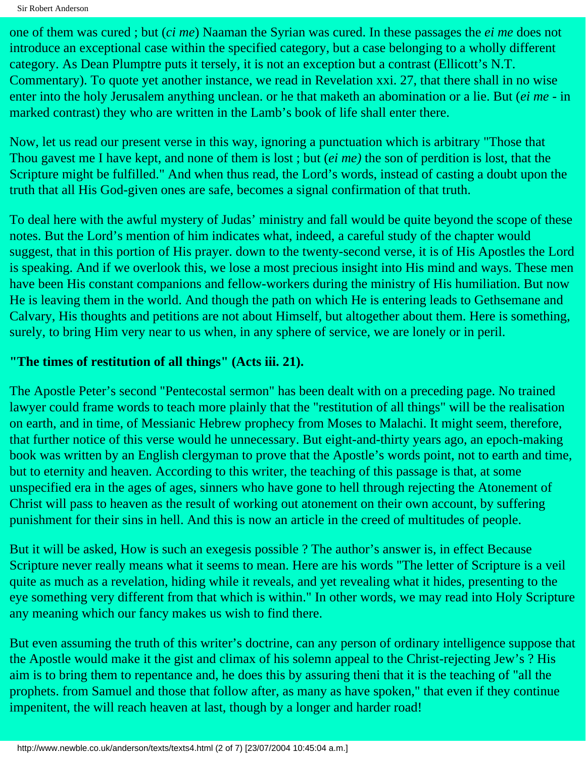one of them was cured ; but (*ci me*) Naaman the Syrian was cured. In these passages the *ei me* does not introduce an exceptional case within the specified category, but a case belonging to a wholly different category. As Dean Plumptre puts it tersely, it is not an exception but a contrast (Ellicott's N.T. Commentary). To quote yet another instance, we read in Revelation xxi. 27, that there shall in no wise enter into the holy Jerusalem anything unclean. or he that maketh an abomination or a lie. But (*ei me* - in marked contrast) they who are written in the Lamb's book of life shall enter there.

Now, let us read our present verse in this way, ignoring a punctuation which is arbitrary "Those that Thou gavest me I have kept, and none of them is lost ; but (*ei me)* the son of perdition is lost, that the Scripture might be fulfilled." And when thus read, the Lord's words, instead of casting a doubt upon the truth that all His God-given ones are safe, becomes a signal confirmation of that truth.

To deal here with the awful mystery of Judas' ministry and fall would be quite beyond the scope of these notes. But the Lord's mention of him indicates what, indeed, a careful study of the chapter would suggest, that in this portion of His prayer. down to the twenty-second verse, it is of His Apostles the Lord is speaking. And if we overlook this, we lose a most precious insight into His mind and ways. These men have been His constant companions and fellow-workers during the ministry of His humiliation. But now He is leaving them in the world. And though the path on which He is entering leads to Gethsemane and Calvary, His thoughts and petitions are not about Himself, but altogether about them. Here is something, surely, to bring Him very near to us when, in any sphere of service, we are lonely or in peril.

#### **"The times of restitution of all things" (Acts iii. 21).**

The Apostle Peter's second "Pentecostal sermon" has been dealt with on a preceding page. No trained lawyer could frame words to teach more plainly that the "restitution of all things" will be the realisation on earth, and in time, of Messianic Hebrew prophecy from Moses to Malachi. It might seem, therefore, that further notice of this verse would he unnecessary. But eight-and-thirty years ago, an epoch-making book was written by an English clergyman to prove that the Apostle's words point, not to earth and time, but to eternity and heaven. According to this writer, the teaching of this passage is that, at some unspecified era in the ages of ages, sinners who have gone to hell through rejecting the Atonement of Christ will pass to heaven as the result of working out atonement on their own account, by suffering punishment for their sins in hell. And this is now an article in the creed of multitudes of people.

But it will be asked, How is such an exegesis possible ? The author's answer is, in effect Because Scripture never really means what it seems to mean. Here are his words "The letter of Scripture is a veil quite as much as a revelation, hiding while it reveals, and yet revealing what it hides, presenting to the eye something very different from that which is within." In other words, we may read into Holy Scripture any meaning which our fancy makes us wish to find there.

But even assuming the truth of this writer's doctrine, can any person of ordinary intelligence suppose that the Apostle would make it the gist and climax of his solemn appeal to the Christ-rejecting Jew's ? His aim is to bring them to repentance and, he does this by assuring theni that it is the teaching of "all the prophets. from Samuel and those that follow after, as many as have spoken," that even if they continue impenitent, the will reach heaven at last, though by a longer and harder road!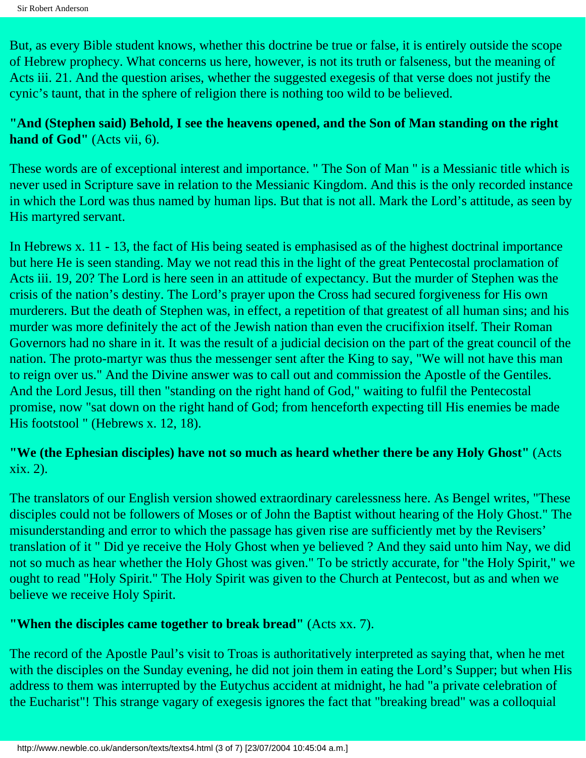But, as every Bible student knows, whether this doctrine be true or false, it is entirely outside the scope of Hebrew prophecy. What concerns us here, however, is not its truth or falseness, but the meaning of Acts iii. 21. And the question arises, whether the suggested exegesis of that verse does not justify the cynic's taunt, that in the sphere of religion there is nothing too wild to be believed.

### **"And (Stephen said) Behold, I see the heavens opened, and the Son of Man standing on the right**  hand of God" (Acts vii, 6).

These words are of exceptional interest and importance. " The Son of Man " is a Messianic title which is never used in Scripture save in relation to the Messianic Kingdom. And this is the only recorded instance in which the Lord was thus named by human lips. But that is not all. Mark the Lord's attitude, as seen by His martyred servant.

In Hebrews x. 11 - 13, the fact of His being seated is emphasised as of the highest doctrinal importance but here He is seen standing. May we not read this in the light of the great Pentecostal proclamation of Acts iii. 19, 20? The Lord is here seen in an attitude of expectancy. But the murder of Stephen was the crisis of the nation's destiny. The Lord's prayer upon the Cross had secured forgiveness for His own murderers. But the death of Stephen was, in effect, a repetition of that greatest of all human sins; and his murder was more definitely the act of the Jewish nation than even the crucifixion itself. Their Roman Governors had no share in it. It was the result of a judicial decision on the part of the great council of the nation. The proto-martyr was thus the messenger sent after the King to say, "We will not have this man to reign over us." And the Divine answer was to call out and commission the Apostle of the Gentiles. And the Lord Jesus, till then "standing on the right hand of God," waiting to fulfil the Pentecostal promise, now "sat down on the right hand of God; from henceforth expecting till His enemies be made His footstool " (Hebrews x. 12, 18).

### **"We (the Ephesian disciples) have not so much as heard whether there be any Holy Ghost"** (Acts xix. 2).

The translators of our English version showed extraordinary carelessness here. As Bengel writes, "These disciples could not be followers of Moses or of John the Baptist without hearing of the Holy Ghost." The misunderstanding and error to which the passage has given rise are sufficiently met by the Revisers' translation of it " Did ye receive the Holy Ghost when ye believed ? And they said unto him Nay, we did not so much as hear whether the Holy Ghost was given." To be strictly accurate, for "the Holy Spirit," we ought to read "Holy Spirit." The Holy Spirit was given to the Church at Pentecost, but as and when we believe we receive Holy Spirit.

#### **"When the disciples came together to break bread"** (Acts xx. 7).

The record of the Apostle Paul's visit to Troas is authoritatively interpreted as saying that, when he met with the disciples on the Sunday evening, he did not join them in eating the Lord's Supper; but when His address to them was interrupted by the Eutychus accident at midnight, he had "a private celebration of the Eucharist"! This strange vagary of exegesis ignores the fact that "breaking bread" was a colloquial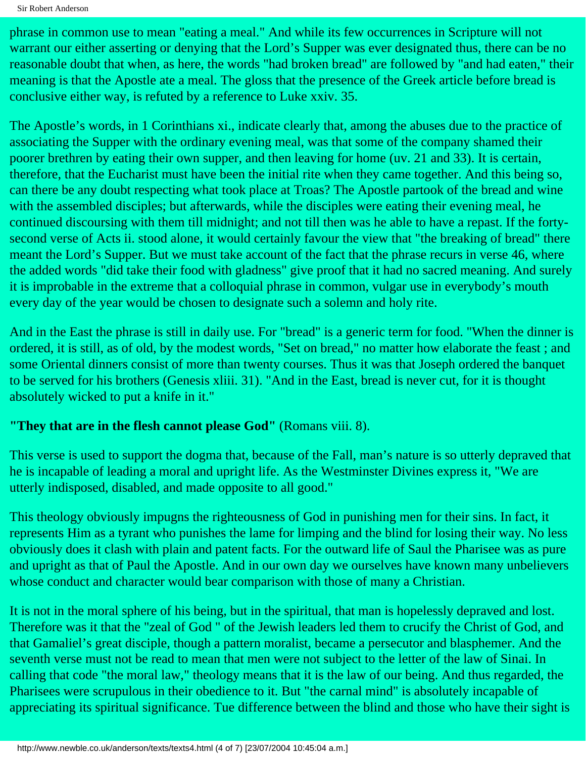Sir Robert Anderson

phrase in common use to mean "eating a meal." And while its few occurrences in Scripture will not warrant our either asserting or denying that the Lord's Supper was ever designated thus, there can be no reasonable doubt that when, as here, the words "had broken bread" are followed by "and had eaten," their meaning is that the Apostle ate a meal. The gloss that the presence of the Greek article before bread is conclusive either way, is refuted by a reference to Luke xxiv. 35.

The Apostle's words, in 1 Corinthians xi., indicate clearly that, among the abuses due to the practice of associating the Supper with the ordinary evening meal, was that some of the company shamed their poorer brethren by eating their own supper, and then leaving for home (uv. 21 and 33). It is certain, therefore, that the Eucharist must have been the initial rite when they came together. And this being so, can there be any doubt respecting what took place at Troas? The Apostle partook of the bread and wine with the assembled disciples; but afterwards, while the disciples were eating their evening meal, he continued discoursing with them till midnight; and not till then was he able to have a repast. If the fortysecond verse of Acts ii. stood alone, it would certainly favour the view that "the breaking of bread" there meant the Lord's Supper. But we must take account of the fact that the phrase recurs in verse 46, where the added words "did take their food with gladness" give proof that it had no sacred meaning. And surely it is improbable in the extreme that a colloquial phrase in common, vulgar use in everybody's mouth every day of the year would be chosen to designate such a solemn and holy rite.

And in the East the phrase is still in daily use. For "bread" is a generic term for food. "When the dinner is ordered, it is still, as of old, by the modest words, "Set on bread," no matter how elaborate the feast ; and some Oriental dinners consist of more than twenty courses. Thus it was that Joseph ordered the banquet to be served for his brothers (Genesis xliii. 31). "And in the East, bread is never cut, for it is thought absolutely wicked to put a knife in it."

#### **"They that are in the flesh cannot please God"** (Romans viii. 8).

This verse is used to support the dogma that, because of the Fall, man's nature is so utterly depraved that he is incapable of leading a moral and upright life. As the Westminster Divines express it, "We are utterly indisposed, disabled, and made opposite to all good."

This theology obviously impugns the righteousness of God in punishing men for their sins. In fact, it represents Him as a tyrant who punishes the lame for limping and the blind for losing their way. No less obviously does it clash with plain and patent facts. For the outward life of Saul the Pharisee was as pure and upright as that of Paul the Apostle. And in our own day we ourselves have known many unbelievers whose conduct and character would bear comparison with those of many a Christian.

It is not in the moral sphere of his being, but in the spiritual, that man is hopelessly depraved and lost. Therefore was it that the "zeal of God " of the Jewish leaders led them to crucify the Christ of God, and that Gamaliel's great disciple, though a pattern moralist, became a persecutor and blasphemer. And the seventh verse must not be read to mean that men were not subject to the letter of the law of Sinai. In calling that code "the moral law," theology means that it is the law of our being. And thus regarded, the Pharisees were scrupulous in their obedience to it. But "the carnal mind" is absolutely incapable of appreciating its spiritual significance. Tue difference between the blind and those who have their sight is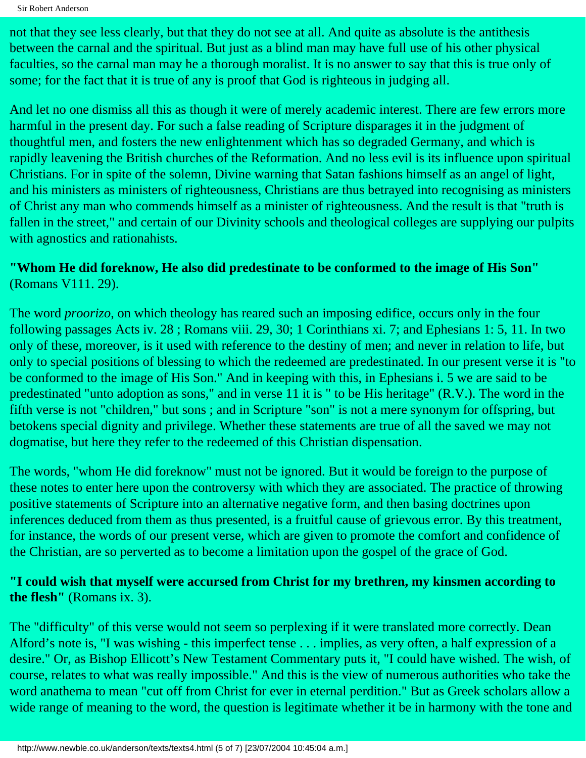Sir Robert Anderson

not that they see less clearly, but that they do not see at all. And quite as absolute is the antithesis between the carnal and the spiritual. But just as a blind man may have full use of his other physical faculties, so the carnal man may he a thorough moralist. It is no answer to say that this is true only of some; for the fact that it is true of any is proof that God is righteous in judging all.

And let no one dismiss all this as though it were of merely academic interest. There are few errors more harmful in the present day. For such a false reading of Scripture disparages it in the judgment of thoughtful men, and fosters the new enlightenment which has so degraded Germany, and which is rapidly leavening the British churches of the Reformation. And no less evil is its influence upon spiritual Christians. For in spite of the solemn, Divine warning that Satan fashions himself as an angel of light, and his ministers as ministers of righteousness, Christians are thus betrayed into recognising as ministers of Christ any man who commends himself as a minister of righteousness. And the result is that "truth is fallen in the street," and certain of our Divinity schools and theological colleges are supplying our pulpits with agnostics and rationahists.

#### **"Whom He did foreknow, He also did predestinate to be conformed to the image of His Son"** (Romans V111. 29).

The word *proorizo*, on which theology has reared such an imposing edifice, occurs only in the four following passages Acts iv. 28 ; Romans viii. 29, 30; 1 Corinthians xi. 7; and Ephesians 1: 5, 11. In two only of these, moreover, is it used with reference to the destiny of men; and never in relation to life, but only to special positions of blessing to which the redeemed are predestinated. In our present verse it is "to be conformed to the image of His Son." And in keeping with this, in Ephesians i. 5 we are said to be predestinated "unto adoption as sons," and in verse 11 it is " to be His heritage" (R.V.). The word in the fifth verse is not "children," but sons ; and in Scripture "son" is not a mere synonym for offspring, but betokens special dignity and privilege. Whether these statements are true of all the saved we may not dogmatise, but here they refer to the redeemed of this Christian dispensation.

The words, "whom He did foreknow" must not be ignored. But it would be foreign to the purpose of these notes to enter here upon the controversy with which they are associated. The practice of throwing positive statements of Scripture into an alternative negative form, and then basing doctrines upon inferences deduced from them as thus presented, is a fruitful cause of grievous error. By this treatment, for instance, the words of our present verse, which are given to promote the comfort and confidence of the Christian, are so perverted as to become a limitation upon the gospel of the grace of God.

#### **"I could wish that myself were accursed from Christ for my brethren, my kinsmen according to the flesh"** (Romans ix. 3).

The "difficulty" of this verse would not seem so perplexing if it were translated more correctly. Dean Alford's note is, "I was wishing - this imperfect tense . . . implies, as very often, a half expression of a desire." Or, as Bishop Ellicott's New Testament Commentary puts it, "I could have wished. The wish, of course, relates to what was really impossible." And this is the view of numerous authorities who take the word anathema to mean "cut off from Christ for ever in eternal perdition." But as Greek scholars allow a wide range of meaning to the word, the question is legitimate whether it be in harmony with the tone and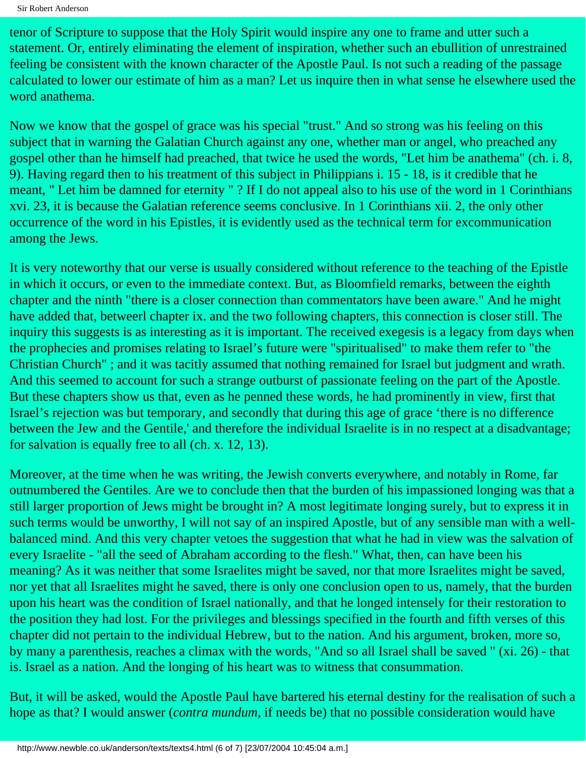tenor of Scripture to suppose that the Holy Spirit would inspire any one to frame and utter such a statement. Or, entirely eliminating the element of inspiration, whether such an ebullition of unrestrained feeling be consistent with the known character of the Apostle Paul. Is not such a reading of the passage calculated to lower our estimate of him as a man? Let us inquire then in what sense he elsewhere used the word anathema.

Now we know that the gospel of grace was his special "trust." And so strong was his feeling on this subject that in warning the Galatian Church against any one, whether man or angel, who preached any gospel other than he himself had preached, that twice he used the words, "Let him be anathema" (ch. i. 8, 9). Having regard then to his treatment of this subject in Philippians i. 15 - 18, is it credible that he meant, " Let him be damned for eternity " ? If I do not appeal also to his use of the word in 1 Corinthians xvi. 23, it is because the Galatian reference seems conclusive. In 1 Corinthians xii. 2, the only other occurrence of the word in his Epistles, it is evidently used as the technical term for excommunication among the Jews.

It is very noteworthy that our verse is usually considered without reference to the teaching of the Epistle in which it occurs, or even to the immediate context. But, as Bloomfield remarks, between the eighth chapter and the ninth "there is a closer connection than commentators have been aware." And he might have added that, betweerl chapter ix. and the two following chapters, this connection is closer still. The inquiry this suggests is as interesting as it is important. The received exegesis is a legacy from days when the prophecies and promises relating to Israel's future were "spiritualised" to make them refer to "the Christian Church" ; and it was tacitly assumed that nothing remained for Israel but judgment and wrath. And this seemed to account for such a strange outburst of passionate feeling on the part of the Apostle. But these chapters show us that, even as he penned these words, he had prominently in view, first that Israel's rejection was but temporary, and secondly that during this age of grace 'there is no difference between the Jew and the Gentile,' and therefore the individual Israelite is in no respect at a disadvantage; for salvation is equally free to all (ch. x. 12, 13).

Moreover, at the time when he was writing, the Jewish converts everywhere, and notably in Rome, far outnumbered the Gentiles. Are we to conclude then that the burden of his impassioned longing was that a still larger proportion of Jews might be brought in? A most legitimate longing surely, but to express it in such terms would be unworthy, I will not say of an inspired Apostle, but of any sensible man with a wellbalanced mind. And this very chapter vetoes the suggestion that what he had in view was the salvation of every Israelite - "all the seed of Abraham according to the flesh." What, then, can have been his meaning? As it was neither that some Israelites might be saved, nor that more Israelites might be saved, nor yet that all Israelites might he saved, there is only one conclusion open to us, namely, that the burden upon his heart was the condition of Israel nationally, and that he longed intensely for their restoration to the position they had lost. For the privileges and blessings specified in the fourth and fifth verses of this chapter did not pertain to the individual Hebrew, but to the nation. And his argument, broken, more so, by many a parenthesis, reaches a climax with the words, "And so all Israel shall be saved " (xi. 26) - that is. Israel as a nation. And the longing of his heart was to witness that consummation.

But, it will be asked, would the Apostle Paul have bartered his eternal destiny for the realisation of such a hope as that? I would answer (*contra mundum,* if needs be) that no possible consideration would have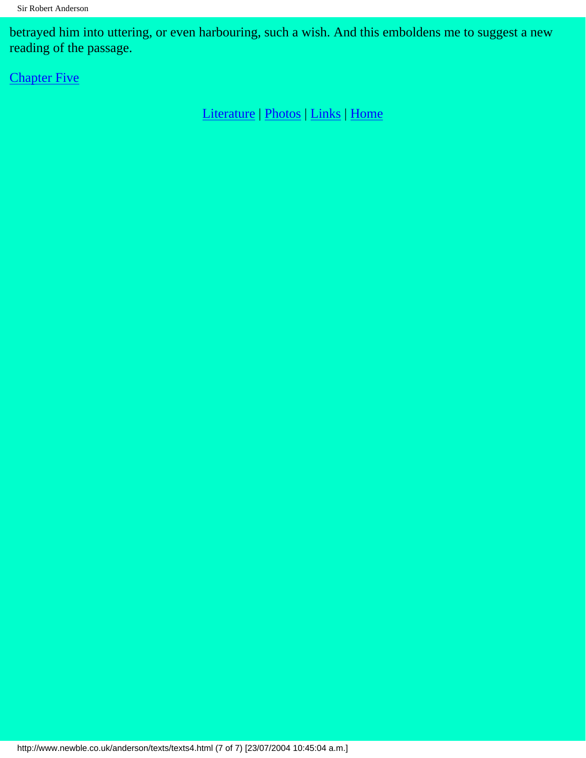betrayed him into uttering, or even harbouring, such a wish. And this emboldens me to suggest a new reading of the passage.

**[Chapter Five](#page-41-0)** 

[Literature](http://www.newble.co.uk/literature.html) | [Photos](http://www.newble.co.uk/photos.html) | [Links](http://www.newble.co.uk/links.html) | [Home](http://www.newble.co.uk/index.html)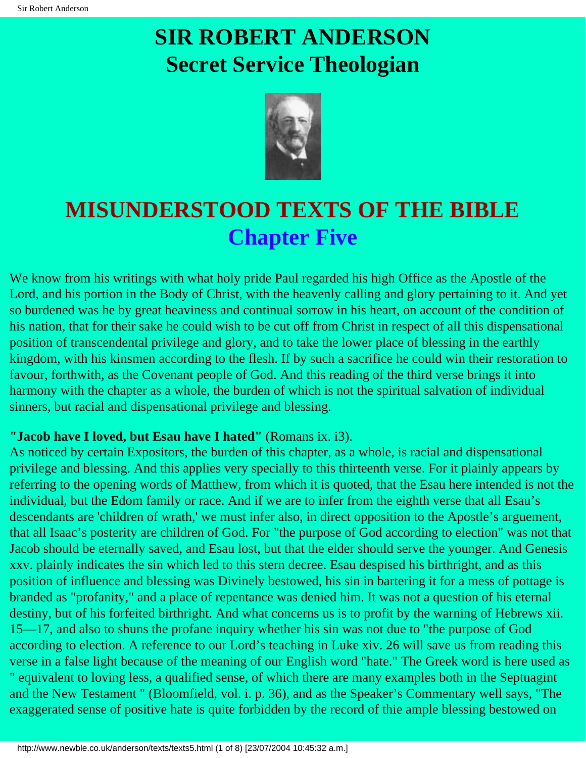# <span id="page-41-0"></span>**SIR ROBERT ANDERSON Secret Service Theologian**



# **MISUNDERSTOOD TEXTS OF THE BIBLE Chapter Five**

We know from his writings with what holy pride Paul regarded his high Office as the Apostle of the Lord, and his portion in the Body of Christ, with the heavenly calling and glory pertaining to it. And yet so burdened was he by great heaviness and continual sorrow in his heart, on account of the condition of his nation, that for their sake he could wish to be cut off from Christ in respect of all this dispensational position of transcendental privilege and glory, and to take the lower place of blessing in the earthly kingdom, with his kinsmen according to the flesh. If by such a sacrifice he could win their restoration to favour, forthwith, as the Covenant people of God. And this reading of the third verse brings it into harmony with the chapter as a whole, the burden of which is not the spiritual salvation of individual sinners, but racial and dispensational privilege and blessing.

#### **"Jacob have I loved, but Esau have I hated"** (Romans ix. i3).

As noticed by certain Expositors, the burden of this chapter, as a whole, is racial and dispensational privilege and blessing. And this applies very specially to this thirteenth verse. For it plainly appears by referring to the opening words of Matthew, from which it is quoted, that the Esau here intended is not the individual, but the Edom family or race. And if we are to infer from the eighth verse that all Esau's descendants are 'children of wrath,' we must infer also, in direct opposition to the Apostle's arguement, that all Isaac's posterity are children of God. For "the purpose of God according to election" was not that Jacob should be eternally saved, and Esau lost, but that the elder should serve the younger. And Genesis xxv. plainly indicates the sin which led to this stern decree. Esau despised his birthright, and as this position of influence and blessing was Divinely bestowed, his sin in bartering it for a mess of pottage is branded as "profanity," and a place of repentance was denied him. It was not a question of his eternal destiny, but of his forfeited birthright. And what concerns us is to profit by the warning of Hebrews xii. 15—17, and also to shuns the profane inquiry whether his sin was not due to "the purpose of God according to election. A reference to our Lord's teaching in Luke xiv. 26 will save us from reading this verse in a false light because of the meaning of our English word "hate." The Greek word is here used as " equivalent to loving less, a qualified sense, of which there are many examples both in the Septuagint and the New Testament " (Bloomfield, vol. i. p. 36), and as the Speaker's Commentary well says, "The exaggerated sense of positive hate is quite forbidden by the record of thie ample blessing bestowed on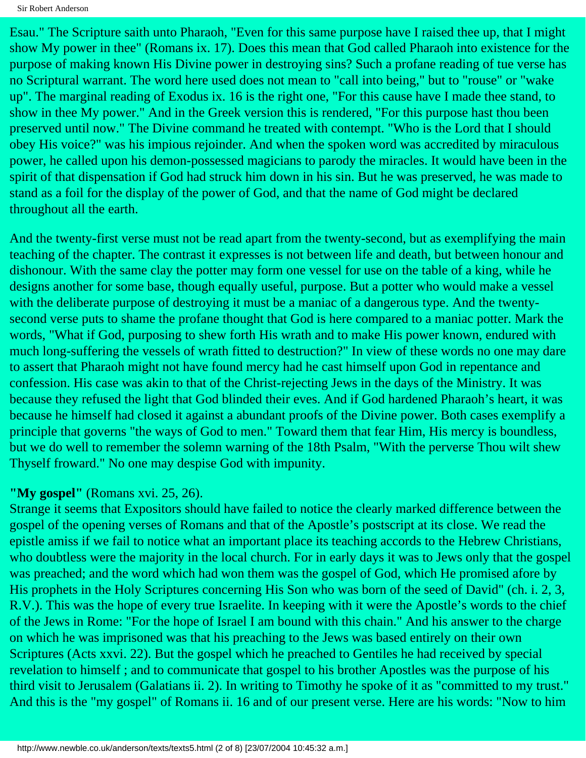Esau." The Scripture saith unto Pharaoh, "Even for this same purpose have I raised thee up, that I might show My power in thee" (Romans ix. 17). Does this mean that God called Pharaoh into existence for the purpose of making known His Divine power in destroying sins? Such a profane reading of tue verse has no Scriptural warrant. The word here used does not mean to "call into being," but to "rouse" or "wake up". The marginal reading of Exodus ix. 16 is the right one, "For this cause have I made thee stand, to show in thee My power." And in the Greek version this is rendered, "For this purpose hast thou been preserved until now." The Divine command he treated with contempt. "Who is the Lord that I should obey His voice?" was his impious rejoinder. And when the spoken word was accredited by miraculous power, he called upon his demon-possessed magicians to parody the miracles. It would have been in the spirit of that dispensation if God had struck him down in his sin. But he was preserved, he was made to stand as a foil for the display of the power of God, and that the name of God might be declared throughout all the earth.

And the twenty-first verse must not be read apart from the twenty-second, but as exemplifying the main teaching of the chapter. The contrast it expresses is not between life and death, but between honour and dishonour. With the same clay the potter may form one vessel for use on the table of a king, while he designs another for some base, though equally useful, purpose. But a potter who would make a vessel with the deliberate purpose of destroying it must be a maniac of a dangerous type. And the twentysecond verse puts to shame the profane thought that God is here compared to a maniac potter. Mark the words, "What if God, purposing to shew forth His wrath and to make His power known, endured with much long-suffering the vessels of wrath fitted to destruction?" In view of these words no one may dare to assert that Pharaoh might not have found mercy had he cast himself upon God in repentance and confession. His case was akin to that of the Christ-rejecting Jews in the days of the Ministry. It was because they refused the light that God blinded their eves. And if God hardened Pharaoh's heart, it was because he himself had closed it against a abundant proofs of the Divine power. Both cases exemplify a principle that governs "the ways of God to men." Toward them that fear Him, His mercy is boundless, but we do well to remember the solemn warning of the 18th Psalm, "With the perverse Thou wilt shew Thyself froward." No one may despise God with impunity.

#### **"My gospel"** (Romans xvi. 25, 26).

Strange it seems that Expositors should have failed to notice the clearly marked difference between the gospel of the opening verses of Romans and that of the Apostle's postscript at its close. We read the epistle amiss if we fail to notice what an important place its teaching accords to the Hebrew Christians, who doubtless were the majority in the local church. For in early days it was to Jews only that the gospel was preached; and the word which had won them was the gospel of God, which He promised afore by His prophets in the Holy Scriptures concerning His Son who was born of the seed of David" (ch. i. 2, 3, R.V.). This was the hope of every true Israelite. In keeping with it were the Apostle's words to the chief of the Jews in Rome: "For the hope of Israel I am bound with this chain." And his answer to the charge on which he was imprisoned was that his preaching to the Jews was based entirely on their own Scriptures (Acts xxvi. 22). But the gospel which he preached to Gentiles he had received by special revelation to himself ; and to communicate that gospel to his brother Apostles was the purpose of his third visit to Jerusalem (Galatians ii. 2). In writing to Timothy he spoke of it as "committed to my trust." And this is the "my gospel" of Romans ii. 16 and of our present verse. Here are his words: "Now to him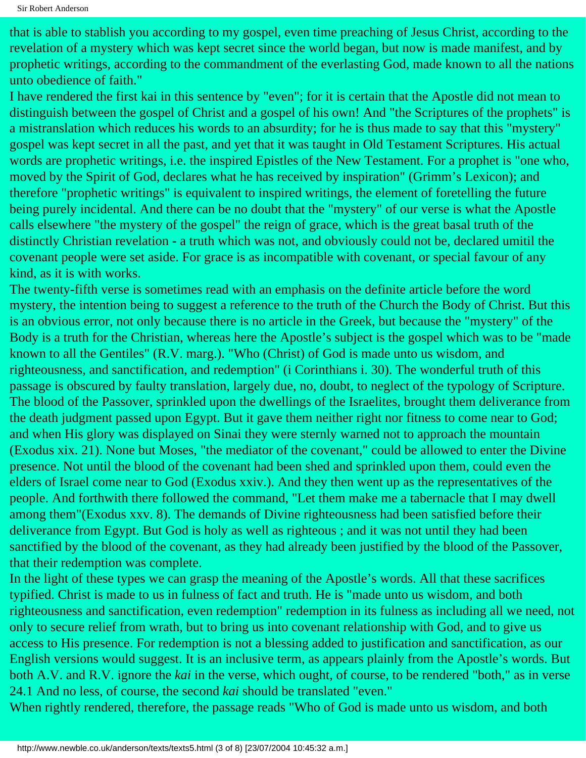that is able to stablish you according to my gospel, even time preaching of Jesus Christ, according to the revelation of a mystery which was kept secret since the world began, but now is made manifest, and by prophetic writings, according to the commandment of the everlasting God, made known to all the nations unto obedience of faith."

I have rendered the first kai in this sentence by "even"; for it is certain that the Apostle did not mean to distinguish between the gospel of Christ and a gospel of his own! And "the Scriptures of the prophets" is a mistranslation which reduces his words to an absurdity; for he is thus made to say that this "mystery" gospel was kept secret in all the past, and yet that it was taught in Old Testament Scriptures. His actual words are prophetic writings, i.e. the inspired Epistles of the New Testament. For a prophet is "one who, moved by the Spirit of God, declares what he has received by inspiration" (Grimm's Lexicon); and therefore "prophetic writings" is equivalent to inspired writings, the element of foretelling the future being purely incidental. And there can be no doubt that the "mystery" of our verse is what the Apostle calls elsewhere "the mystery of the gospel" the reign of grace, which is the great basal truth of the distinctly Christian revelation - a truth which was not, and obviously could not be, declared umitil the covenant people were set aside. For grace is as incompatible with covenant, or special favour of any kind, as it is with works.

The twenty-fifth verse is sometimes read with an emphasis on the definite article before the word mystery, the intention being to suggest a reference to the truth of the Church the Body of Christ. But this is an obvious error, not only because there is no article in the Greek, but because the "mystery" of the Body is a truth for the Christian, whereas here the Apostle's subject is the gospel which was to be "made known to all the Gentiles" (R.V. marg.). "Who (Christ) of God is made unto us wisdom, and righteousness, and sanctification, and redemption" (i Corinthians i. 30). The wonderful truth of this passage is obscured by faulty translation, largely due, no, doubt, to neglect of the typology of Scripture. The blood of the Passover, sprinkled upon the dwellings of the Israelites, brought them deliverance from the death judgment passed upon Egypt. But it gave them neither right nor fitness to come near to God; and when His glory was displayed on Sinai they were sternly warned not to approach the mountain (Exodus xix. 21). None but Moses, "the mediator of the covenant," could be allowed to enter the Divine presence. Not until the blood of the covenant had been shed and sprinkled upon them, could even the elders of Israel come near to God (Exodus xxiv.). And they then went up as the representatives of the people. And forthwith there followed the command, "Let them make me a tabernacle that I may dwell among them"(Exodus xxv. 8). The demands of Divine righteousness had been satisfied before their deliverance from Egypt. But God is holy as well as righteous ; and it was not until they had been sanctified by the blood of the covenant, as they had already been justified by the blood of the Passover, that their redemption was complete.

In the light of these types we can grasp the meaning of the Apostle's words. All that these sacrifices typified. Christ is made to us in fulness of fact and truth. He is "made unto us wisdom, and both righteousness and sanctification, even redemption" redemption in its fulness as including all we need, not only to secure relief from wrath, but to bring us into covenant relationship with God, and to give us access to His presence. For redemption is not a blessing added to justification and sanctification, as our English versions would suggest. It is an inclusive term, as appears plainly from the Apostle's words. But both A.V. and R.V. ignore the *kai* in the verse, which ought, of course, to be rendered "both," as in verse 24.1 And no less, of course, the second *kai* should be translated "even."

When rightly rendered, therefore, the passage reads "Who of God is made unto us wisdom, and both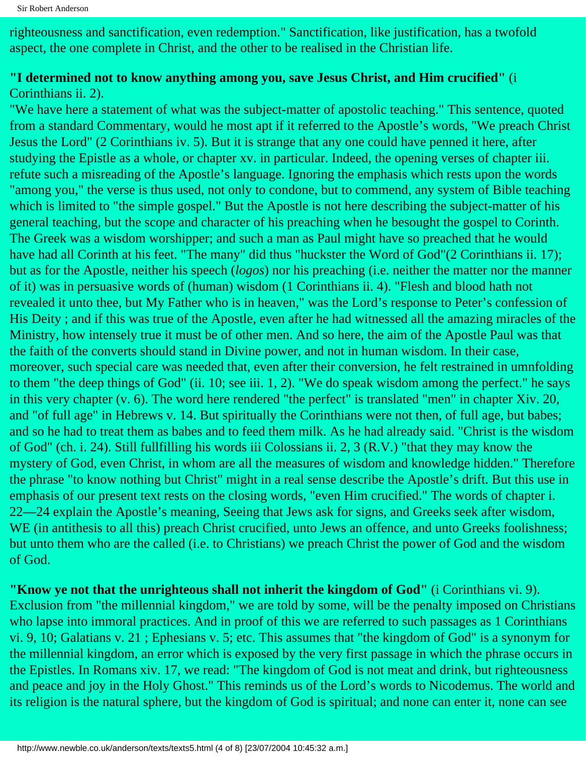righteousness and sanctification, even redemption." Sanctification, like justification, has a twofold aspect, the one complete in Christ, and the other to be realised in the Christian life.

### **"I determined not to know anything among you, save Jesus Christ, and Him crucified"** (i Corinthians ii. 2).

"We have here a statement of what was the subject-matter of apostolic teaching." This sentence, quoted from a standard Commentary, would he most apt if it referred to the Apostle's words, "We preach Christ Jesus the Lord" (2 Corinthians iv. 5). But it is strange that any one could have penned it here, after studying the Epistle as a whole, or chapter xv. in particular. Indeed, the opening verses of chapter iii. refute such a misreading of the Apostle's language. Ignoring the emphasis which rests upon the words "among you," the verse is thus used, not only to condone, but to commend, any system of Bible teaching which is limited to "the simple gospel." But the Apostle is not here describing the subject-matter of his general teaching, but the scope and character of his preaching when he besought the gospel to Corinth. The Greek was a wisdom worshipper; and such a man as Paul might have so preached that he would have had all Corinth at his feet. "The many" did thus "huckster the Word of God"(2 Corinthians ii. 17); but as for the Apostle, neither his speech (*logos*) nor his preaching (i.e. neither the matter nor the manner of it) was in persuasive words of (human) wisdom (1 Corinthians ii. 4). "Flesh and blood hath not revealed it unto thee, but My Father who is in heaven," was the Lord's response to Peter's confession of His Deity ; and if this was true of the Apostle, even after he had witnessed all the amazing miracles of the Ministry, how intensely true it must be of other men. And so here, the aim of the Apostle Paul was that the faith of the converts should stand in Divine power, and not in human wisdom. In their case, moreover, such special care was needed that, even after their conversion, he felt restrained in umnfolding to them "the deep things of God" (ii. 10; see iii. 1, 2). "We do speak wisdom among the perfect." he says in this very chapter (v. 6). The word here rendered "the perfect" is translated "men" in chapter Xiv. 20, and "of full age" in Hebrews v. 14. But spiritually the Corinthians were not then, of full age, but babes; and so he had to treat them as babes and to feed them milk. As he had already said. "Christ is the wisdom of God" (ch. i. 24). Still fullfilling his words iii Colossians ii. 2, 3 (R.V.) "that they may know the mystery of God, even Christ, in whom are all the measures of wisdom and knowledge hidden." Therefore the phrase "to know nothing but Christ" might in a real sense describe the Apostle's drift. But this use in emphasis of our present text rests on the closing words, "even Him crucified." The words of chapter i. 22—24 explain the Apostle's meaning, Seeing that Jews ask for signs, and Greeks seek after wisdom, WE (in antithesis to all this) preach Christ crucified, unto Jews an offence, and unto Greeks foolishness; but unto them who are the called (i.e. to Christians) we preach Christ the power of God and the wisdom of God.

**"Know ye not that the unrighteous shall not inherit the kingdom of God"** (i Corinthians vi. 9). Exclusion from "the millennial kingdom," we are told by some, will be the penalty imposed on Christians who lapse into immoral practices. And in proof of this we are referred to such passages as 1 Corinthians vi. 9, 10; Galatians v. 21 ; Ephesians v. 5; etc. This assumes that "the kingdom of God" is a synonym for the millennial kingdom, an error which is exposed by the very first passage in which the phrase occurs in the Epistles. In Romans xiv. 17, we read: "The kingdom of God is not meat and drink, but righteousness and peace and joy in the Holy Ghost." This reminds us of the Lord's words to Nicodemus. The world and its religion is the natural sphere, but the kingdom of God is spiritual; and none can enter it, none can see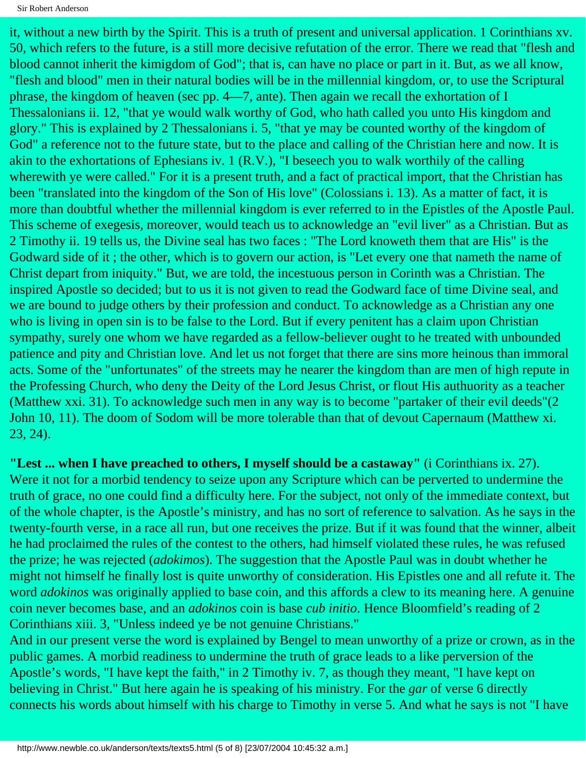it, without a new birth by the Spirit. This is a truth of present and universal application. 1 Corinthians xv. 50, which refers to the future, is a still more decisive refutation of the error. There we read that "flesh and blood cannot inherit the kimigdom of God"; that is, can have no place or part in it. But, as we all know, "flesh and blood" men in their natural bodies will be in the millennial kingdom, or, to use the Scriptural phrase, the kingdom of heaven (sec pp. 4—7, ante). Then again we recall the exhortation of I Thessalonians ii. 12, "that ye would walk worthy of God, who hath called you unto His kingdom and glory." This is explained by 2 Thessalonians i. 5, "that ye may be counted worthy of the kingdom of God" a reference not to the future state, but to the place and calling of the Christian here and now. It is akin to the exhortations of Ephesians iv. 1 (R.V.), "I beseech you to walk worthily of the calling wherewith ye were called." For it is a present truth, and a fact of practical import, that the Christian has been "translated into the kingdom of the Son of His love" (Colossians i. 13). As a matter of fact, it is more than doubtful whether the millennial kingdom is ever referred to in the Epistles of the Apostle Paul. This scheme of exegesis, moreover, would teach us to acknowledge an "evil liver" as a Christian. But as 2 Timothy ii. 19 tells us, the Divine seal has two faces : "The Lord knoweth them that are His" is the Godward side of it ; the other, which is to govern our action, is "Let every one that nameth the name of Christ depart from iniquity." But, we are told, the incestuous person in Corinth was a Christian. The inspired Apostle so decided; but to us it is not given to read the Godward face of time Divine seal, and we are bound to judge others by their profession and conduct. To acknowledge as a Christian any one who is living in open sin is to be false to the Lord. But if every penitent has a claim upon Christian sympathy, surely one whom we have regarded as a fellow-believer ought to he treated with unbounded patience and pity and Christian love. And let us not forget that there are sins more heinous than immoral acts. Some of the "unfortunates" of the streets may he nearer the kingdom than are men of high repute in the Professing Church, who deny the Deity of the Lord Jesus Christ, or flout His authuority as a teacher (Matthew xxi. 31). To acknowledge such men in any way is to become "partaker of their evil deeds"(2 John 10, 11). The doom of Sodom will be more tolerable than that of devout Capernaum (Matthew xi. 23, 24).

**"Lest ... when I have preached to others, I myself should be a castaway"** (i Corinthians ix. 27). Were it not for a morbid tendency to seize upon any Scripture which can be perverted to undermine the truth of grace, no one could find a difficulty here. For the subject, not only of the immediate context, but of the whole chapter, is the Apostle's ministry, and has no sort of reference to salvation. As he says in the twenty-fourth verse, in a race all run, but one receives the prize. But if it was found that the winner, albeit he had proclaimed the rules of the contest to the others, had himself violated these rules, he was refused the prize; he was rejected (*adokimos*). The suggestion that the Apostle Paul was in doubt whether he might not himself he finally lost is quite unworthy of consideration. His Epistles one and all refute it. The word *adokinos* was originally applied to base coin, and this affords a clew to its meaning here. A genuine coin never becomes base, and an *adokinos* coin is base *cub initio*. Hence Bloomfield's reading of 2 Corinthians xiii. 3, "Unless indeed ye be not genuine Christians."

And in our present verse the word is explained by Bengel to mean unworthy of a prize or crown, as in the public games. A morbid readiness to undermine the truth of grace leads to a like perversion of the Apostle's words, "I have kept the faith," in 2 Timothy iv. 7, as though they meant, "I have kept on believing in Christ." But here again he is speaking of his ministry. For the *gar* of verse 6 directly connects his words about himself with his charge to Timothy in verse 5. And what he says is not "I have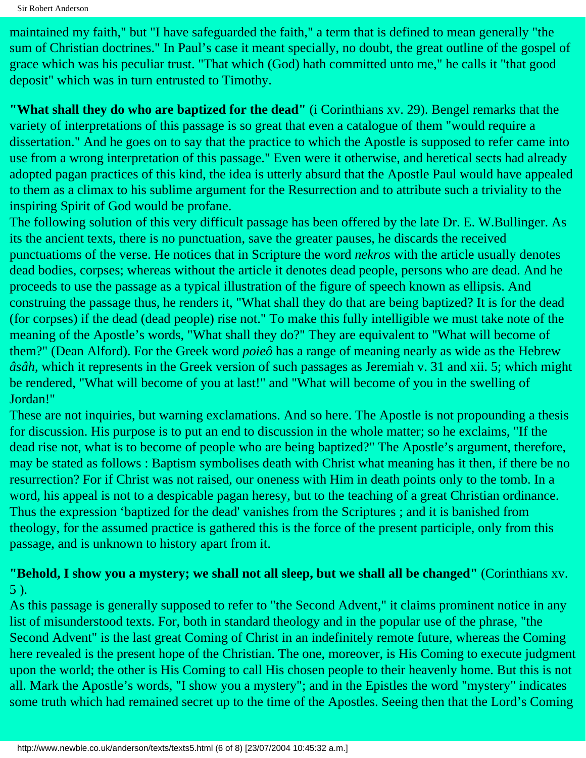maintained my faith," but "I have safeguarded the faith," a term that is defined to mean generally "the sum of Christian doctrines." In Paul's case it meant specially, no doubt, the great outline of the gospel of grace which was his peculiar trust. "That which (God) hath committed unto me," he calls it "that good deposit" which was in turn entrusted to Timothy.

**"What shall they do who are baptized for the dead"** (i Corinthians xv. 29). Bengel remarks that the variety of interpretations of this passage is so great that even a catalogue of them "would require a dissertation." And he goes on to say that the practice to which the Apostle is supposed to refer came into use from a wrong interpretation of this passage." Even were it otherwise, and heretical sects had already adopted pagan practices of this kind, the idea is utterly absurd that the Apostle Paul would have appealed to them as a climax to his sublime argument for the Resurrection and to attribute such a triviality to the inspiring Spirit of God would be profane.

The following solution of this very difficult passage has been offered by the late Dr. E. W.Bullinger. As its the ancient texts, there is no punctuation, save the greater pauses, he discards the received punctuatioms of the verse. He notices that in Scripture the word *nekros* with the article usually denotes dead bodies, corpses; whereas without the article it denotes dead people, persons who are dead. And he proceeds to use the passage as a typical illustration of the figure of speech known as ellipsis. And construing the passage thus, he renders it, "What shall they do that are being baptized? It is for the dead (for corpses) if the dead (dead people) rise not." To make this fully intelligible we must take note of the meaning of the Apostle's words, "What shall they do?" They are equivalent to "What will become of them?" (Dean Alford). For the Greek word *poieô* has a range of meaning nearly as wide as the Hebrew *âsâh*, which it represents in the Greek version of such passages as Jeremiah v. 31 and xii. 5; which might be rendered, "What will become of you at last!" and "What will become of you in the swelling of Jordan!"

These are not inquiries, but warning exclamations. And so here. The Apostle is not propounding a thesis for discussion. His purpose is to put an end to discussion in the whole matter; so he exclaims, "If the dead rise not, what is to become of people who are being baptized?" The Apostle's argument, therefore, may be stated as follows : Baptism symbolises death with Christ what meaning has it then, if there be no resurrection? For if Christ was not raised, our oneness with Him in death points only to the tomb. In a word, his appeal is not to a despicable pagan heresy, but to the teaching of a great Christian ordinance. Thus the expression 'baptized for the dead' vanishes from the Scriptures ; and it is banished from theology, for the assumed practice is gathered this is the force of the present participle, only from this passage, and is unknown to history apart from it.

### **"Behold, I show you a mystery; we shall not all sleep, but we shall all be changed"** (Corinthians xv. 5 ).

As this passage is generally supposed to refer to "the Second Advent," it claims prominent notice in any list of misunderstood texts. For, both in standard theology and in the popular use of the phrase, "the Second Advent" is the last great Coming of Christ in an indefinitely remote future, whereas the Coming here revealed is the present hope of the Christian. The one, moreover, is His Coming to execute judgment upon the world; the other is His Coming to call His chosen people to their heavenly home. But this is not all. Mark the Apostle's words, "I show you a mystery"; and in the Epistles the word "mystery" indicates some truth which had remained secret up to the time of the Apostles. Seeing then that the Lord's Coming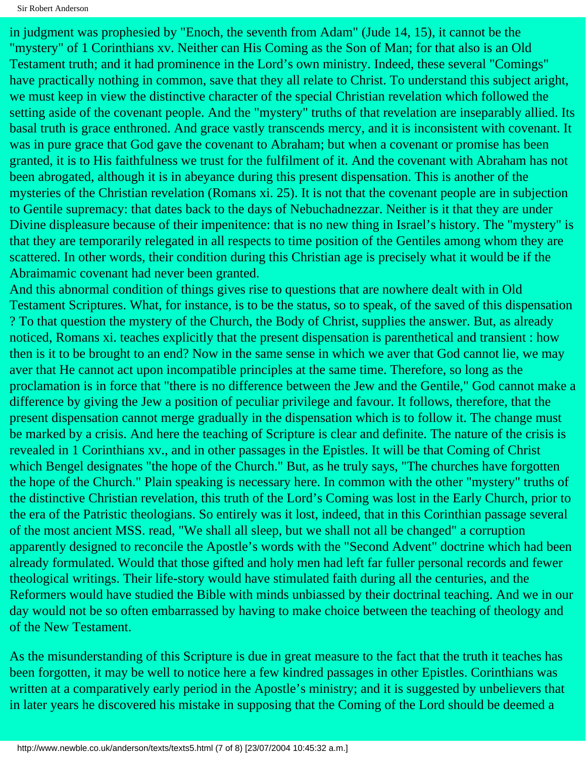in judgment was prophesied by "Enoch, the seventh from Adam" (Jude 14, 15), it cannot be the "mystery" of 1 Corinthians xv. Neither can His Coming as the Son of Man; for that also is an Old Testament truth; and it had prominence in the Lord's own ministry. Indeed, these several "Comings" have practically nothing in common, save that they all relate to Christ. To understand this subject aright, we must keep in view the distinctive character of the special Christian revelation which followed the setting aside of the covenant people. And the "mystery" truths of that revelation are inseparably allied. Its basal truth is grace enthroned. And grace vastly transcends mercy, and it is inconsistent with covenant. It was in pure grace that God gave the covenant to Abraham; but when a covenant or promise has been granted, it is to His faithfulness we trust for the fulfilment of it. And the covenant with Abraham has not been abrogated, although it is in abeyance during this present dispensation. This is another of the mysteries of the Christian revelation (Romans xi. 25). It is not that the covenant people are in subjection to Gentile supremacy: that dates back to the days of Nebuchadnezzar. Neither is it that they are under Divine displeasure because of their impenitence: that is no new thing in Israel's history. The "mystery" is that they are temporarily relegated in all respects to time position of the Gentiles among whom they are scattered. In other words, their condition during this Christian age is precisely what it would be if the Abraimamic covenant had never been granted.

And this abnormal condition of things gives rise to questions that are nowhere dealt with in Old Testament Scriptures. What, for instance, is to be the status, so to speak, of the saved of this dispensation ? To that question the mystery of the Church, the Body of Christ, supplies the answer. But, as already noticed, Romans xi. teaches explicitly that the present dispensation is parenthetical and transient : how then is it to be brought to an end? Now in the same sense in which we aver that God cannot lie, we may aver that He cannot act upon incompatible principles at the same time. Therefore, so long as the proclamation is in force that "there is no difference between the Jew and the Gentile," God cannot make a difference by giving the Jew a position of peculiar privilege and favour. It follows, therefore, that the present dispensation cannot merge gradually in the dispensation which is to follow it. The change must be marked by a crisis. And here the teaching of Scripture is clear and definite. The nature of the crisis is revealed in 1 Corinthians xv., and in other passages in the Epistles. It will be that Coming of Christ which Bengel designates "the hope of the Church." But, as he truly says, "The churches have forgotten the hope of the Church." Plain speaking is necessary here. In common with the other "mystery" truths of the distinctive Christian revelation, this truth of the Lord's Coming was lost in the Early Church, prior to the era of the Patristic theologians. So entirely was it lost, indeed, that in this Corinthian passage several of the most ancient MSS. read, "We shall all sleep, but we shall not all be changed" a corruption apparently designed to reconcile the Apostle's words with the "Second Advent" doctrine which had been already formulated. Would that those gifted and holy men had left far fuller personal records and fewer theological writings. Their life-story would have stimulated faith during all the centuries, and the Reformers would have studied the Bible with minds unbiassed by their doctrinal teaching. And we in our day would not be so often embarrassed by having to make choice between the teaching of theology and of the New Testament.

As the misunderstanding of this Scripture is due in great measure to the fact that the truth it teaches has been forgotten, it may be well to notice here a few kindred passages in other Epistles. Corinthians was written at a comparatively early period in the Apostle's ministry; and it is suggested by unbelievers that in later years he discovered his mistake in supposing that the Coming of the Lord should be deemed a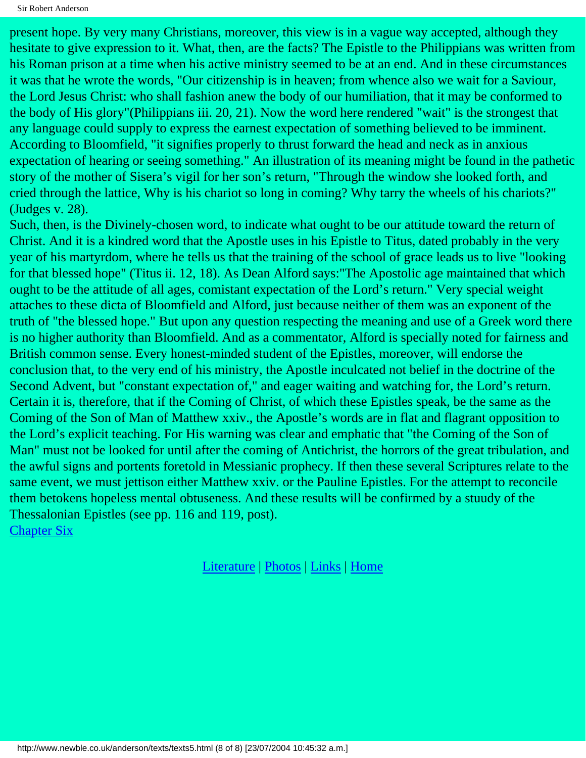present hope. By very many Christians, moreover, this view is in a vague way accepted, although they hesitate to give expression to it. What, then, are the facts? The Epistle to the Philippians was written from his Roman prison at a time when his active ministry seemed to be at an end. And in these circumstances it was that he wrote the words, "Our citizenship is in heaven; from whence also we wait for a Saviour, the Lord Jesus Christ: who shall fashion anew the body of our humiliation, that it may be conformed to the body of His glory"(Philippians iii. 20, 21). Now the word here rendered "wait" is the strongest that any language could supply to express the earnest expectation of something believed to be imminent. According to Bloomfield, "it signifies properly to thrust forward the head and neck as in anxious expectation of hearing or seeing something." An illustration of its meaning might be found in the pathetic story of the mother of Sisera's vigil for her son's return, "Through the window she looked forth, and cried through the lattice, Why is his chariot so long in coming? Why tarry the wheels of his chariots?" (Judges v. 28).

Such, then, is the Divinely-chosen word, to indicate what ought to be our attitude toward the return of Christ. And it is a kindred word that the Apostle uses in his Epistle to Titus, dated probably in the very year of his martyrdom, where he tells us that the training of the school of grace leads us to live "looking for that blessed hope" (Titus ii. 12, 18). As Dean Alford says:"The Apostolic age maintained that which ought to be the attitude of all ages, comistant expectation of the Lord's return." Very special weight attaches to these dicta of Bloomfield and Alford, just because neither of them was an exponent of the truth of "the blessed hope." But upon any question respecting the meaning and use of a Greek word there is no higher authority than Bloomfield. And as a commentator, Alford is specially noted for fairness and British common sense. Every honest-minded student of the Epistles, moreover, will endorse the conclusion that, to the very end of his ministry, the Apostle inculcated not belief in the doctrine of the Second Advent, but "constant expectation of," and eager waiting and watching for, the Lord's return. Certain it is, therefore, that if the Coming of Christ, of which these Epistles speak, be the same as the Coming of the Son of Man of Matthew xxiv., the Apostle's words are in flat and flagrant opposition to the Lord's explicit teaching. For His warning was clear and emphatic that "the Coming of the Son of Man" must not be looked for until after the coming of Antichrist, the horrors of the great tribulation, and the awful signs and portents foretold in Messianic prophecy. If then these several Scriptures relate to the same event, we must jettison either Matthew xxiv. or the Pauline Epistles. For the attempt to reconcile them betokens hopeless mental obtuseness. And these results will be confirmed by a stuudy of the Thessalonian Epistles (see pp. 116 and 119, post). **[Chapter Six](#page-49-0)** 

[Literature](http://www.newble.co.uk/literature.html) | [Photos](http://www.newble.co.uk/photos.html) | [Links](http://www.newble.co.uk/links.html) | [Home](http://www.newble.co.uk/index.html)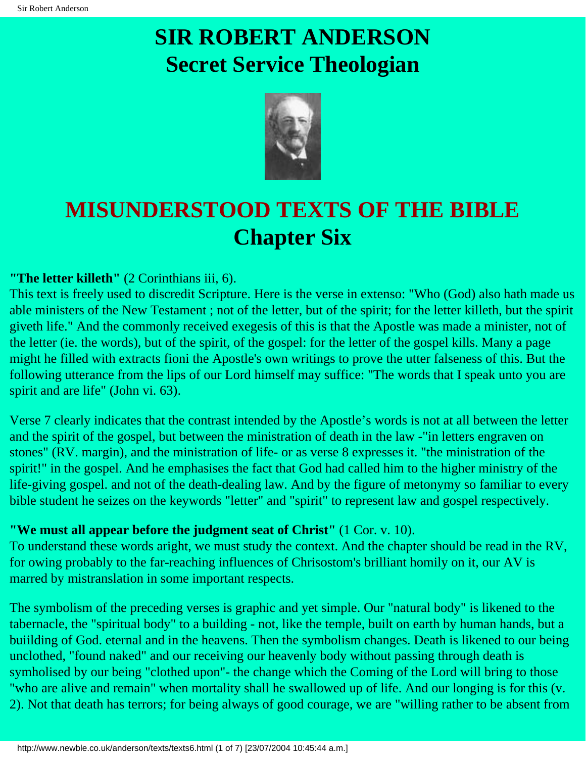# <span id="page-49-0"></span>**SIR ROBERT ANDERSON Secret Service Theologian**



# **MISUNDERSTOOD TEXTS OF THE BIBLE Chapter Six**

#### **"The letter killeth"** (2 Corinthians iii, 6).

This text is freely used to discredit Scripture. Here is the verse in extenso: "Who (God) also hath made us able ministers of the New Testament ; not of the letter, but of the spirit; for the letter killeth, but the spirit giveth life." And the commonly received exegesis of this is that the Apostle was made a minister, not of the letter (ie. the words), but of the spirit, of the gospel: for the letter of the gospel kills. Many a page might he filled with extracts fioni the Apostle's own writings to prove the utter falseness of this. But the following utterance from the lips of our Lord himself may suffice: "The words that I speak unto you are spirit and are life" (John vi. 63).

Verse 7 clearly indicates that the contrast intended by the Apostle's words is not at all between the letter and the spirit of the gospel, but between the ministration of death in the law -"in letters engraven on stones" (RV. margin), and the ministration of life- or as verse 8 expresses it. "the ministration of the spirit!" in the gospel. And he emphasises the fact that God had called him to the higher ministry of the life-giving gospel. and not of the death-dealing law. And by the figure of metonymy so familiar to every bible student he seizes on the keywords "letter" and "spirit" to represent law and gospel respectively.

#### **"We must all appear before the judgment seat of Christ"** (1 Cor. v. 10).

To understand these words aright, we must study the context. And the chapter should be read in the RV, for owing probably to the far-reaching influences of Chrisostom's brilliant homily on it, our AV is marred by mistranslation in some important respects.

The symbolism of the preceding verses is graphic and yet simple. Our "natural body" is likened to the tabernacle, the "spiritual body" to a building - not, like the temple, built on earth by human hands, but a buiilding of God. eternal and in the heavens. Then the symbolism changes. Death is likened to our being unclothed, "found naked" and our receiving our heavenly body without passing through death is symholised by our being "clothed upon"- the change which the Coming of the Lord will bring to those "who are alive and remain" when mortality shall he swallowed up of life. And our longing is for this (v. 2). Not that death has terrors; for being always of good courage, we are "willing rather to be absent from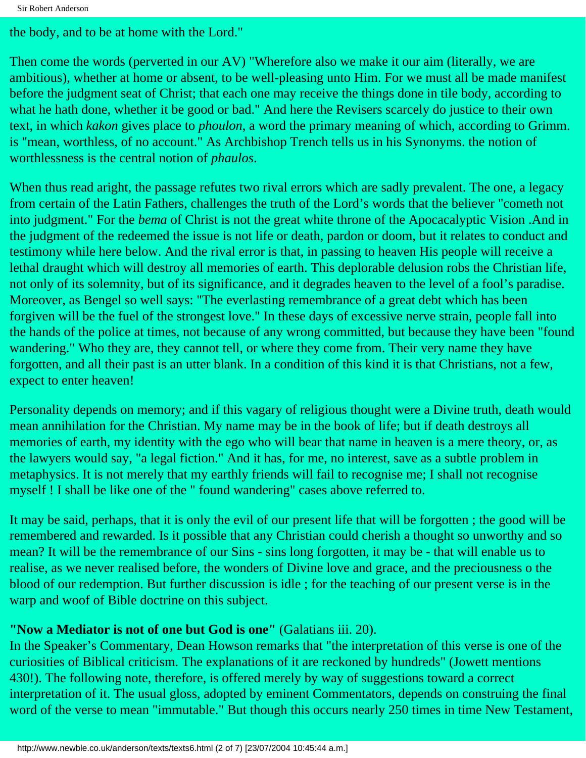Sir Robert Anderson

the body, and to be at home with the Lord."

Then come the words (perverted in our AV) "Wherefore also we make it our aim (literally, we are ambitious), whether at home or absent, to be well-pleasing unto Him. For we must all be made manifest before the judgment seat of Christ; that each one may receive the things done in tile body, according to what he hath done, whether it be good or bad." And here the Revisers scarcely do justice to their own text, in which *kakon* gives place to *phoulon*, a word the primary meaning of which, according to Grimm. is "mean, worthless, of no account." As Archbishop Trench tells us in his Synonyms. the notion of worthlessness is the central notion of *phaulos*.

When thus read aright, the passage refutes two rival errors which are sadly prevalent. The one, a legacy from certain of the Latin Fathers, challenges the truth of the Lord's words that the believer "cometh not into judgment." For the *bema* of Christ is not the great white throne of the Apocacalyptic Vision .And in the judgment of the redeemed the issue is not life or death, pardon or doom, but it relates to conduct and testimony while here below. And the rival error is that, in passing to heaven His people will receive a lethal draught which will destroy all memories of earth. This deplorable delusion robs the Christian life, not only of its solemnity, but of its significance, and it degrades heaven to the level of a fool's paradise. Moreover, as Bengel so well says: "The everlasting remembrance of a great debt which has been forgiven will be the fuel of the strongest love." In these days of excessive nerve strain, people fall into the hands of the police at times, not because of any wrong committed, but because they have been "found wandering." Who they are, they cannot tell, or where they come from. Their very name they have forgotten, and all their past is an utter blank. In a condition of this kind it is that Christians, not a few, expect to enter heaven!

Personality depends on memory; and if this vagary of religious thought were a Divine truth, death would mean annihilation for the Christian. My name may be in the book of life; but if death destroys all memories of earth, my identity with the ego who will bear that name in heaven is a mere theory, or, as the lawyers would say, "a legal fiction." And it has, for me, no interest, save as a subtle problem in metaphysics. It is not merely that my earthly friends will fail to recognise me; I shall not recognise myself ! I shall be like one of the " found wandering" cases above referred to.

It may be said, perhaps, that it is only the evil of our present life that will be forgotten ; the good will be remembered and rewarded. Is it possible that any Christian could cherish a thought so unworthy and so mean? It will be the remembrance of our Sins - sins long forgotten, it may be - that will enable us to realise, as we never realised before, the wonders of Divine love and grace, and the preciousness o the blood of our redemption. But further discussion is idle ; for the teaching of our present verse is in the warp and woof of Bible doctrine on this subject.

### **"Now a Mediator is not of one but God is one"** (Galatians iii. 20).

In the Speaker's Commentary, Dean Howson remarks that "the interpretation of this verse is one of the curiosities of Biblical criticism. The explanations of it are reckoned by hundreds" (Jowett mentions 430!). The following note, therefore, is offered merely by way of suggestions toward a correct interpretation of it. The usual gloss, adopted by eminent Commentators, depends on construing the final word of the verse to mean "immutable." But though this occurs nearly 250 times in time New Testament,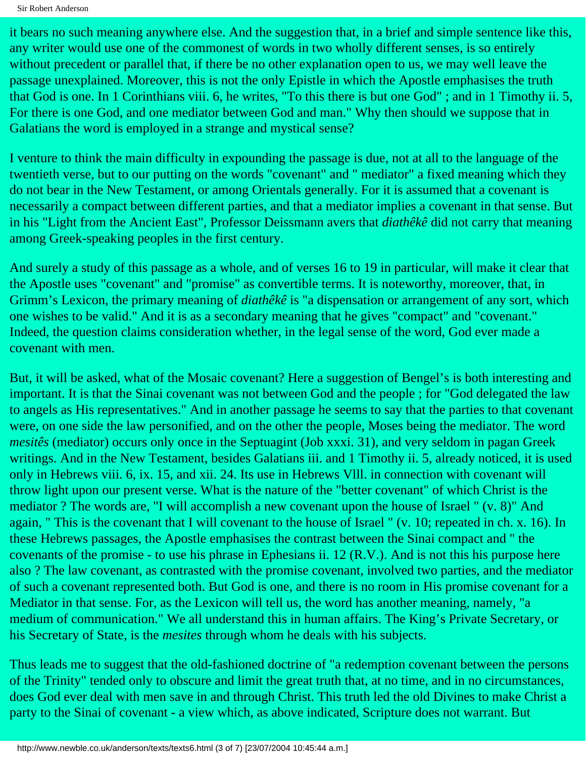it bears no such meaning anywhere else. And the suggestion that, in a brief and simple sentence like this, any writer would use one of the commonest of words in two wholly different senses, is so entirely without precedent or parallel that, if there be no other explanation open to us, we may well leave the passage unexplained. Moreover, this is not the only Epistle in which the Apostle emphasises the truth that God is one. In 1 Corinthians viii. 6, he writes, "To this there is but one God" ; and in 1 Timothy ii. 5, For there is one God, and one mediator between God and man." Why then should we suppose that in Galatians the word is employed in a strange and mystical sense?

I venture to think the main difficulty in expounding the passage is due, not at all to the language of the twentieth verse, but to our putting on the words "covenant" and " mediator" a fixed meaning which they do not bear in the New Testament, or among Orientals generally. For it is assumed that a covenant is necessarily a compact between different parties, and that a mediator implies a covenant in that sense. But in his "Light from the Ancient East", Professor Deissmann avers that *diathêkê* did not carry that meaning among Greek-speaking peoples in the first century.

And surely a study of this passage as a whole, and of verses 16 to 19 in particular, will make it clear that the Apostle uses "covenant" and "promise" as convertible terms. It is noteworthy, moreover, that, in Grimm's Lexicon, the primary meaning of *diathêkê* is "a dispensation or arrangement of any sort, which one wishes to be valid." And it is as a secondary meaning that he gives "compact" and "covenant." Indeed, the question claims consideration whether, in the legal sense of the word, God ever made a covenant with men.

But, it will be asked, what of the Mosaic covenant? Here a suggestion of Bengel's is both interesting and important. It is that the Sinai covenant was not between God and the people ; for "God delegated the law to angels as His representatives." And in another passage he seems to say that the parties to that covenant were, on one side the law personified, and on the other the people, Moses being the mediator. The word *mesitês* (mediator) occurs only once in the Septuagint (Job xxxi. 31), and very seldom in pagan Greek writings. And in the New Testament, besides Galatians iii. and 1 Timothy ii. 5, already noticed, it is used only in Hebrews viii. 6, ix. 15, and xii. 24. Its use in Hebrews Vlll. in connection with covenant will throw light upon our present verse. What is the nature of the "better covenant" of which Christ is the mediator ? The words are, "I will accomplish a new covenant upon the house of Israel " (v. 8)" And again, " This is the covenant that I will covenant to the house of Israel " (v. 10; repeated in ch. x. 16). In these Hebrews passages, the Apostle emphasises the contrast between the Sinai compact and " the covenants of the promise - to use his phrase in Ephesians ii. 12 (R.V.). And is not this his purpose here also ? The law covenant, as contrasted with the promise covenant, involved two parties, and the mediator of such a covenant represented both. But God is one, and there is no room in His promise covenant for a Mediator in that sense. For, as the Lexicon will tell us, the word has another meaning, namely, "a medium of communication." We all understand this in human affairs. The King's Private Secretary, or his Secretary of State, is the *mesites* through whom he deals with his subjects.

Thus leads me to suggest that the old-fashioned doctrine of "a redemption covenant between the persons of the Trinity" tended only to obscure and limit the great truth that, at no time, and in no circumstances, does God ever deal with men save in and through Christ. This truth led the old Divines to make Christ a party to the Sinai of covenant - a view which, as above indicated, Scripture does not warrant. But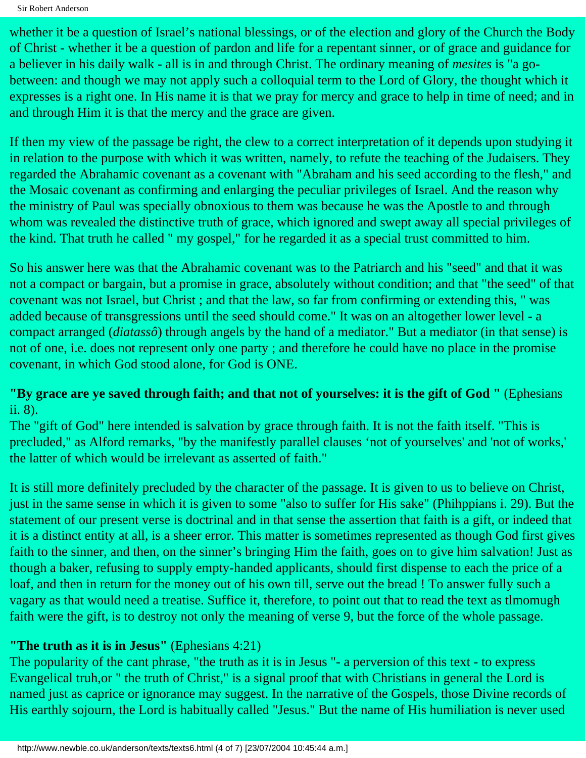whether it be a question of Israel's national blessings, or of the election and glory of the Church the Body of Christ - whether it be a question of pardon and life for a repentant sinner, or of grace and guidance for a believer in his daily walk - all is in and through Christ. The ordinary meaning of *mesites* is "a gobetween: and though we may not apply such a colloquial term to the Lord of Glory, the thought which it expresses is a right one. In His name it is that we pray for mercy and grace to help in time of need; and in and through Him it is that the mercy and the grace are given.

If then my view of the passage be right, the clew to a correct interpretation of it depends upon studying it in relation to the purpose with which it was written, namely, to refute the teaching of the Judaisers. They regarded the Abrahamic covenant as a covenant with "Abraham and his seed according to the flesh," and the Mosaic covenant as confirming and enlarging the peculiar privileges of Israel. And the reason why the ministry of Paul was specially obnoxious to them was because he was the Apostle to and through whom was revealed the distinctive truth of grace, which ignored and swept away all special privileges of the kind. That truth he called " my gospel," for he regarded it as a special trust committed to him.

So his answer here was that the Abrahamic covenant was to the Patriarch and his "seed" and that it was not a compact or bargain, but a promise in grace, absolutely without condition; and that "the seed" of that covenant was not Israel, but Christ ; and that the law, so far from confirming or extending this, " was added because of transgressions until the seed should come." It was on an altogether lower level - a compact arranged (*diatassô*) through angels by the hand of a mediator." But a mediator (in that sense) is not of one, i.e. does not represent only one party ; and therefore he could have no place in the promise covenant, in which God stood alone, for God is ONE.

#### **"By grace are ye saved through faith; and that not of yourselves: it is the gift of God "** (Ephesians ii. 8).

The "gift of God" here intended is salvation by grace through faith. It is not the faith itself. "This is precluded," as Alford remarks, "by the manifestly parallel clauses 'not of yourselves' and 'not of works,' the latter of which would be irrelevant as asserted of faith."

It is still more definitely precluded by the character of the passage. It is given to us to believe on Christ, just in the same sense in which it is given to some "also to suffer for His sake" (Phihppians i. 29). But the statement of our present verse is doctrinal and in that sense the assertion that faith is a gift, or indeed that it is a distinct entity at all, is a sheer error. This matter is sometimes represented as though God first gives faith to the sinner, and then, on the sinner's bringing Him the faith, goes on to give him salvation! Just as though a baker, refusing to supply empty-handed applicants, should first dispense to each the price of a loaf, and then in return for the money out of his own till, serve out the bread ! To answer fully such a vagary as that would need a treatise. Suffice it, therefore, to point out that to read the text as tlmomugh faith were the gift, is to destroy not only the meaning of verse 9, but the force of the whole passage.

#### **"The truth as it is in Jesus"** (Ephesians 4:21)

The popularity of the cant phrase, "the truth as it is in Jesus "- a perversion of this text - to express Evangelical truh,or " the truth of Christ," is a signal proof that with Christians in general the Lord is named just as caprice or ignorance may suggest. In the narrative of the Gospels, those Divine records of His earthly sojourn, the Lord is habitually called "Jesus." But the name of His humiliation is never used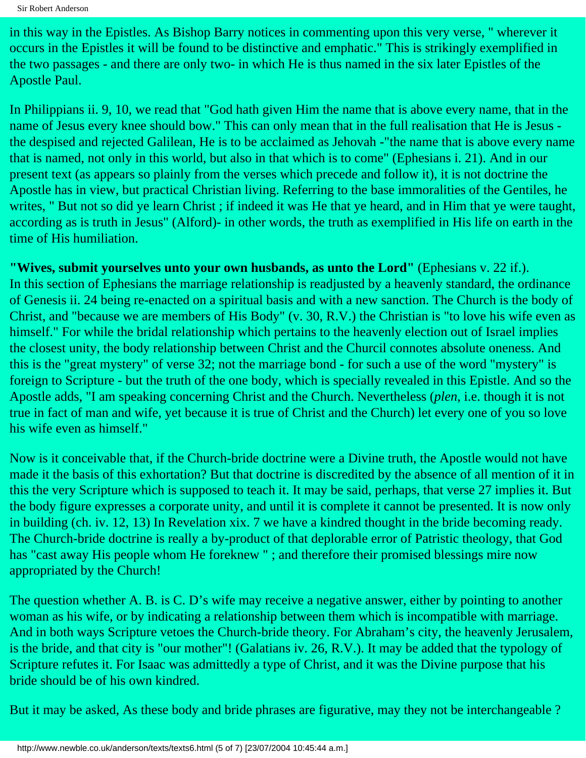in this way in the Epistles. As Bishop Barry notices in commenting upon this very verse, " wherever it occurs in the Epistles it will be found to be distinctive and emphatic." This is strikingly exemplified in the two passages - and there are only two- in which He is thus named in the six later Epistles of the Apostle Paul.

In Philippians ii. 9, 10, we read that "God hath given Him the name that is above every name, that in the name of Jesus every knee should bow." This can only mean that in the full realisation that He is Jesus the despised and rejected Galilean, He is to be acclaimed as Jehovah -"the name that is above every name that is named, not only in this world, but also in that which is to come" (Ephesians i. 21). And in our present text (as appears so plainly from the verses which precede and follow it), it is not doctrine the Apostle has in view, but practical Christian living. Referring to the base immoralities of the Gentiles, he writes, " But not so did ye learn Christ ; if indeed it was He that ye heard, and in Him that ye were taught, according as is truth in Jesus" (Alford)- in other words, the truth as exemplified in His life on earth in the time of His humiliation.

#### **"Wives, submit yourselves unto your own husbands, as unto the Lord"** (Ephesians v. 22 if.).

In this section of Ephesians the marriage relationship is readjusted by a heavenly standard, the ordinance of Genesis ii. 24 being re-enacted on a spiritual basis and with a new sanction. The Church is the body of Christ, and "because we are members of His Body" (v. 30, R.V.) the Christian is "to love his wife even as himself." For while the bridal relationship which pertains to the heavenly election out of Israel implies the closest unity, the body relationship between Christ and the Churcil connotes absolute oneness. And this is the "great mystery" of verse 32; not the marriage bond - for such a use of the word "mystery" is foreign to Scripture - but the truth of the one body, which is specially revealed in this Epistle. And so the Apostle adds, "I am speaking concerning Christ and the Church. Nevertheless (*plen*, i.e. though it is not true in fact of man and wife, yet because it is true of Christ and the Church) let every one of you so love his wife even as himself."

Now is it conceivable that, if the Church-bride doctrine were a Divine truth, the Apostle would not have made it the basis of this exhortation? But that doctrine is discredited by the absence of all mention of it in this the very Scripture which is supposed to teach it. It may be said, perhaps, that verse 27 implies it. But the body figure expresses a corporate unity, and until it is complete it cannot be presented. It is now only in building (ch. iv. 12, 13) In Revelation xix. 7 we have a kindred thought in the bride becoming ready. The Church-bride doctrine is really a by-product of that deplorable error of Patristic theology, that God has "cast away His people whom He foreknew"; and therefore their promised blessings mire now appropriated by the Church!

The question whether A. B. is C. D's wife may receive a negative answer, either by pointing to another woman as his wife, or by indicating a relationship between them which is incompatible with marriage. And in both ways Scripture vetoes the Church-bride theory. For Abraham's city, the heavenly Jerusalem, is the bride, and that city is "our mother"! (Galatians iv. 26, R.V.). It may be added that the typology of Scripture refutes it. For Isaac was admittedly a type of Christ, and it was the Divine purpose that his bride should be of his own kindred.

But it may be asked, As these body and bride phrases are figurative, may they not be interchangeable ?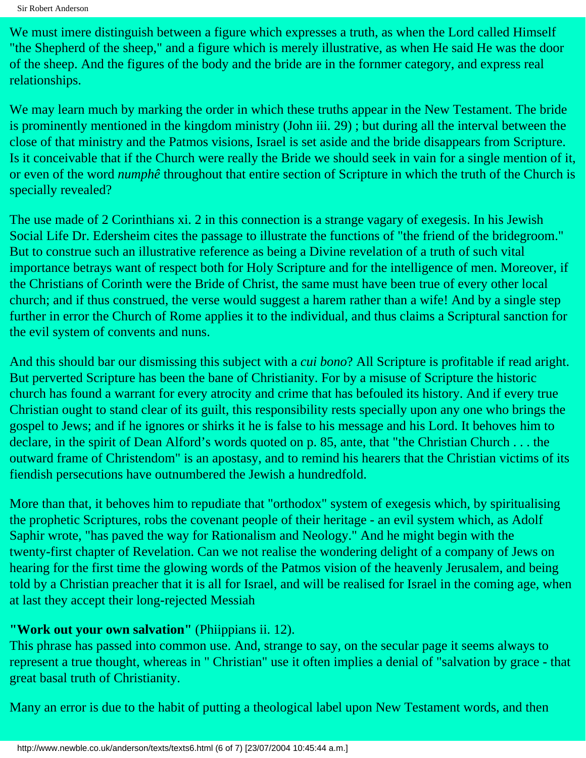Sir Robert Anderson

We must imere distinguish between a figure which expresses a truth, as when the Lord called Himself "the Shepherd of the sheep," and a figure which is merely illustrative, as when He said He was the door of the sheep. And the figures of the body and the bride are in the fornmer category, and express real relationships.

We may learn much by marking the order in which these truths appear in the New Testament. The bride is prominently mentioned in the kingdom ministry (John iii. 29) ; but during all the interval between the close of that ministry and the Patmos visions, Israel is set aside and the bride disappears from Scripture. Is it conceivable that if the Church were really the Bride we should seek in vain for a single mention of it, or even of the word *numphê* throughout that entire section of Scripture in which the truth of the Church is specially revealed?

The use made of 2 Corinthians xi. 2 in this connection is a strange vagary of exegesis. In his Jewish Social Life Dr. Edersheim cites the passage to illustrate the functions of "the friend of the bridegroom." But to construe such an illustrative reference as being a Divine revelation of a truth of such vital importance betrays want of respect both for Holy Scripture and for the intelligence of men. Moreover, if the Christians of Corinth were the Bride of Christ, the same must have been true of every other local church; and if thus construed, the verse would suggest a harem rather than a wife! And by a single step further in error the Church of Rome applies it to the individual, and thus claims a Scriptural sanction for the evil system of convents and nuns.

And this should bar our dismissing this subject with a *cui bono*? All Scripture is profitable if read aright. But perverted Scripture has been the bane of Christianity. For by a misuse of Scripture the historic church has found a warrant for every atrocity and crime that has befouled its history. And if every true Christian ought to stand clear of its guilt, this responsibility rests specially upon any one who brings the gospel to Jews; and if he ignores or shirks it he is false to his message and his Lord. It behoves him to declare, in the spirit of Dean Alford's words quoted on p. 85, ante, that "the Christian Church . . . the outward frame of Christendom" is an apostasy, and to remind his hearers that the Christian victims of its fiendish persecutions have outnumbered the Jewish a hundredfold.

More than that, it behoves him to repudiate that "orthodox" system of exegesis which, by spiritualising the prophetic Scriptures, robs the covenant people of their heritage - an evil system which, as Adolf Saphir wrote, "has paved the way for Rationalism and Neology." And he might begin with the twenty-first chapter of Revelation. Can we not realise the wondering delight of a company of Jews on hearing for the first time the glowing words of the Patmos vision of the heavenly Jerusalem, and being told by a Christian preacher that it is all for Israel, and will be realised for Israel in the coming age, when at last they accept their long-rejected Messiah

#### **"Work out your own salvation"** (Phiippians ii. 12).

This phrase has passed into common use. And, strange to say, on the secular page it seems always to represent a true thought, whereas in " Christian" use it often implies a denial of "salvation by grace - that great basal truth of Christianity.

Many an error is due to the habit of putting a theological label upon New Testament words, and then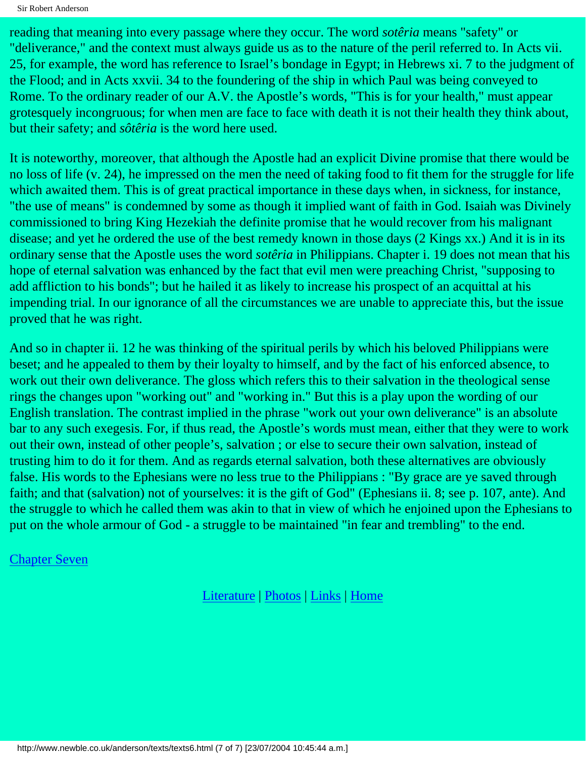reading that meaning into every passage where they occur. The word *sotêria* means "safety" or "deliverance," and the context must always guide us as to the nature of the peril referred to. In Acts vii. 25, for example, the word has reference to Israel's bondage in Egypt; in Hebrews xi. 7 to the judgment of the Flood; and in Acts xxvii. 34 to the foundering of the ship in which Paul was being conveyed to Rome. To the ordinary reader of our A.V. the Apostle's words, "This is for your health," must appear grotesquely incongruous; for when men are face to face with death it is not their health they think about, but their safety; and *sôtêria* is the word here used.

It is noteworthy, moreover, that although the Apostle had an explicit Divine promise that there would be no loss of life (v. 24), he impressed on the men the need of taking food to fit them for the struggle for life which awaited them. This is of great practical importance in these days when, in sickness, for instance, "the use of means" is condemned by some as though it implied want of faith in God. Isaiah was Divinely commissioned to bring King Hezekiah the definite promise that he would recover from his malignant disease; and yet he ordered the use of the best remedy known in those days (2 Kings xx.) And it is in its ordinary sense that the Apostle uses the word *sotêria* in Philippians. Chapter i. 19 does not mean that his hope of eternal salvation was enhanced by the fact that evil men were preaching Christ, "supposing to add affliction to his bonds"; but he hailed it as likely to increase his prospect of an acquittal at his impending trial. In our ignorance of all the circumstances we are unable to appreciate this, but the issue proved that he was right.

And so in chapter ii. 12 he was thinking of the spiritual perils by which his beloved Philippians were beset; and he appealed to them by their loyalty to himself, and by the fact of his enforced absence, to work out their own deliverance. The gloss which refers this to their salvation in the theological sense rings the changes upon "working out" and "working in." But this is a play upon the wording of our English translation. The contrast implied in the phrase "work out your own deliverance" is an absolute bar to any such exegesis. For, if thus read, the Apostle's words must mean, either that they were to work out their own, instead of other people's, salvation ; or else to secure their own salvation, instead of trusting him to do it for them. And as regards eternal salvation, both these alternatives are obviously false. His words to the Ephesians were no less true to the Philippians : "By grace are ye saved through faith; and that (salvation) not of yourselves: it is the gift of God" (Ephesians ii. 8; see p. 107, ante). And the struggle to which he called them was akin to that in view of which he enjoined upon the Ephesians to put on the whole armour of God - a struggle to be maintained "in fear and trembling" to the end.

#### [Chapter Seven](#page-56-0)

[Literature](http://www.newble.co.uk/literature.html) | [Photos](http://www.newble.co.uk/photos.html) | [Links](http://www.newble.co.uk/links.html) | [Home](http://www.newble.co.uk/index.html)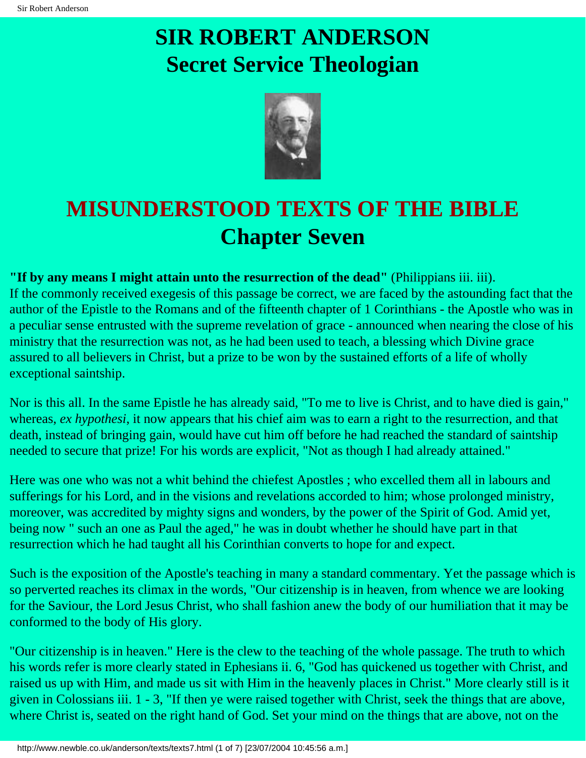# <span id="page-56-0"></span>**SIR ROBERT ANDERSON Secret Service Theologian**



# **MISUNDERSTOOD TEXTS OF THE BIBLE Chapter Seven**

#### **"If by any means I might attain unto the resurrection of the dead"** (Philippians iii. iii).

If the commonly received exegesis of this passage be correct, we are faced by the astounding fact that the author of the Epistle to the Romans and of the fifteenth chapter of 1 Corinthians - the Apostle who was in a peculiar sense entrusted with the supreme revelation of grace - announced when nearing the close of his ministry that the resurrection was not, as he had been used to teach, a blessing which Divine grace assured to all believers in Christ, but a prize to be won by the sustained efforts of a life of wholly exceptional saintship.

Nor is this all. In the same Epistle he has already said, "To me to live is Christ, and to have died is gain," whereas, *ex hypothesi*, it now appears that his chief aim was to earn a right to the resurrection, and that death, instead of bringing gain, would have cut him off before he had reached the standard of saintship needed to secure that prize! For his words are explicit, "Not as though I had already attained."

Here was one who was not a whit behind the chiefest Apostles ; who excelled them all in labours and sufferings for his Lord, and in the visions and revelations accorded to him; whose prolonged ministry, moreover, was accredited by mighty signs and wonders, by the power of the Spirit of God. Amid yet, being now " such an one as Paul the aged," he was in doubt whether he should have part in that resurrection which he had taught all his Corinthian converts to hope for and expect.

Such is the exposition of the Apostle's teaching in many a standard commentary. Yet the passage which is so perverted reaches its climax in the words, "Our citizenship is in heaven, from whence we are looking for the Saviour, the Lord Jesus Christ, who shall fashion anew the body of our humiliation that it may be conformed to the body of His glory.

"Our citizenship is in heaven." Here is the clew to the teaching of the whole passage. The truth to which his words refer is more clearly stated in Ephesians ii. 6, "God has quickened us together with Christ, and raised us up with Him, and made us sit with Him in the heavenly places in Christ." More clearly still is it given in Colossians iii. 1 - 3, "If then ye were raised together with Christ, seek the things that are above, where Christ is, seated on the right hand of God. Set your mind on the things that are above, not on the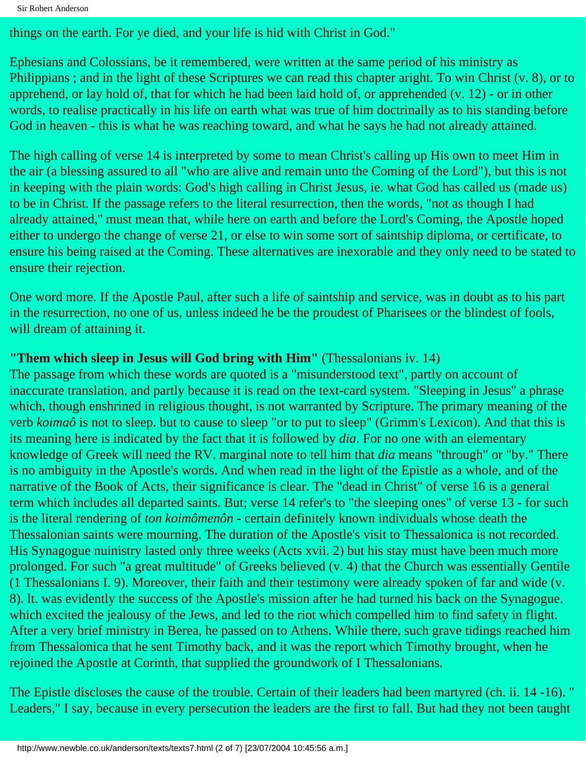things on the earth. For ye died, and your life is hid with Christ in God."

Ephesians and Colossians, be it remembered, were written at the same period of his ministry as Philippians ; and in the light of these Scriptures we can read this chapter aright. To win Christ (v. 8), or to apprehend, or lay hold of, that for which he had been laid hold of, or apprehended (v. 12) - or in other words, to realise practically in his life on earth what was true of him doctrinally as to his standing before God in heaven - this is what he was reaching toward, and what he says he had not already attained.

The high calling of verse 14 is interpreted by some to mean Christ's calling up His own to meet Him in the air (a blessing assured to all "who are alive and remain unto the Coming of the Lord"), but this is not in keeping with the plain words: God's high calling in Christ Jesus, ie. what God has called us (made us) to be in Christ. If the passage refers to the literal resurrection, then the words, "not as though I had already attained,'' must mean that, while here on earth and before the Lord's Coming, the Apostle hoped either to undergo the change of verse 21, or else to win some sort of saintship diploma, or certificate, to ensure his being raised at the Coming. These alternatives are inexorable and they only need to be stated to ensure their rejection.

One word more. If the Apostle Paul, after such a life of saintship and service, was in doubt as to his part in the resurrection, no one of us, unless indeed he be the proudest of Pharisees or the blindest of fools, will dream of attaining it.

#### **"Them which sleep in Jesus will God bring with Him"** (Thessalonians iv. 14)

The passage from which these words are quoted is a "misunderstood text", partly on account of inaccurate translation, and partly because it is read on the text-card system. "Sleeping in Jesus" a phrase which, though enshrined in religious thought, is not warranted by Scripture. The primary meaning of the verb *koimaô* is not to sleep. but to cause to sleep "or to put to sleep" (Grimm's Lexicon). And that this is its meaning here is indicated by the fact that it is followed by *dia*. For no one with an elementary knowledge of Greek will need the RV. marginal note to tell him that *dia* means "through" or "by." There is no ambiguity in the Apostle's words. And when read in the light of the Epistle as a whole, and of the narrative of the Book of Acts, their significance is clear. The "dead in Christ" of verse 16 is a general term which includes all departed saints. But; verse 14 refer's to "the sleeping ones" of verse 13 - for such is the literal rendering of *ton koimômenôn* - certain definitely known individuals whose death the Thessalonian saints were mourning. The duration of the Apostle's visit to Thessalonica is not recorded. His Synagogue nuinistry lasted only three weeks (Acts xvii. 2) but his stay must have been much more prolonged. For such "a great multitude" of Greeks believed (v. 4) that the Church was essentially Gentile (1 Thessalonians I. 9). Moreover, their faith and their testimony were already spoken of far and wide (v. 8). lt. was evidently the success of the Apostle's mission after he had turned his back on the Synagogue. which excited the jealousy of the Jews, and led to the riot which compelled him to find safety in flight. After a very brief ministry in Berea, he passed on to Athens. While there, such grave tidings reached him from Thessalonica that he sent Timothy back, and it was the report which Timothy brought, when he rejoined the Apostle at Corinth, that supplied the groundwork of I Thessalonians.

The Epistle discloses the cause of the trouble. Certain of their leaders had been martyred (ch. ii. 14 -16). " Leaders," I say, because in every persecution the leaders are the first to fall. But had they not been taught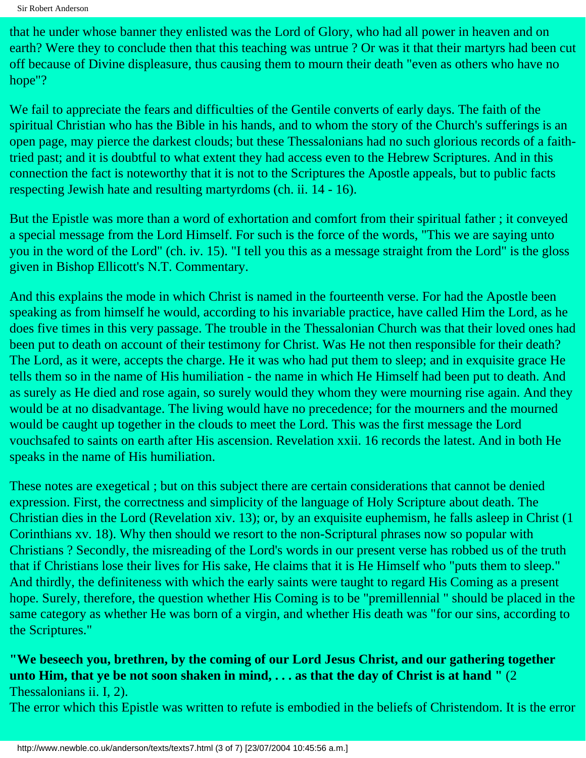Sir Robert Anderson

that he under whose banner they enlisted was the Lord of Glory, who had all power in heaven and on earth? Were they to conclude then that this teaching was untrue ? Or was it that their martyrs had been cut off because of Divine displeasure, thus causing them to mourn their death "even as others who have no hope"?

We fail to appreciate the fears and difficulties of the Gentile converts of early days. The faith of the spiritual Christian who has the Bible in his hands, and to whom the story of the Church's sufferings is an open page, may pierce the darkest clouds; but these Thessalonians had no such glorious records of a faithtried past; and it is doubtful to what extent they had access even to the Hebrew Scriptures. And in this connection the fact is noteworthy that it is not to the Scriptures the Apostle appeals, but to public facts respecting Jewish hate and resulting martyrdoms (ch. ii. 14 - 16).

But the Epistle was more than a word of exhortation and comfort from their spiritual father ; it conveyed a special message from the Lord Himself. For such is the force of the words, "This we are saying unto you in the word of the Lord" (ch. iv. 15). "I tell you this as a message straight from the Lord" is the gloss given in Bishop Ellicott's N.T. Commentary.

And this explains the mode in which Christ is named in the fourteenth verse. For had the Apostle been speaking as from himself he would, according to his invariable practice, have called Him the Lord, as he does five times in this very passage. The trouble in the Thessalonian Church was that their loved ones had been put to death on account of their testimony for Christ. Was He not then responsible for their death? The Lord, as it were, accepts the charge. He it was who had put them to sleep; and in exquisite grace He tells them so in the name of His humiliation - the name in which He Himself had been put to death. And as surely as He died and rose again, so surely would they whom they were mourning rise again. And they would be at no disadvantage. The living would have no precedence; for the mourners and the mourned would be caught up together in the clouds to meet the Lord. This was the first message the Lord vouchsafed to saints on earth after His ascension. Revelation xxii. 16 records the latest. And in both He speaks in the name of His humiliation.

These notes are exegetical ; but on this subject there are certain considerations that cannot be denied expression. First, the correctness and simplicity of the language of Holy Scripture about death. The Christian dies in the Lord (Revelation xiv. 13); or, by an exquisite euphemism, he falls asleep in Christ (1 Corinthians xv. 18). Why then should we resort to the non-Scriptural phrases now so popular with Christians ? Secondly, the misreading of the Lord's words in our present verse has robbed us of the truth that if Christians lose their lives for His sake, He claims that it is He Himself who "puts them to sleep." And thirdly, the definiteness with which the early saints were taught to regard His Coming as a present hope. Surely, therefore, the question whether His Coming is to be "premillennial " should be placed in the same category as whether He was born of a virgin, and whether His death was "for our sins, according to the Scriptures."

#### **"We beseech you, brethren, by the coming of our Lord Jesus Christ, and our gathering together unto Him, that ye be not soon shaken in mind, . . . as that the day of Christ is at hand "** (2 Thessalonians ii. I, 2).

The error which this Epistle was written to refute is embodied in the beliefs of Christendom. It is the error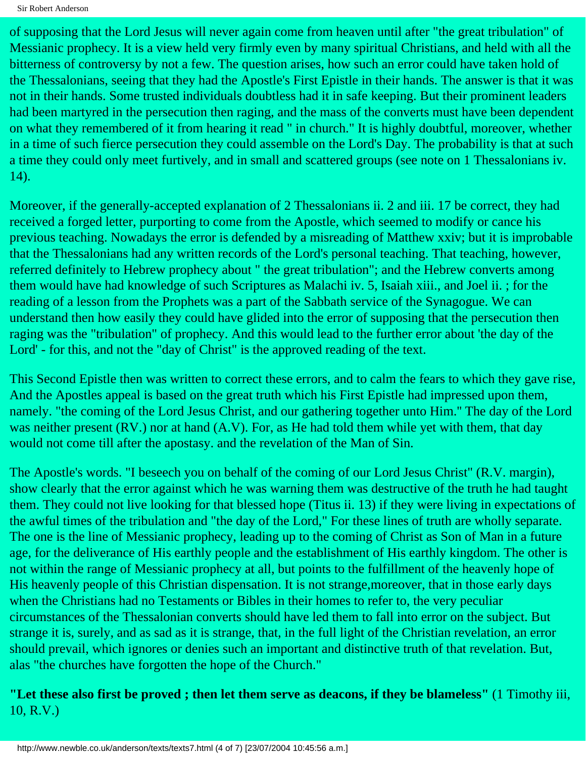Sir Robert Anderson

of supposing that the Lord Jesus will never again come from heaven until after "the great tribulation" of Messianic prophecy. It is a view held very firmly even by many spiritual Christians, and held with all the bitterness of controversy by not a few. The question arises, how such an error could have taken hold of the Thessalonians, seeing that they had the Apostle's First Epistle in their hands. The answer is that it was not in their hands. Some trusted individuals doubtless had it in safe keeping. But their prominent leaders had been martyred in the persecution then raging, and the mass of the converts must have been dependent on what they remembered of it from hearing it read " in church." It is highly doubtful, moreover, whether in a time of such fierce persecution they could assemble on the Lord's Day. The probability is that at such a time they could only meet furtively, and in small and scattered groups (see note on 1 Thessalonians iv. 14).

Moreover, if the generally-accepted explanation of 2 Thessalonians ii. 2 and iii. 17 be correct, they had received a forged letter, purporting to come from the Apostle, which seemed to modify or cance his previous teaching. Nowadays the error is defended by a misreading of Matthew xxiv; but it is improbable that the Thessalonians had any written records of the Lord's personal teaching. That teaching, however, referred definitely to Hebrew prophecy about " the great tribulation"; and the Hebrew converts among them would have had knowledge of such Scriptures as Malachi iv. 5, Isaiah xiii., and Joel ii. ; for the reading of a lesson from the Prophets was a part of the Sabbath service of the Synagogue. We can understand then how easily they could have glided into the error of supposing that the persecution then raging was the "tribulation" of prophecy. And this would lead to the further error about 'the day of the Lord' - for this, and not the "day of Christ" is the approved reading of the text.

This Second Epistle then was written to correct these errors, and to calm the fears to which they gave rise, And the Apostles appeal is based on the great truth which his First Epistle had impressed upon them, namely. "the coming of the Lord Jesus Christ, and our gathering together unto Him.'' The day of the Lord was neither present (RV.) nor at hand (A.V). For, as He had told them while yet with them, that day would not come till after the apostasy. and the revelation of the Man of Sin.

The Apostle's words. "I beseech you on behalf of the coming of our Lord Jesus Christ" (R.V. margin), show clearly that the error against which he was warning them was destructive of the truth he had taught them. They could not live looking for that blessed hope (Titus ii. 13) if they were living in expectations of the awful times of the tribulation and "the day of the Lord," For these lines of truth are wholly separate. The one is the line of Messianic prophecy, leading up to the coming of Christ as Son of Man in a future age, for the deliverance of His earthly people and the establishment of His earthly kingdom. The other is not within the range of Messianic prophecy at all, but points to the fulfillment of the heavenly hope of His heavenly people of this Christian dispensation. It is not strange,moreover, that in those early days when the Christians had no Testaments or Bibles in their homes to refer to, the very peculiar circumstances of the Thessalonian converts should have led them to fall into error on the subject. But strange it is, surely, and as sad as it is strange, that, in the full light of the Christian revelation, an error should prevail, which ignores or denies such an important and distinctive truth of that revelation. But, alas "the churches have forgotten the hope of the Church."

**"Let these also first be proved ; then let them serve as deacons, if they be blameless"** (1 Timothy iii, 10, R.V.)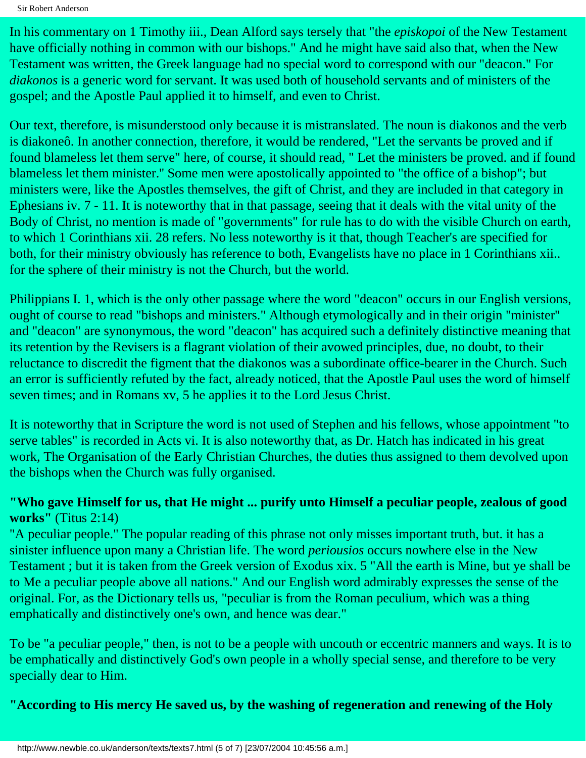Sir Robert Anderson

In his commentary on 1 Timothy iii., Dean Alford says tersely that "the *episkopoi* of the New Testament have officially nothing in common with our bishops." And he might have said also that, when the New Testament was written, the Greek language had no special word to correspond with our "deacon." For *diakonos* is a generic word for servant. It was used both of household servants and of ministers of the gospel; and the Apostle Paul applied it to himself, and even to Christ.

Our text, therefore, is misunderstood only because it is mistranslated. The noun is diakonos and the verb is diakoneô. In another connection, therefore, it would be rendered, "Let the servants be proved and if found blameless let them serve" here, of course, it should read, " Let the ministers be proved. and if found blameless let them minister.'' Some men were apostolically appointed to "the office of a bishop"; but ministers were, like the Apostles themselves, the gift of Christ, and they are included in that category in Ephesians iv. 7 - 11. It is noteworthy that in that passage, seeing that it deals with the vital unity of the Body of Christ, no mention is made of "governments" for rule has to do with the visible Church on earth, to which 1 Corinthians xii. 28 refers. No less noteworthy is it that, though Teacher's are specified for both, for their ministry obviously has reference to both, Evangelists have no place in 1 Corinthians xii.. for the sphere of their ministry is not the Church, but the world.

Philippians I. 1, which is the only other passage where the word "deacon" occurs in our English versions, ought of course to read "bishops and ministers." Although etymologically and in their origin "minister'' and "deacon" are synonymous, the word "deacon" has acquired such a definitely distinctive meaning that its retention by the Revisers is a flagrant violation of their avowed principles, due, no doubt, to their reluctance to discredit the figment that the diakonos was a subordinate office-bearer in the Church. Such an error is sufficiently refuted by the fact, already noticed, that the Apostle Paul uses the word of himself seven times; and in Romans xv, 5 he applies it to the Lord Jesus Christ.

It is noteworthy that in Scripture the word is not used of Stephen and his fellows, whose appointment "to serve tables" is recorded in Acts vi. It is also noteworthy that, as Dr. Hatch has indicated in his great work, The Organisation of the Early Christian Churches, the duties thus assigned to them devolved upon the bishops when the Church was fully organised.

### **"Who gave Himself for us, that He might ... purify unto Himself a peculiar people, zealous of good works"** (Titus 2:14)

"A peculiar people." The popular reading of this phrase not only misses important truth, but. it has a sinister influence upon many a Christian life. The word *periousios* occurs nowhere else in the New Testament ; but it is taken from the Greek version of Exodus xix. 5 "All the earth is Mine, but ye shall be to Me a peculiar people above all nations." And our English word admirably expresses the sense of the original. For, as the Dictionary tells us, "peculiar is from the Roman peculium, which was a thing emphatically and distinctively one's own, and hence was dear."

To be "a peculiar people," then, is not to be a people with uncouth or eccentric manners and ways. It is to be emphatically and distinctively God's own people in a wholly special sense, and therefore to be very specially dear to Him.

### **"According to His mercy He saved us, by the washing of regeneration and renewing of the Holy**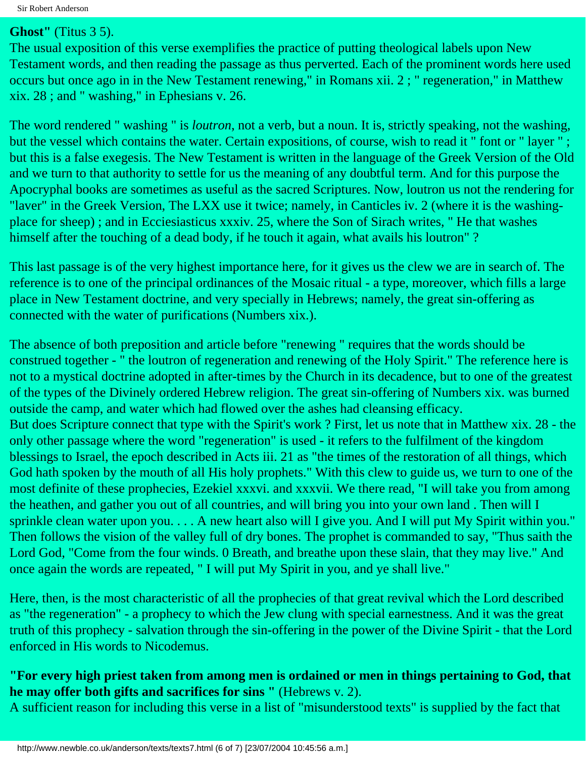#### **Ghost"** (Titus 3 5).

The usual exposition of this verse exemplifies the practice of putting theological labels upon New Testament words, and then reading the passage as thus perverted. Each of the prominent words here used occurs but once ago in in the New Testament renewing," in Romans xii. 2 ; " regeneration," in Matthew xix. 28 ; and " washing," in Ephesians v. 26.

The word rendered " washing " is *loutron*, not a verb, but a noun. It is, strictly speaking, not the washing, but the vessel which contains the water. Certain expositions, of course, wish to read it " font or " layer " ; but this is a false exegesis. The New Testament is written in the language of the Greek Version of the Old and we turn to that authority to settle for us the meaning of any doubtful term. And for this purpose the Apocryphal books are sometimes as useful as the sacred Scriptures. Now, loutron us not the rendering for "laver" in the Greek Version, The LXX use it twice; namely, in Canticles iv. 2 (where it is the washingplace for sheep) ; and in Ecciesiasticus xxxiv. 25, where the Son of Sirach writes, " He that washes himself after the touching of a dead body, if he touch it again, what avails his loutron"?

This last passage is of the very highest importance here, for it gives us the clew we are in search of. The reference is to one of the principal ordinances of the Mosaic ritual - a type, moreover, which fills a large place in New Testament doctrine, and very specially in Hebrews; namely, the great sin-offering as connected with the water of purifications (Numbers xix.).

The absence of both preposition and article before "renewing " requires that the words should be construed together - " the loutron of regeneration and renewing of the Holy Spirit." The reference here is not to a mystical doctrine adopted in after-times by the Church in its decadence, but to one of the greatest of the types of the Divinely ordered Hebrew religion. The great sin-offering of Numbers xix. was burned outside the camp, and water which had flowed over the ashes had cleansing efficacy. But does Scripture connect that type with the Spirit's work ? First, let us note that in Matthew xix. 28 - the only other passage where the word "regeneration" is used - it refers to the fulfilment of the kingdom blessings to Israel, the epoch described in Acts iii. 21 as "the times of the restoration of all things, which God hath spoken by the mouth of all His holy prophets." With this clew to guide us, we turn to one of the most definite of these prophecies, Ezekiel xxxvi. and xxxvii. We there read, "I will take you from among the heathen, and gather you out of all countries, and will bring you into your own land . Then will I sprinkle clean water upon you. . . . A new heart also will I give you. And I will put My Spirit within you." Then follows the vision of the valley full of dry bones. The prophet is commanded to say, "Thus saith the Lord God, "Come from the four winds. 0 Breath, and breathe upon these slain, that they may live." And once again the words are repeated, " I will put My Spirit in you, and ye shall live."

Here, then, is the most characteristic of all the prophecies of that great revival which the Lord described as "the regeneration" - a prophecy to which the Jew clung with special earnestness. And it was the great truth of this prophecy - salvation through the sin-offering in the power of the Divine Spirit - that the Lord enforced in His words to Nicodemus.

#### **"For every high priest taken from among men is ordained or men in things pertaining to God, that he may offer both gifts and sacrifices for sins "** (Hebrews v. 2).

A sufficient reason for including this verse in a list of "misunderstood texts" is supplied by the fact that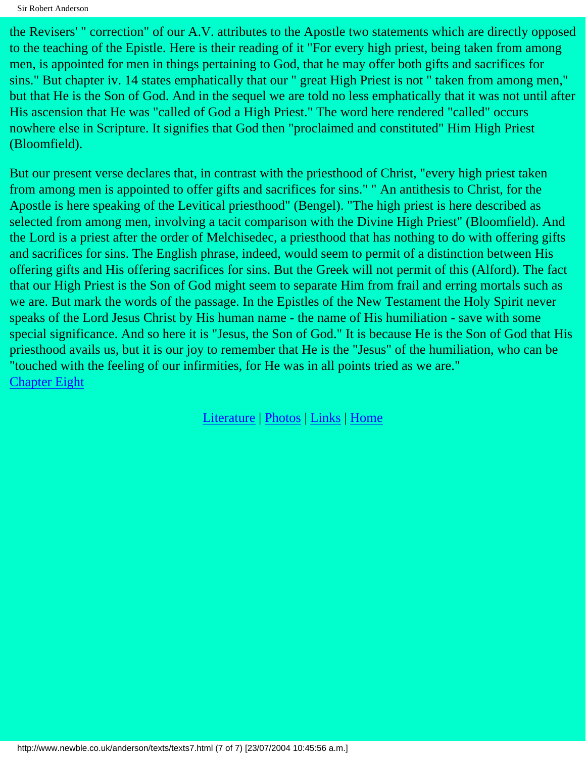the Revisers' " correction" of our A.V. attributes to the Apostle two statements which are directly opposed to the teaching of the Epistle. Here is their reading of it "For every high priest, being taken from among men, is appointed for men in things pertaining to God, that he may offer both gifts and sacrifices for sins." But chapter iv. 14 states emphatically that our " great High Priest is not " taken from among men," but that He is the Son of God. And in the sequel we are told no less emphatically that it was not until after His ascension that He was "called of God a High Priest." The word here rendered "called" occurs nowhere else in Scripture. It signifies that God then "proclaimed and constituted" Him High Priest (Bloomfield).

But our present verse declares that, in contrast with the priesthood of Christ, "every high priest taken from among men is appointed to offer gifts and sacrifices for sins." " An antithesis to Christ, for the Apostle is here speaking of the Levitical priesthood" (Bengel). "The high priest is here described as selected from among men, involving a tacit comparison with the Divine High Priest" (Bloomfield). And the Lord is a priest after the order of Melchisedec, a priesthood that has nothing to do with offering gifts and sacrifices for sins. The English phrase, indeed, would seem to permit of a distinction between His offering gifts and His offering sacrifices for sins. But the Greek will not permit of this (Alford). The fact that our High Priest is the Son of God might seem to separate Him from frail and erring mortals such as we are. But mark the words of the passage. In the Epistles of the New Testament the Holy Spirit never speaks of the Lord Jesus Christ by His human name - the name of His humiliation - save with some special significance. And so here it is "Jesus, the Son of God." It is because He is the Son of God that His priesthood avails us, but it is our joy to remember that He is the "Jesus" of the humiliation, who can be "touched with the feeling of our infirmities, for He was in all points tried as we are." [Chapter Eight](#page-63-0)

[Literature](http://www.newble.co.uk/literature.html) | [Photos](http://www.newble.co.uk/photos.html) | [Links](http://www.newble.co.uk/links.html) | [Home](http://www.newble.co.uk/index.html)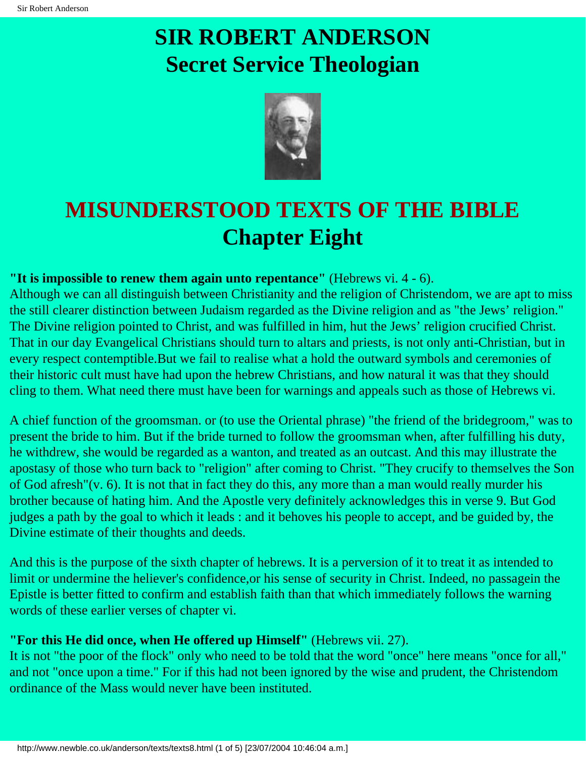# <span id="page-63-0"></span>**SIR ROBERT ANDERSON Secret Service Theologian**



# **MISUNDERSTOOD TEXTS OF THE BIBLE Chapter Eight**

#### **"It is impossible to renew them again unto repentance"** (Hebrews vi. 4 - 6).

Although we can all distinguish between Christianity and the religion of Christendom, we are apt to miss the still clearer distinction between Judaism regarded as the Divine religion and as "the Jews' religion." The Divine religion pointed to Christ, and was fulfilled in him, hut the Jews' religion crucified Christ. That in our day Evangelical Christians should turn to altars and priests, is not only anti-Christian, but in every respect contemptible.But we fail to realise what a hold the outward symbols and ceremonies of their historic cult must have had upon the hebrew Christians, and how natural it was that they should cling to them. What need there must have been for warnings and appeals such as those of Hebrews vi.

A chief function of the groomsman. or (to use the Oriental phrase) "the friend of the bridegroom," was to present the bride to him. But if the bride turned to follow the groomsman when, after fulfilling his duty, he withdrew, she would be regarded as a wanton, and treated as an outcast. And this may illustrate the apostasy of those who turn back to "religion" after coming to Christ. "They crucify to themselves the Son of God afresh"(v. 6). It is not that in fact they do this, any more than a man would really murder his brother because of hating him. And the Apostle very definitely acknowledges this in verse 9. But God judges a path by the goal to which it leads : and it behoves his people to accept, and be guided by, the Divine estimate of their thoughts and deeds.

And this is the purpose of the sixth chapter of hebrews. It is a perversion of it to treat it as intended to limit or undermine the heliever's confidence,or his sense of security in Christ. Indeed, no passagein the Epistle is better fitted to confirm and establish faith than that which immediately follows the warning words of these earlier verses of chapter vi.

#### **"For this He did once, when He offered up Himself"** (Hebrews vii. 27).

It is not "the poor of the flock" only who need to be told that the word "once" here means "once for all," and not "once upon a time." For if this had not been ignored by the wise and prudent, the Christendom ordinance of the Mass would never have been instituted.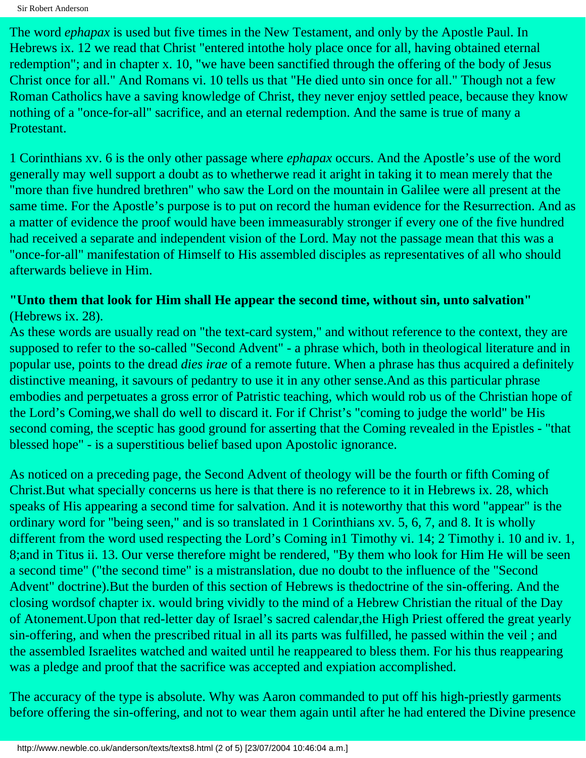The word *ephapax* is used but five times in the New Testament, and only by the Apostle Paul. In Hebrews ix. 12 we read that Christ "entered intothe holy place once for all, having obtained eternal redemption"; and in chapter x. 10, "we have been sanctified through the offering of the body of Jesus Christ once for all." And Romans vi. 10 tells us that "He died unto sin once for all." Though not a few Roman Catholics have a saving knowledge of Christ, they never enjoy settled peace, because they know nothing of a "once-for-all" sacrifice, and an eternal redemption. And the same is true of many a Protestant.

1 Corinthians xv. 6 is the only other passage where *ephapax* occurs. And the Apostle's use of the word generally may well support a doubt as to whetherwe read it aright in taking it to mean merely that the "more than five hundred brethren" who saw the Lord on the mountain in Galilee were all present at the same time. For the Apostle's purpose is to put on record the human evidence for the Resurrection. And as a matter of evidence the proof would have been immeasurably stronger if every one of the five hundred had received a separate and independent vision of the Lord. May not the passage mean that this was a "once-for-all" manifestation of Himself to His assembled disciples as representatives of all who should afterwards believe in Him.

### **"Unto them that look for Him shall He appear the second time, without sin, unto salvation"** (Hebrews ix. 28).

As these words are usually read on "the text-card system," and without reference to the context, they are supposed to refer to the so-called "Second Advent" - a phrase which, both in theological literature and in popular use, points to the dread *dies irae* of a remote future. When a phrase has thus acquired a definitely distinctive meaning, it savours of pedantry to use it in any other sense.And as this particular phrase embodies and perpetuates a gross error of Patristic teaching, which would rob us of the Christian hope of the Lord's Coming,we shall do well to discard it. For if Christ's "coming to judge the world" be His second coming, the sceptic has good ground for asserting that the Coming revealed in the Epistles - "that blessed hope" - is a superstitious belief based upon Apostolic ignorance.

As noticed on a preceding page, the Second Advent of theology will be the fourth or fifth Coming of Christ.But what specially concerns us here is that there is no reference to it in Hebrews ix. 28, which speaks of His appearing a second time for salvation. And it is noteworthy that this word "appear" is the ordinary word for "being seen," and is so translated in 1 Corinthians xv. 5, 6, 7, and 8. It is wholly different from the word used respecting the Lord's Coming in1 Timothy vi. 14; 2 Timothy i. 10 and iv. 1, 8;and in Titus ii. 13. Our verse therefore might be rendered, "By them who look for Him He will be seen a second time" ("the second time" is a mistranslation, due no doubt to the influence of the "Second Advent" doctrine).But the burden of this section of Hebrews is thedoctrine of the sin-offering. And the closing wordsof chapter ix. would bring vividly to the mind of a Hebrew Christian the ritual of the Day of Atonement.Upon that red-letter day of Israel's sacred calendar,the High Priest offered the great yearly sin-offering, and when the prescribed ritual in all its parts was fulfilled, he passed within the veil ; and the assembled Israelites watched and waited until he reappeared to bless them. For his thus reappearing was a pledge and proof that the sacrifice was accepted and expiation accomplished.

The accuracy of the type is absolute. Why was Aaron commanded to put off his high-priestly garments before offering the sin-offering, and not to wear them again until after he had entered the Divine presence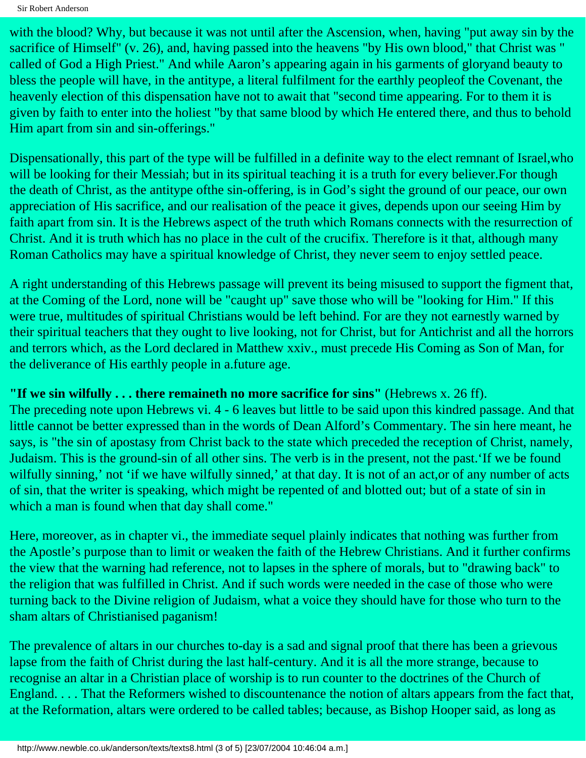with the blood? Why, but because it was not until after the Ascension, when, having "put away sin by the sacrifice of Himself" (v. 26), and, having passed into the heavens "by His own blood," that Christ was " called of God a High Priest." And while Aaron's appearing again in his garments of gloryand beauty to bless the people will have, in the antitype, a literal fulfilment for the earthly peopleof the Covenant, the heavenly election of this dispensation have not to await that "second time appearing. For to them it is given by faith to enter into the holiest "by that same blood by which He entered there, and thus to behold Him apart from sin and sin-offerings."

Dispensationally, this part of the type will be fulfilled in a definite way to the elect remnant of Israel,who will be looking for their Messiah; but in its spiritual teaching it is a truth for every believer. For though the death of Christ, as the antitype ofthe sin-offering, is in God's sight the ground of our peace, our own appreciation of His sacrifice, and our realisation of the peace it gives, depends upon our seeing Him by faith apart from sin. It is the Hebrews aspect of the truth which Romans connects with the resurrection of Christ. And it is truth which has no place in the cult of the crucifix. Therefore is it that, although many Roman Catholics may have a spiritual knowledge of Christ, they never seem to enjoy settled peace.

A right understanding of this Hebrews passage will prevent its being misused to support the figment that, at the Coming of the Lord, none will be "caught up" save those who will be "looking for Him." If this were true, multitudes of spiritual Christians would be left behind. For are they not earnestly warned by their spiritual teachers that they ought to live looking, not for Christ, but for Antichrist and all the horrors and terrors which, as the Lord declared in Matthew xxiv., must precede His Coming as Son of Man, for the deliverance of His earthly people in a.future age.

#### **"If we sin wilfully . . . there remaineth no more sacrifice for sins"** (Hebrews x. 26 ff).

The preceding note upon Hebrews vi. 4 - 6 leaves but little to be said upon this kindred passage. And that little cannot be better expressed than in the words of Dean Alford's Commentary. The sin here meant, he says, is "the sin of apostasy from Christ back to the state which preceded the reception of Christ, namely, Judaism. This is the ground-sin of all other sins. The verb is in the present, not the past.'If we be found wilfully sinning,' not 'if we have wilfully sinned,' at that day. It is not of an act, or of any number of acts of sin, that the writer is speaking, which might be repented of and blotted out; but of a state of sin in which a man is found when that day shall come."

Here, moreover, as in chapter vi., the immediate sequel plainly indicates that nothing was further from the Apostle's purpose than to limit or weaken the faith of the Hebrew Christians. And it further confirms the view that the warning had reference, not to lapses in the sphere of morals, but to "drawing back" to the religion that was fulfilled in Christ. And if such words were needed in the case of those who were turning back to the Divine religion of Judaism, what a voice they should have for those who turn to the sham altars of Christianised paganism!

The prevalence of altars in our churches to-day is a sad and signal proof that there has been a grievous lapse from the faith of Christ during the last half-century. And it is all the more strange, because to recognise an altar in a Christian place of worship is to run counter to the doctrines of the Church of England. . . . That the Reformers wished to discountenance the notion of altars appears from the fact that, at the Reformation, altars were ordered to be called tables; because, as Bishop Hooper said, as long as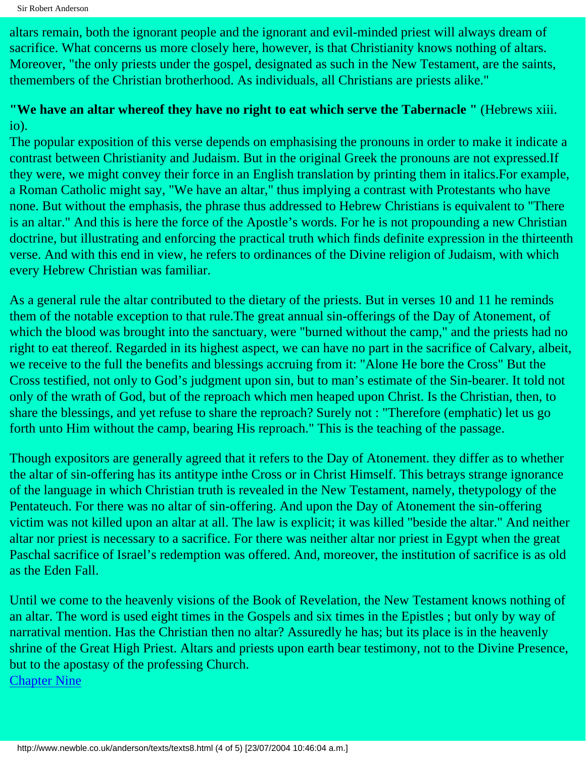```
Sir Robert Anderson
```
altars remain, both the ignorant people and the ignorant and evil-minded priest will always dream of sacrifice. What concerns us more closely here, however, is that Christianity knows nothing of altars. Moreover, "the only priests under the gospel, designated as such in the New Testament, are the saints, themembers of the Christian brotherhood. As individuals, all Christians are priests alike."

### **"We have an altar whereof they have no right to eat which serve the Tabernacle "** (Hebrews xiii. io).

The popular exposition of this verse depends on emphasising the pronouns in order to make it indicate a contrast between Christianity and Judaism. But in the original Greek the pronouns are not expressed.If they were, we might convey their force in an English translation by printing them in italics.For example, a Roman Catholic might say, "We have an altar," thus implying a contrast with Protestants who have none. But without the emphasis, the phrase thus addressed to Hebrew Christians is equivalent to "There is an altar." And this is here the force of the Apostle's words. For he is not propounding a new Christian doctrine, but illustrating and enforcing the practical truth which finds definite expression in the thirteenth verse. And with this end in view, he refers to ordinances of the Divine religion of Judaism, with which every Hebrew Christian was familiar.

As a general rule the altar contributed to the dietary of the priests. But in verses 10 and 11 he reminds them of the notable exception to that rule.The great annual sin-offerings of the Day of Atonement, of which the blood was brought into the sanctuary, were "burned without the camp," and the priests had no right to eat thereof. Regarded in its highest aspect, we can have no part in the sacrifice of Calvary, albeit, we receive to the full the benefits and blessings accruing from it: "Alone He bore the Cross" But the Cross testified, not only to God's judgment upon sin, but to man's estimate of the Sin-bearer. It told not only of the wrath of God, but of the reproach which men heaped upon Christ. Is the Christian, then, to share the blessings, and yet refuse to share the reproach? Surely not : "Therefore (emphatic) let us go forth unto Him without the camp, bearing His reproach." This is the teaching of the passage.

Though expositors are generally agreed that it refers to the Day of Atonement. they differ as to whether the altar of sin-offering has its antitype inthe Cross or in Christ Himself. This betrays strange ignorance of the language in which Christian truth is revealed in the New Testament, namely, thetypology of the Pentateuch. For there was no altar of sin-offering. And upon the Day of Atonement the sin-offering victim was not killed upon an altar at all. The law is explicit; it was killed "beside the altar." And neither altar nor priest is necessary to a sacrifice. For there was neither altar nor priest in Egypt when the great Paschal sacrifice of Israel's redemption was offered. And, moreover, the institution of sacrifice is as old as the Eden Fall.

Until we come to the heavenly visions of the Book of Revelation, the New Testament knows nothing of an altar. The word is used eight times in the Gospels and six times in the Epistles ; but only by way of narratival mention. Has the Christian then no altar? Assuredly he has; but its place is in the heavenly shrine of the Great High Priest. Altars and priests upon earth bear testimony, not to the Divine Presence, but to the apostasy of the professing Church. [Chapter Nine](#page-68-0)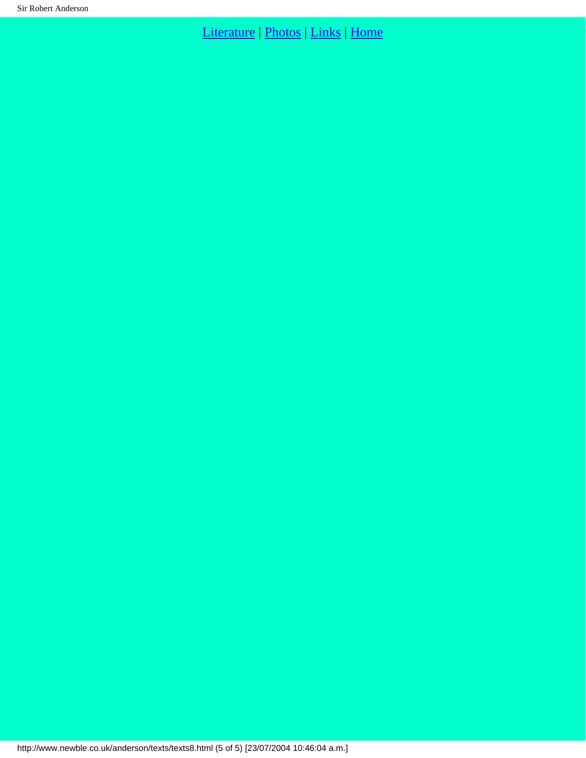## [Literature](http://www.newble.co.uk/literature.html) | [Photos](http://www.newble.co.uk/photos.html) | [Links](http://www.newble.co.uk/links.html) | [Home](http://www.newble.co.uk/index.html)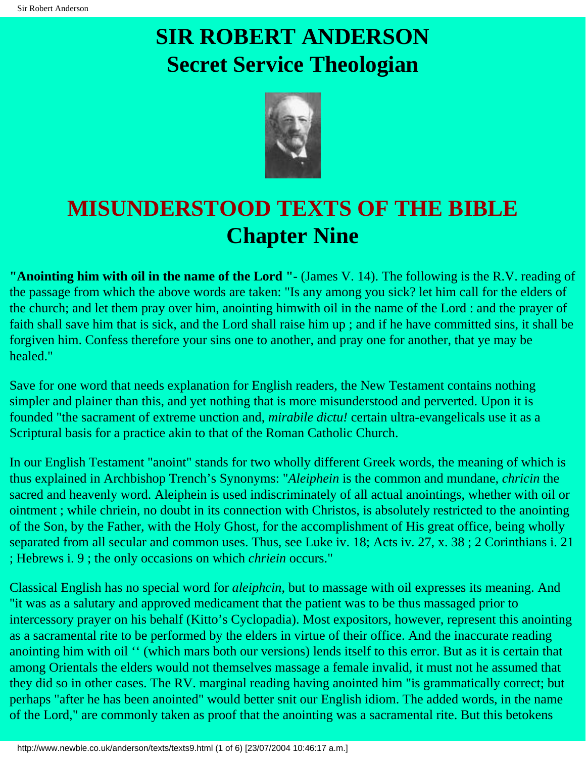# <span id="page-68-0"></span>**SIR ROBERT ANDERSON Secret Service Theologian**



# **MISUNDERSTOOD TEXTS OF THE BIBLE Chapter Nine**

**"Anointing him with oil in the name of the Lord "**- (James V. 14). The following is the R.V. reading of the passage from which the above words are taken: "Is any among you sick? let him call for the elders of the church; and let them pray over him, anointing himwith oil in the name of the Lord : and the prayer of faith shall save him that is sick, and the Lord shall raise him up ; and if he have committed sins, it shall be forgiven him. Confess therefore your sins one to another, and pray one for another, that ye may be healed."

Save for one word that needs explanation for English readers, the New Testament contains nothing simpler and plainer than this, and yet nothing that is more misunderstood and perverted. Upon it is founded "the sacrament of extreme unction and, *mirabile dictu!* certain ultra-evangelicals use it as a Scriptural basis for a practice akin to that of the Roman Catholic Church.

In our English Testament "anoint" stands for two wholly different Greek words, the meaning of which is thus explained in Archbishop Trench's Synonyms: "*Aleiphein* is the common and mundane, *chricin* the sacred and heavenly word. Aleiphein is used indiscriminately of all actual anointings, whether with oil or ointment ; while chriein, no doubt in its connection with Christos, is absolutely restricted to the anointing of the Son, by the Father, with the Holy Ghost, for the accomplishment of His great office, being wholly separated from all secular and common uses. Thus, see Luke iv. 18; Acts iv. 27, x. 38 ; 2 Corinthians i. 21 ; Hebrews i. 9 ; the only occasions on which *chriein* occurs."

Classical English has no special word for *aleiphcin*, but to massage with oil expresses its meaning. And "it was as a salutary and approved medicament that the patient was to be thus massaged prior to intercessory prayer on his behalf (Kitto's Cyclopadia). Most expositors, however, represent this anointing as a sacramental rite to be performed by the elders in virtue of their office. And the inaccurate reading anointing him with oil '' (which mars both our versions) lends itself to this error. But as it is certain that among Orientals the elders would not themselves massage a female invalid, it must not he assumed that they did so in other cases. The RV. marginal reading having anointed him "is grammatically correct; but perhaps "after he has been anointed" would better snit our English idiom. The added words, in the name of the Lord," are commonly taken as proof that the anointing was a sacramental rite. But this betokens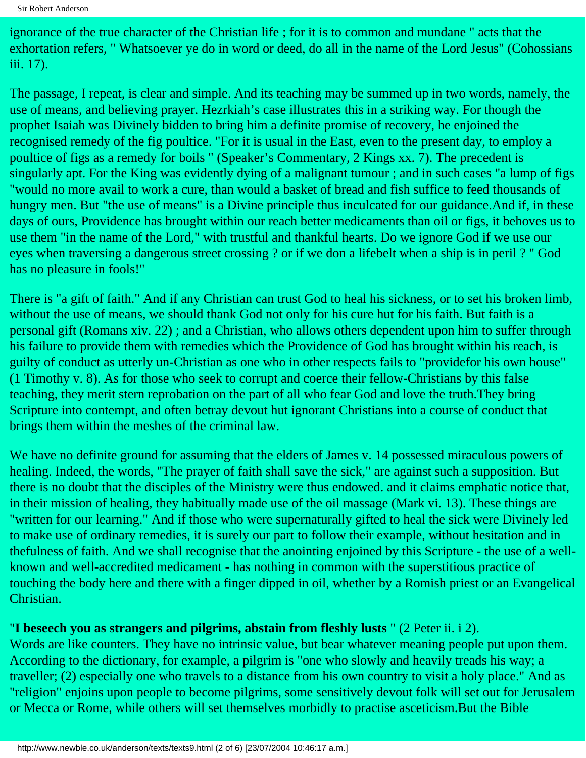```
Sir Robert Anderson
```
ignorance of the true character of the Christian life ; for it is to common and mundane " acts that the exhortation refers, " Whatsoever ye do in word or deed, do all in the name of the Lord Jesus" (Cohossians iii. 17).

The passage, I repeat, is clear and simple. And its teaching may be summed up in two words, namely, the use of means, and believing prayer. Hezrkiah's case illustrates this in a striking way. For though the prophet Isaiah was Divinely bidden to bring him a definite promise of recovery, he enjoined the recognised remedy of the fig poultice. "For it is usual in the East, even to the present day, to employ a poultice of figs as a remedy for boils " (Speaker's Commentary, 2 Kings xx. 7). The precedent is singularly apt. For the King was evidently dying of a malignant tumour ; and in such cases "a lump of figs "would no more avail to work a cure, than would a basket of bread and fish suffice to feed thousands of hungry men. But "the use of means" is a Divine principle thus inculcated for our guidance. And if, in these days of ours, Providence has brought within our reach better medicaments than oil or figs, it behoves us to use them "in the name of the Lord," with trustful and thankful hearts. Do we ignore God if we use our eyes when traversing a dangerous street crossing ? or if we don a lifebelt when a ship is in peril ? " God has no pleasure in fools!"

There is "a gift of faith." And if any Christian can trust God to heal his sickness, or to set his broken limb, without the use of means, we should thank God not only for his cure hut for his faith. But faith is a personal gift (Romans xiv. 22) ; and a Christian, who allows others dependent upon him to suffer through his failure to provide them with remedies which the Providence of God has brought within his reach, is guilty of conduct as utterly un-Christian as one who in other respects fails to "providefor his own house" (1 Timothy v. 8). As for those who seek to corrupt and coerce their fellow-Christians by this false teaching, they merit stern reprobation on the part of all who fear God and love the truth.They bring Scripture into contempt, and often betray devout hut ignorant Christians into a course of conduct that brings them within the meshes of the criminal law.

We have no definite ground for assuming that the elders of James v. 14 possessed miraculous powers of healing. Indeed, the words, "The prayer of faith shall save the sick," are against such a supposition. But there is no doubt that the disciples of the Ministry were thus endowed. and it claims emphatic notice that, in their mission of healing, they habitually made use of the oil massage (Mark vi. 13). These things are "written for our learning." And if those who were supernaturally gifted to heal the sick were Divinely led to make use of ordinary remedies, it is surely our part to follow their example, without hesitation and in thefulness of faith. And we shall recognise that the anointing enjoined by this Scripture - the use of a wellknown and well-accredited medicament - has nothing in common with the superstitious practice of touching the body here and there with a finger dipped in oil, whether by a Romish priest or an Evangelical Christian.

### "**I beseech you as strangers and pilgrims, abstain from fleshly lusts** " (2 Peter ii. i 2).

Words are like counters. They have no intrinsic value, but bear whatever meaning people put upon them. According to the dictionary, for example, a pilgrim is "one who slowly and heavily treads his way; a traveller; (2) especially one who travels to a distance from his own country to visit a holy place." And as "religion" enjoins upon people to become pilgrims, some sensitively devout folk will set out for Jerusalem or Mecca or Rome, while others will set themselves morbidly to practise asceticism.But the Bible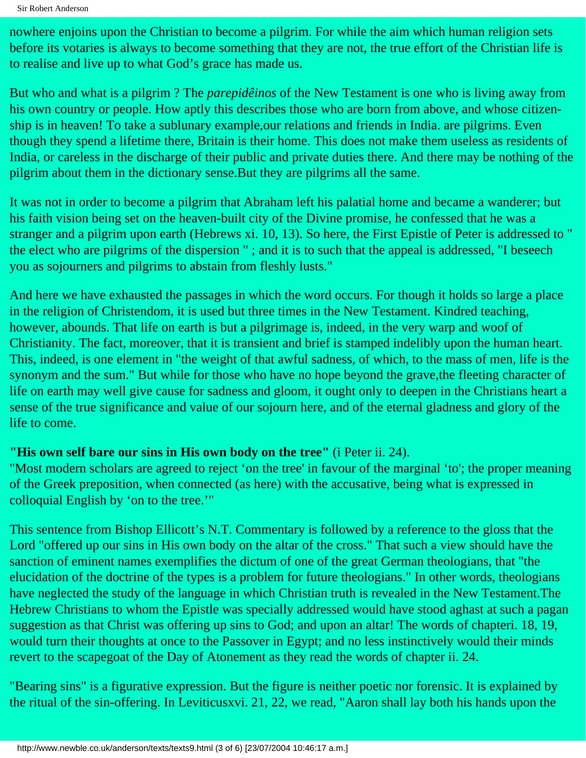Sir Robert Anderson

nowhere enjoins upon the Christian to become a pilgrim. For while the aim which human religion sets before its votaries is always to become something that they are not, the true effort of the Christian life is to realise and live up to what God's grace has made us.

But who and what is a pilgrim ? The *parepidêinos* of the New Testament is one who is living away from his own country or people. How aptly this describes those who are born from above, and whose citizenship is in heaven! To take a sublunary example,our relations and friends in India. are pilgrims. Even though they spend a lifetime there, Britain is their home. This does not make them useless as residents of India, or careless in the discharge of their public and private duties there. And there may be nothing of the pilgrim about them in the dictionary sense.But they are pilgrims all the same.

It was not in order to become a pilgrim that Abraham left his palatial home and became a wanderer; but his faith vision being set on the heaven-built city of the Divine promise, he confessed that he was a stranger and a pilgrim upon earth (Hebrews xi. 10, 13). So here, the First Epistle of Peter is addressed to " the elect who are pilgrims of the dispersion " ; and it is to such that the appeal is addressed, "I beseech you as sojourners and pilgrims to abstain from fleshly lusts."

And here we have exhausted the passages in which the word occurs. For though it holds so large a place in the religion of Christendom, it is used but three times in the New Testament. Kindred teaching, however, abounds. That life on earth is but a pilgrimage is, indeed, in the very warp and woof of Christianity. The fact, moreover, that it is transient and brief is stamped indelibly upon the human heart. This, indeed, is one element in "the weight of that awful sadness, of which, to the mass of men, life is the synonym and the sum." But while for those who have no hope beyond the grave,the fleeting character of life on earth may well give cause for sadness and gloom, it ought only to deepen in the Christians heart a sense of the true significance and value of our sojourn here, and of the eternal gladness and glory of the life to come.

#### **"His own self bare our sins in His own body on the tree"** (i Peter ii. 24).

"Most modern scholars are agreed to reject 'on the tree' in favour of the marginal 'to'; the proper meaning of the Greek preposition, when connected (as here) with the accusative, being what is expressed in colloquial English by 'on to the tree.'"

This sentence from Bishop Ellicott's N.T. Commentary is followed by a reference to the gloss that the Lord "offered up our sins in His own body on the altar of the cross." That such a view should have the sanction of eminent names exemplifies the dictum of one of the great German theologians, that "the elucidation of the doctrine of the types is a problem for future theologians." In other words, theologians have neglected the study of the language in which Christian truth is revealed in the New Testament.The Hebrew Christians to whom the Epistle was specially addressed would have stood aghast at such a pagan suggestion as that Christ was offering up sins to God; and upon an altar! The words of chapteri. 18, 19, would turn their thoughts at once to the Passover in Egypt; and no less instinctively would their minds revert to the scapegoat of the Day of Atonement as they read the words of chapter ii. 24.

"Bearing sins" is a figurative expression. But the figure is neither poetic nor forensic. It is explained by the ritual of the sin-offering. In Leviticusxvi. 21, 22, we read, "Aaron shall lay both his hands upon the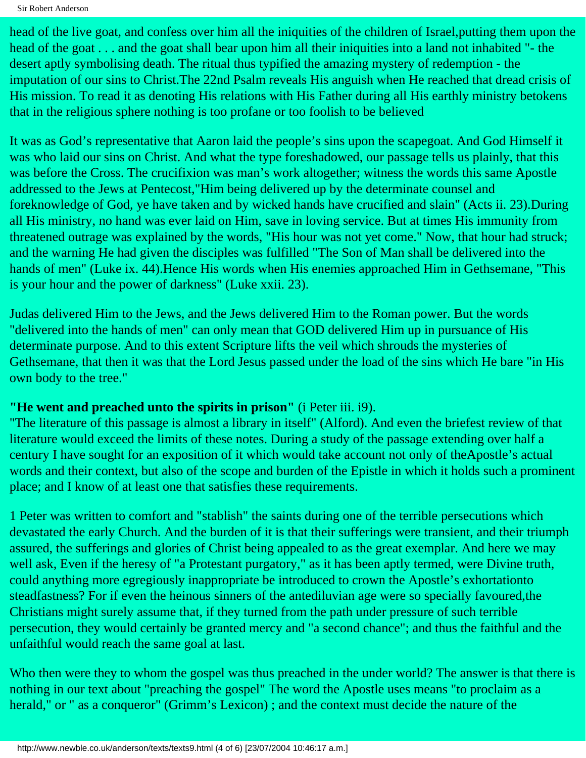Sir Robert Anderson

head of the live goat, and confess over him all the iniquities of the children of Israel,putting them upon the head of the goat . . . and the goat shall bear upon him all their iniquities into a land not inhabited "- the desert aptly symbolising death. The ritual thus typified the amazing mystery of redemption - the imputation of our sins to Christ.The 22nd Psalm reveals His anguish when He reached that dread crisis of His mission. To read it as denoting His relations with His Father during all His earthly ministry betokens that in the religious sphere nothing is too profane or too foolish to be believed

It was as God's representative that Aaron laid the people's sins upon the scapegoat. And God Himself it was who laid our sins on Christ. And what the type foreshadowed, our passage tells us plainly, that this was before the Cross. The crucifixion was man's work altogether; witness the words this same Apostle addressed to the Jews at Pentecost,"Him being delivered up by the determinate counsel and foreknowledge of God, ye have taken and by wicked hands have crucified and slain" (Acts ii. 23).During all His ministry, no hand was ever laid on Him, save in loving service. But at times His immunity from threatened outrage was explained by the words, "His hour was not yet come." Now, that hour had struck; and the warning He had given the disciples was fulfilled "The Son of Man shall be delivered into the hands of men" (Luke ix. 44).Hence His words when His enemies approached Him in Gethsemane, "This is your hour and the power of darkness" (Luke xxii. 23).

Judas delivered Him to the Jews, and the Jews delivered Him to the Roman power. But the words "delivered into the hands of men" can only mean that GOD delivered Him up in pursuance of His determinate purpose. And to this extent Scripture lifts the veil which shrouds the mysteries of Gethsemane, that then it was that the Lord Jesus passed under the load of the sins which He bare "in His own body to the tree."

#### **"He went and preached unto the spirits in prison"** (i Peter iii. i9).

"The literature of this passage is almost a library in itself" (Alford). And even the briefest review of that literature would exceed the limits of these notes. During a study of the passage extending over half a century I have sought for an exposition of it which would take account not only of theApostle's actual words and their context, but also of the scope and burden of the Epistle in which it holds such a prominent place; and I know of at least one that satisfies these requirements.

1 Peter was written to comfort and "stablish" the saints during one of the terrible persecutions which devastated the early Church. And the burden of it is that their sufferings were transient, and their triumph assured, the sufferings and glories of Christ being appealed to as the great exemplar. And here we may well ask, Even if the heresy of "a Protestant purgatory," as it has been aptly termed, were Divine truth, could anything more egregiously inappropriate be introduced to crown the Apostle's exhortationto steadfastness? For if even the heinous sinners of the antediluvian age were so specially favoured,the Christians might surely assume that, if they turned from the path under pressure of such terrible persecution, they would certainly be granted mercy and "a second chance"; and thus the faithful and the unfaithful would reach the same goal at last.

Who then were they to whom the gospel was thus preached in the under world? The answer is that there is nothing in our text about "preaching the gospel" The word the Apostle uses means "to proclaim as a herald," or " as a conqueror" (Grimm's Lexicon); and the context must decide the nature of the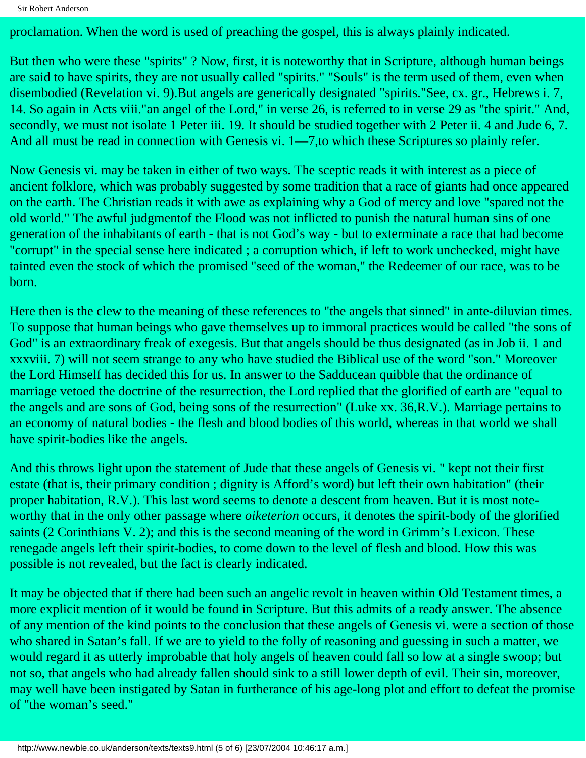proclamation. When the word is used of preaching the gospel, this is always plainly indicated.

But then who were these "spirits" ? Now, first, it is noteworthy that in Scripture, although human beings are said to have spirits, they are not usually called "spirits." "Souls" is the term used of them, even when disembodied (Revelation vi. 9).But angels are generically designated "spirits."See, cx. gr., Hebrews i. 7, 14. So again in Acts viii."an angel of the Lord," in verse 26, is referred to in verse 29 as "the spirit." And, secondly, we must not isolate 1 Peter iii. 19. It should be studied together with 2 Peter ii. 4 and Jude 6, 7. And all must be read in connection with Genesis vi. 1—7, to which these Scriptures so plainly refer.

Now Genesis vi. may be taken in either of two ways. The sceptic reads it with interest as a piece of ancient folklore, which was probably suggested by some tradition that a race of giants had once appeared on the earth. The Christian reads it with awe as explaining why a God of mercy and love "spared not the old world." The awful judgmentof the Flood was not inflicted to punish the natural human sins of one generation of the inhabitants of earth - that is not God's way - but to exterminate a race that had become "corrupt" in the special sense here indicated ; a corruption which, if left to work unchecked, might have tainted even the stock of which the promised "seed of the woman," the Redeemer of our race, was to be born.

Here then is the clew to the meaning of these references to "the angels that sinned" in ante-diluvian times. To suppose that human beings who gave themselves up to immoral practices would be called "the sons of God" is an extraordinary freak of exegesis. But that angels should be thus designated (as in Job ii. 1 and xxxviii. 7) will not seem strange to any who have studied the Biblical use of the word "son." Moreover the Lord Himself has decided this for us. In answer to the Sadducean quibble that the ordinance of marriage vetoed the doctrine of the resurrection, the Lord replied that the glorified of earth are "equal to the angels and are sons of God, being sons of the resurrection" (Luke xx. 36,R.V.). Marriage pertains to an economy of natural bodies - the flesh and blood bodies of this world, whereas in that world we shall have spirit-bodies like the angels.

And this throws light upon the statement of Jude that these angels of Genesis vi. " kept not their first estate (that is, their primary condition ; dignity is Afford's word) but left their own habitation" (their proper habitation, R.V.). This last word seems to denote a descent from heaven. But it is most noteworthy that in the only other passage where *oiketerion* occurs, it denotes the spirit-body of the glorified saints (2 Corinthians V. 2); and this is the second meaning of the word in Grimm's Lexicon. These renegade angels left their spirit-bodies, to come down to the level of flesh and blood. How this was possible is not revealed, but the fact is clearly indicated.

It may be objected that if there had been such an angelic revolt in heaven within Old Testament times, a more explicit mention of it would be found in Scripture. But this admits of a ready answer. The absence of any mention of the kind points to the conclusion that these angels of Genesis vi. were a section of those who shared in Satan's fall. If we are to yield to the folly of reasoning and guessing in such a matter, we would regard it as utterly improbable that holy angels of heaven could fall so low at a single swoop; but not so, that angels who had already fallen should sink to a still lower depth of evil. Their sin, moreover, may well have been instigated by Satan in furtherance of his age-long plot and effort to defeat the promise of "the woman's seed."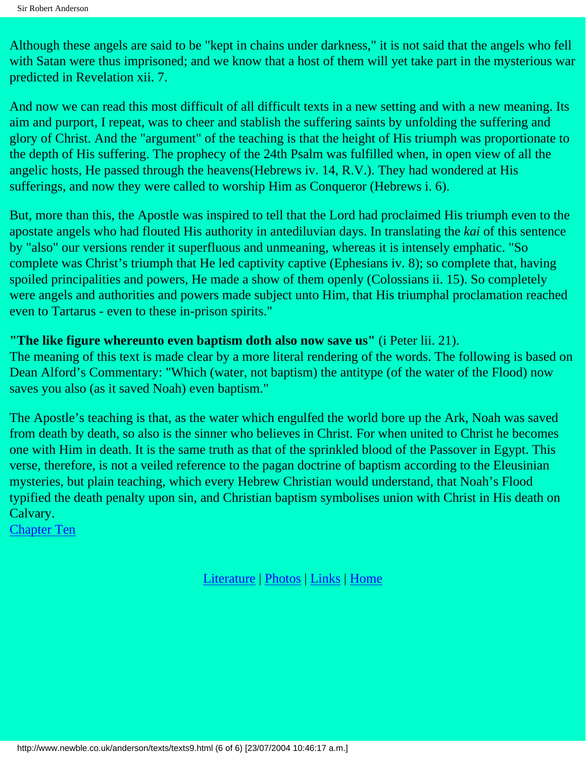Although these angels are said to be "kept in chains under darkness," it is not said that the angels who fell with Satan were thus imprisoned; and we know that a host of them will yet take part in the mysterious war predicted in Revelation xii. 7.

And now we can read this most difficult of all difficult texts in a new setting and with a new meaning. Its aim and purport, I repeat, was to cheer and stablish the suffering saints by unfolding the suffering and glory of Christ. And the "argument" of the teaching is that the height of His triumph was proportionate to the depth of His suffering. The prophecy of the 24th Psalm was fulfilled when, in open view of all the angelic hosts, He passed through the heavens(Hebrews iv. 14, R.V.). They had wondered at His sufferings, and now they were called to worship Him as Conqueror (Hebrews i. 6).

But, more than this, the Apostle was inspired to tell that the Lord had proclaimed His triumph even to the apostate angels who had flouted His authority in antediluvian days. In translating the *kai* of this sentence by "also" our versions render it superfluous and unmeaning, whereas it is intensely emphatic. "So complete was Christ's triumph that He led captivity captive (Ephesians iv. 8); so complete that, having spoiled principalities and powers, He made a show of them openly (Colossians ii. 15). So completely were angels and authorities and powers made subject unto Him, that His triumphal proclamation reached even to Tartarus - even to these in-prison spirits."

#### **"The like figure whereunto even baptism doth also now save us"** (i Peter lii. 21).

The meaning of this text is made clear by a more literal rendering of the words. The following is based on Dean Alford's Commentary: "Which (water, not baptism) the antitype (of the water of the Flood) now saves you also (as it saved Noah) even baptism."

The Apostle's teaching is that, as the water which engulfed the world bore up the Ark, Noah was saved from death by death, so also is the sinner who believes in Christ. For when united to Christ he becomes one with Him in death. It is the same truth as that of the sprinkled blood of the Passover in Egypt. This verse, therefore, is not a veiled reference to the pagan doctrine of baptism according to the Eleusinian mysteries, but plain teaching, which every Hebrew Christian would understand, that Noah's Flood typified the death penalty upon sin, and Christian baptism symbolises union with Christ in His death on Calvary.

[Chapter Ten](#page-74-0)

[Literature](http://www.newble.co.uk/literature.html) | [Photos](http://www.newble.co.uk/photos.html) | [Links](http://www.newble.co.uk/links.html) | [Home](http://www.newble.co.uk/index.html)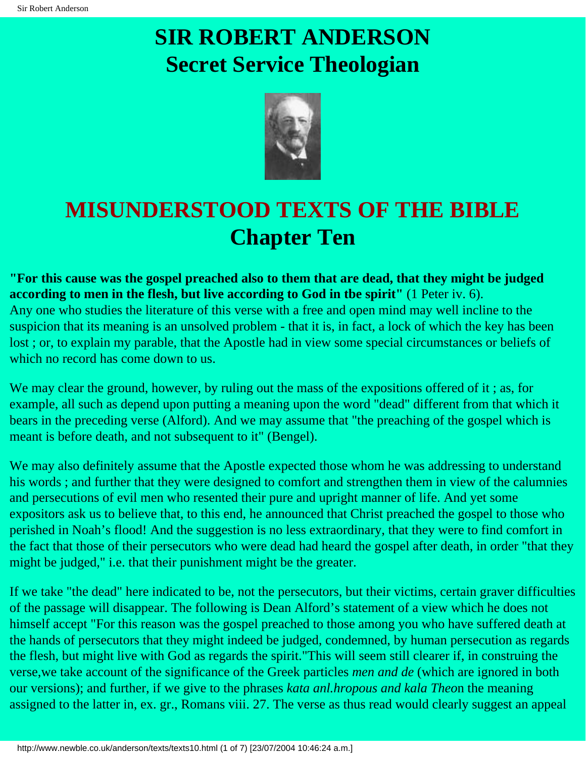# <span id="page-74-0"></span>**SIR ROBERT ANDERSON Secret Service Theologian**



# **MISUNDERSTOOD TEXTS OF THE BIBLE Chapter Ten**

**"For this cause was the gospel preached also to them that are dead, that they might be judged according to men in the flesh, but live according to God in tbe spirit"** (1 Peter iv. 6). Any one who studies the literature of this verse with a free and open mind may well incline to the suspicion that its meaning is an unsolved problem - that it is, in fact, a lock of which the key has been lost ; or, to explain my parable, that the Apostle had in view some special circumstances or beliefs of which no record has come down to us.

We may clear the ground, however, by ruling out the mass of the expositions offered of it; as, for example, all such as depend upon putting a meaning upon the word "dead" different from that which it bears in the preceding verse (Alford). And we may assume that "the preaching of the gospel which is meant is before death, and not subsequent to it" (Bengel).

We may also definitely assume that the Apostle expected those whom he was addressing to understand his words ; and further that they were designed to comfort and strengthen them in view of the calumnies and persecutions of evil men who resented their pure and upright manner of life. And yet some expositors ask us to believe that, to this end, he announced that Christ preached the gospel to those who perished in Noah's flood! And the suggestion is no less extraordinary, that they were to find comfort in the fact that those of their persecutors who were dead had heard the gospel after death, in order "that they might be judged," i.e. that their punishment might be the greater.

If we take "the dead" here indicated to be, not the persecutors, but their victims, certain graver difficulties of the passage will disappear. The following is Dean Alford's statement of a view which he does not himself accept "For this reason was the gospel preached to those among you who have suffered death at the hands of persecutors that they might indeed be judged, condemned, by human persecution as regards the flesh, but might live with God as regards the spirit."This will seem still clearer if, in construing the verse,we take account of the significance of the Greek particles *men and de* (which are ignored in both our versions); and further, if we give to the phrases *kata anl.hropous and kala Theo*n the meaning assigned to the latter in, ex. gr., Romans viii. 27. The verse as thus read would clearly suggest an appeal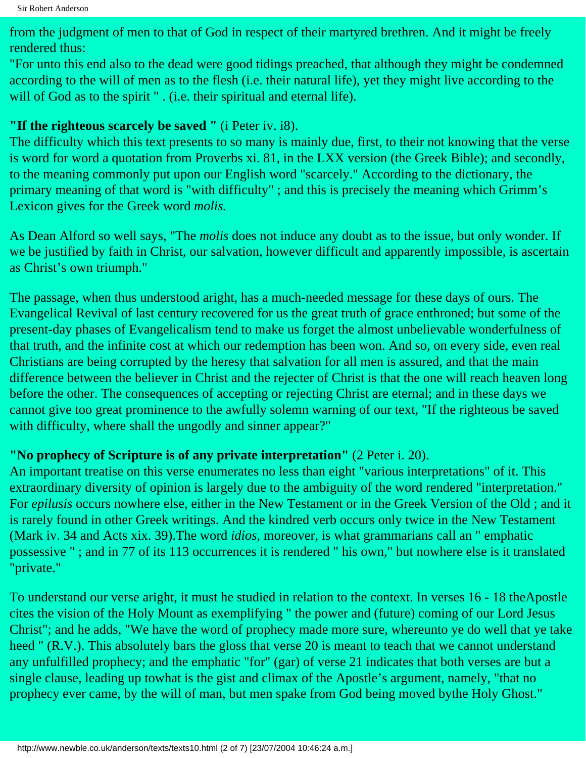from the judgment of men to that of God in respect of their martyred brethren. And it might be freely rendered thus:

"For unto this end also to the dead were good tidings preached, that although they might be condemned according to the will of men as to the flesh (i.e. their natural life), yet they might live according to the will of God as to the spirit " . (i.e. their spiritual and eternal life).

#### **"If the righteous scarcely be saved "** (i Peter iv. i8).

The difficulty which this text presents to so many is mainly due, first, to their not knowing that the verse is word for word a quotation from Proverbs xi. 81, in the LXX version (the Greek Bible); and secondly, to the meaning commonly put upon our English word "scarcely." According to the dictionary, the primary meaning of that word is "with difficulty" ; and this is precisely the meaning which Grimm's Lexicon gives for the Greek word *molis.* 

As Dean Alford so well says, "The *molis* does not induce any doubt as to the issue, but only wonder. If we be justified by faith in Christ, our salvation, however difficult and apparently impossible, is ascertain as Christ's own triumph."

The passage, when thus understood aright, has a much-needed message for these days of ours. The Evangelical Revival of last century recovered for us the great truth of grace enthroned; but some of the present-day phases of Evangelicalism tend to make us forget the almost unbelievable wonderfulness of that truth, and the infinite cost at which our redemption has been won. And so, on every side, even real Christians are being corrupted by the heresy that salvation for all men is assured, and that the main difference between the believer in Christ and the rejecter of Christ is that the one will reach heaven long before the other. The consequences of accepting or rejecting Christ are eternal; and in these days we cannot give too great prominence to the awfully solemn warning of our text, "If the righteous be saved with difficulty, where shall the ungodly and sinner appear?"

## **"No prophecy of Scripture is of any private interpretation"** (2 Peter i. 20).

An important treatise on this verse enumerates no less than eight "various interpretations" of it. This extraordinary diversity of opinion is largely due to the ambiguity of the word rendered "interpretation." For *epilusis* occurs nowhere else, either in the New Testament or in the Greek Version of the Old ; and it is rarely found in other Greek writings. And the kindred verb occurs only twice in the New Testament (Mark iv. 34 and Acts xix. 39).The word *idios*, moreover, is what grammarians call an " emphatic possessive " ; and in 77 of its 113 occurrences it is rendered " his own," but nowhere else is it translated "private."

To understand our verse aright, it must he studied in relation to the context. In verses 16 - 18 theApostle cites the vision of the Holy Mount as exemplifying " the power and (future) coming of our Lord Jesus Christ"; and he adds, "We have the word of prophecy made more sure, whereunto ye do well that ye take heed " (R.V.). This absolutely bars the gloss that verse 20 is meant to teach that we cannot understand any unfulfilled prophecy; and the emphatic "for" (gar) of verse 21 indicates that both verses are but a single clause, leading up towhat is the gist and climax of the Apostle's argument, namely, "that no prophecy ever came, by the will of man, but men spake from God being moved bythe Holy Ghost."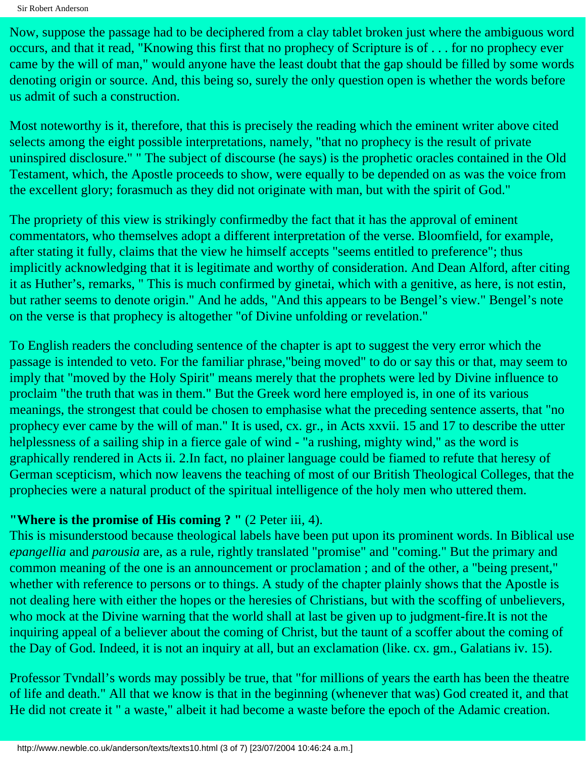Now, suppose the passage had to be deciphered from a clay tablet broken just where the ambiguous word occurs, and that it read, "Knowing this first that no prophecy of Scripture is of . . . for no prophecy ever came by the will of man," would anyone have the least doubt that the gap should be filled by some words denoting origin or source. And, this being so, surely the only question open is whether the words before us admit of such a construction.

Most noteworthy is it, therefore, that this is precisely the reading which the eminent writer above cited selects among the eight possible interpretations, namely, "that no prophecy is the result of private uninspired disclosure." " The subject of discourse (he says) is the prophetic oracles contained in the Old Testament, which, the Apostle proceeds to show, were equally to be depended on as was the voice from the excellent glory; forasmuch as they did not originate with man, but with the spirit of God."

The propriety of this view is strikingly confirmedby the fact that it has the approval of eminent commentators, who themselves adopt a different interpretation of the verse. Bloomfield, for example, after stating it fully, claims that the view he himself accepts "seems entitled to preference"; thus implicitly acknowledging that it is legitimate and worthy of consideration. And Dean Alford, after citing it as Huther's, remarks, " This is much confirmed by ginetai, which with a genitive, as here, is not estin, but rather seems to denote origin." And he adds, "And this appears to be Bengel's view." Bengel's note on the verse is that prophecy is altogether "of Divine unfolding or revelation."

To English readers the concluding sentence of the chapter is apt to suggest the very error which the passage is intended to veto. For the familiar phrase,"being moved" to do or say this or that, may seem to imply that "moved by the Holy Spirit" means merely that the prophets were led by Divine influence to proclaim "the truth that was in them." But the Greek word here employed is, in one of its various meanings, the strongest that could be chosen to emphasise what the preceding sentence asserts, that "no prophecy ever came by the will of man." It is used, cx. gr., in Acts xxvii. 15 and 17 to describe the utter helplessness of a sailing ship in a fierce gale of wind - "a rushing, mighty wind," as the word is graphically rendered in Acts ii. 2.In fact, no plainer language could be fiamed to refute that heresy of German scepticism, which now leavens the teaching of most of our British Theological Colleges, that the prophecies were a natural product of the spiritual intelligence of the holy men who uttered them.

## **"Where is the promise of His coming ? "** (2 Peter iii, 4).

This is misunderstood because theological labels have been put upon its prominent words. In Biblical use *epangellia* and *parousia* are, as a rule, rightly translated "promise" and "coming." But the primary and common meaning of the one is an announcement or proclamation; and of the other, a "being present," whether with reference to persons or to things. A study of the chapter plainly shows that the Apostle is not dealing here with either the hopes or the heresies of Christians, but with the scoffing of unbelievers, who mock at the Divine warning that the world shall at last be given up to judgment-fire.It is not the inquiring appeal of a believer about the coming of Christ, but the taunt of a scoffer about the coming of the Day of God. Indeed, it is not an inquiry at all, but an exclamation (like. cx. gm., Galatians iv. 15).

Professor Tvndall's words may possibly be true, that "for millions of years the earth has been the theatre of life and death." All that we know is that in the beginning (whenever that was) God created it, and that He did not create it " a waste," albeit it had become a waste before the epoch of the Adamic creation.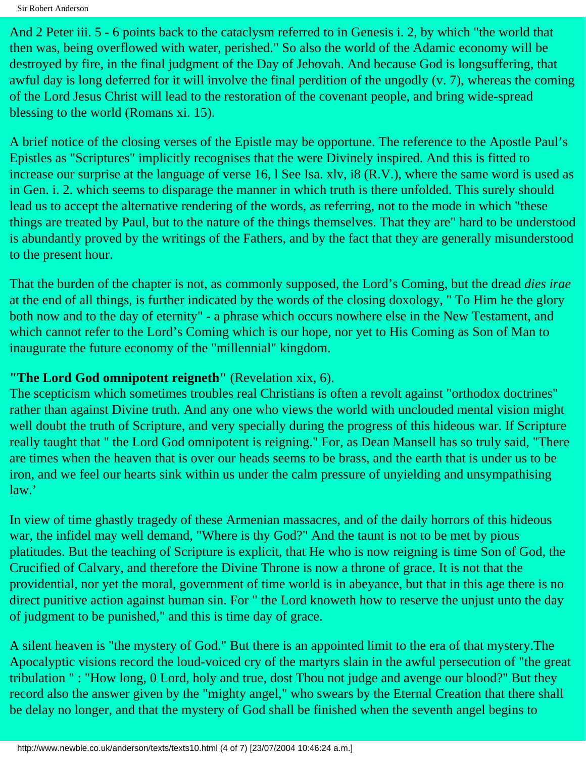And 2 Peter iii. 5 - 6 points back to the cataclysm referred to in Genesis i. 2, by which "the world that then was, being overflowed with water, perished." So also the world of the Adamic economy will be destroyed by fire, in the final judgment of the Day of Jehovah. And because God is longsuffering, that awful day is long deferred for it will involve the final perdition of the ungodly (v. 7), whereas the coming of the Lord Jesus Christ will lead to the restoration of the covenant people, and bring wide-spread blessing to the world (Romans xi. 15).

A brief notice of the closing verses of the Epistle may be opportune. The reference to the Apostle Paul's Epistles as "Scriptures" implicitly recognises that the were Divinely inspired. And this is fitted to increase our surprise at the language of verse 16, l See Isa. xlv, i8 (R.V.), where the same word is used as in Gen. i. 2. which seems to disparage the manner in which truth is there unfolded. This surely should lead us to accept the alternative rendering of the words, as referring, not to the mode in which "these things are treated by Paul, but to the nature of the things themselves. That they are" hard to be understood is abundantly proved by the writings of the Fathers, and by the fact that they are generally misunderstood to the present hour.

That the burden of the chapter is not, as commonly supposed, the Lord's Coming, but the dread *dies irae* at the end of all things, is further indicated by the words of the closing doxology, " To Him he the glory both now and to the day of eternity" - a phrase which occurs nowhere else in the New Testament, and which cannot refer to the Lord's Coming which is our hope, nor yet to His Coming as Son of Man to inaugurate the future economy of the "millennial" kingdom.

### **"The Lord God omnipotent reigneth"** (Revelation xix, 6).

The scepticism which sometimes troubles real Christians is often a revolt against "orthodox doctrines" rather than against Divine truth. And any one who views the world with unclouded mental vision might well doubt the truth of Scripture, and very specially during the progress of this hideous war. If Scripture really taught that " the Lord God omnipotent is reigning." For, as Dean Mansell has so truly said, "There are times when the heaven that is over our heads seems to be brass, and the earth that is under us to be iron, and we feel our hearts sink within us under the calm pressure of unyielding and unsympathising law.'

In view of time ghastly tragedy of these Armenian massacres, and of the daily horrors of this hideous war, the infidel may well demand, "Where is thy God?" And the taunt is not to be met by pious platitudes. But the teaching of Scripture is explicit, that He who is now reigning is time Son of God, the Crucified of Calvary, and therefore the Divine Throne is now a throne of grace. It is not that the providential, nor yet the moral, government of time world is in abeyance, but that in this age there is no direct punitive action against human sin. For " the Lord knoweth how to reserve the unjust unto the day of judgment to be punished," and this is time day of grace.

A silent heaven is "the mystery of God." But there is an appointed limit to the era of that mystery.The Apocalyptic visions record the loud-voiced cry of the martyrs slain in the awful persecution of "the great tribulation " : "How long, 0 Lord, holy and true, dost Thou not judge and avenge our blood?" But they record also the answer given by the "mighty angel," who swears by the Eternal Creation that there shall be delay no longer, and that the mystery of God shall be finished when the seventh angel begins to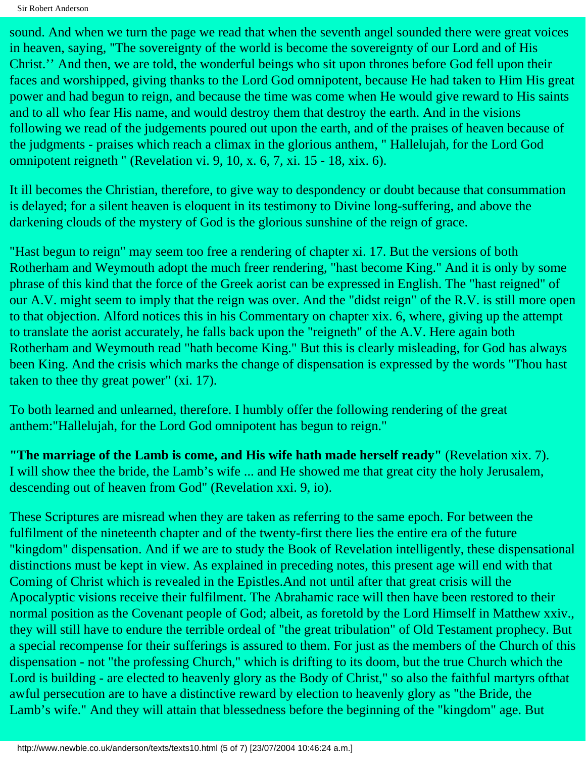Sir Robert Anderson

sound. And when we turn the page we read that when the seventh angel sounded there were great voices in heaven, saying, "The sovereignty of the world is become the sovereignty of our Lord and of His Christ.'' And then, we are told, the wonderful beings who sit upon thrones before God fell upon their faces and worshipped, giving thanks to the Lord God omnipotent, because He had taken to Him His great power and had begun to reign, and because the time was come when He would give reward to His saints and to all who fear His name, and would destroy them that destroy the earth. And in the visions following we read of the judgements poured out upon the earth, and of the praises of heaven because of the judgments - praises which reach a climax in the glorious anthem, " Hallelujah, for the Lord God omnipotent reigneth " (Revelation vi. 9, 10, x. 6, 7, xi. 15 - 18, xix. 6).

It ill becomes the Christian, therefore, to give way to despondency or doubt because that consummation is delayed; for a silent heaven is eloquent in its testimony to Divine long-suffering, and above the darkening clouds of the mystery of God is the glorious sunshine of the reign of grace.

"Hast begun to reign" may seem too free a rendering of chapter xi. 17. But the versions of both Rotherham and Weymouth adopt the much freer rendering, "hast become King." And it is only by some phrase of this kind that the force of the Greek aorist can be expressed in English. The "hast reigned" of our A.V. might seem to imply that the reign was over. And the "didst reign" of the R.V. is still more open to that objection. Alford notices this in his Commentary on chapter xix. 6, where, giving up the attempt to translate the aorist accurately, he falls back upon the "reigneth" of the A.V. Here again both Rotherham and Weymouth read "hath become King." But this is clearly misleading, for God has always been King. And the crisis which marks the change of dispensation is expressed by the words "Thou hast taken to thee thy great power" (xi. 17).

To both learned and unlearned, therefore. I humbly offer the following rendering of the great anthem:"Hallelujah, for the Lord God omnipotent has begun to reign."

**"The marriage of the Lamb is come, and His wife hath made herself ready"** (Revelation xix. 7). I will show thee the bride, the Lamb's wife ... and He showed me that great city the holy Jerusalem, descending out of heaven from God" (Revelation xxi. 9, io).

These Scriptures are misread when they are taken as referring to the same epoch. For between the fulfilment of the nineteenth chapter and of the twenty-first there lies the entire era of the future "kingdom" dispensation. And if we are to study the Book of Revelation intelligently, these dispensational distinctions must be kept in view. As explained in preceding notes, this present age will end with that Coming of Christ which is revealed in the Epistles.And not until after that great crisis will the Apocalyptic visions receive their fulfilment. The Abrahamic race will then have been restored to their normal position as the Covenant people of God; albeit, as foretold by the Lord Himself in Matthew xxiv., they will still have to endure the terrible ordeal of "the great tribulation" of Old Testament prophecy. But a special recompense for their sufferings is assured to them. For just as the members of the Church of this dispensation - not "the professing Church," which is drifting to its doom, but the true Church which the Lord is building - are elected to heavenly glory as the Body of Christ," so also the faithful martyrs ofthat awful persecution are to have a distinctive reward by election to heavenly glory as "the Bride, the Lamb's wife." And they will attain that blessedness before the beginning of the "kingdom" age. But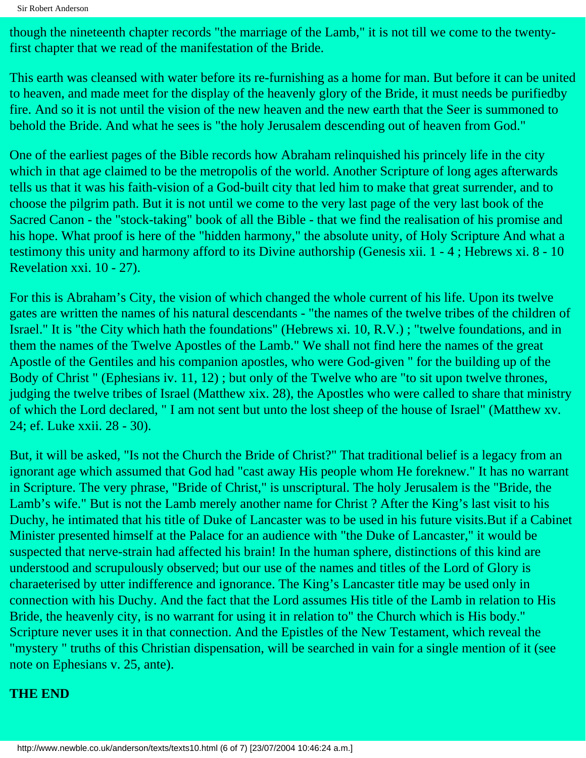Sir Robert Anderson

though the nineteenth chapter records "the marriage of the Lamb," it is not till we come to the twentyfirst chapter that we read of the manifestation of the Bride.

This earth was cleansed with water before its re-furnishing as a home for man. But before it can be united to heaven, and made meet for the display of the heavenly glory of the Bride, it must needs be purifiedby fire. And so it is not until the vision of the new heaven and the new earth that the Seer is summoned to behold the Bride. And what he sees is "the holy Jerusalem descending out of heaven from God."

One of the earliest pages of the Bible records how Abraham relinquished his princely life in the city which in that age claimed to be the metropolis of the world. Another Scripture of long ages afterwards tells us that it was his faith-vision of a God-built city that led him to make that great surrender, and to choose the pilgrim path. But it is not until we come to the very last page of the very last book of the Sacred Canon - the "stock-taking" book of all the Bible - that we find the realisation of his promise and his hope. What proof is here of the "hidden harmony," the absolute unity, of Holy Scripture And what a testimony this unity and harmony afford to its Divine authorship (Genesis xii. 1 - 4 ; Hebrews xi. 8 - 10 Revelation xxi. 10 - 27).

For this is Abraham's City, the vision of which changed the whole current of his life. Upon its twelve gates are written the names of his natural descendants - "the names of the twelve tribes of the children of Israel." It is "the City which hath the foundations" (Hebrews xi. 10, R.V.) ; "twelve foundations, and in them the names of the Twelve Apostles of the Lamb." We shall not find here the names of the great Apostle of the Gentiles and his companion apostles, who were God-given " for the building up of the Body of Christ " (Ephesians iv. 11, 12) ; but only of the Twelve who are "to sit upon twelve thrones, judging the twelve tribes of Israel (Matthew xix. 28), the Apostles who were called to share that ministry of which the Lord declared, " I am not sent but unto the lost sheep of the house of Israel" (Matthew xv. 24; ef. Luke xxii. 28 - 30).

But, it will be asked, "Is not the Church the Bride of Christ?" That traditional belief is a legacy from an ignorant age which assumed that God had "cast away His people whom He foreknew." It has no warrant in Scripture. The very phrase, "Bride of Christ," is unscriptural. The holy Jerusalem is the "Bride, the Lamb's wife." But is not the Lamb merely another name for Christ ? After the King's last visit to his Duchy, he intimated that his title of Duke of Lancaster was to be used in his future visits.But if a Cabinet Minister presented himself at the Palace for an audience with "the Duke of Lancaster," it would be suspected that nerve-strain had affected his brain! In the human sphere, distinctions of this kind are understood and scrupulously observed; but our use of the names and titles of the Lord of Glory is charaeterised by utter indifference and ignorance. The King's Lancaster title may be used only in connection with his Duchy. And the fact that the Lord assumes His title of the Lamb in relation to His Bride, the heavenly city, is no warrant for using it in relation to" the Church which is His body." Scripture never uses it in that connection. And the Epistles of the New Testament, which reveal the "mystery " truths of this Christian dispensation, will be searched in vain for a single mention of it (see note on Ephesians v. 25, ante).

#### **THE END**